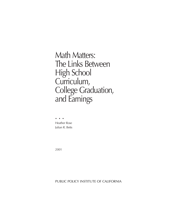Math Matters: The Links Between High School Curriculum, College Graduation, and Earnings

••• Heather Rose Julian R. Betts

2001

PUBLIC POLICY INSTITUTE OF CALIFORNIA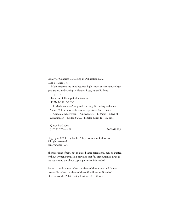Library of Congress Cataloging-in-Publication Data Rose, Heather, 1971– Math matters : the links between high school curriculum, college graduation, and earnings / Heather Rose, Julian R. Betts. p. cm. Includes bibliographical references. ISBN 1-58213-029-9 1. Mathematics—Study and teaching (Secondary)—United States. 2. Education—Economic aspects—United States. 3. Academic achievement—United States. 4. Wages—Effect of education on—United States. I. Betts, Julian R.. II. Title.

QA13 .R64 2001 510'.71'273—dc21 2001019915

Copyright © 2001 by Public Policy Institute of California All rights reserved San Francisco, CA

Short sections of text, not to exceed three paragraphs, may be quoted without written permission provided that full attribution is given to the source and the above copyright notice is included.

Research publications reflect the views of the authors and do not necessarily reflect the views of the staff, officers, or Board of Directors of the Public Policy Institute of California.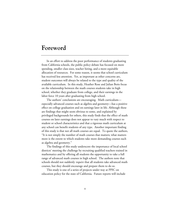# **Foreword**

In an effort to address the poor performance of students graduating from California schools, the public policy debate has focused on more spending, smaller class sizes, teacher hiring, and a more equitable allocation of resources. For some reason, it seems that school curriculum has received less attention. Yet, as important as other concerns are, student outcomes will always be related to the type and quality of the available curriculum. In this study, Heather Rose and Julian Betts focus on the relationship between the math courses students take in high school, whether they graduate from college, and their earnings in the labor force 10 years after graduating from high school.

The authors' conclusions are encouraging. Math curriculum especially advanced courses such as algebra and geometry—has a positive effect on college graduation and on earnings later in life. Although these are findings that might seem obvious to some, and explained by privileged backgrounds for others, this study finds that the effect of math courses on later earnings does not appear to vary much with respect to student or school characteristics and that a rigorous math curriculum at any school can benefit students of any type. Another important finding of this study is that not all math courses are equal. To quote the authors, "It is not simply the number of math courses that matters; what matters more is the extent to which students take more demanding courses such as algebra and geometry."

The findings of this study underscore the importance of local school districts' meeting the challenge by recruiting qualified teachers trained in mathematics and by offering all students the opportunity to take a full range of advanced math courses in high school. The authors note that schools should not suddenly *require* that all students take advanced math courses, but they should encourage and prepare them to do so.

This study is one of a series of projects under way at PPIC on education policy for the state of California. Future reports will include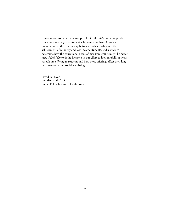contributions to the new master plan for California's system of public education; an analysis of student achievement in San Diego; an examination of the relationship between teacher quality and the achievement of minority and low-income students; and a study to determine how the educational needs of new immigrants might be better met. *Math Matters* is the first step in our effort to look carefully at what schools are offering to students and how those offerings affect their longterm economic and social well-being.

David W. Lyon President and CEO Public Policy Institute of California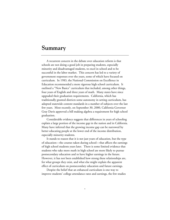## **Summary**

A recurrent concern in the debate over education reform is that schools are not doing a good job in preparing students, especially minority and disadvantaged students, to excel in school and to be successful in the labor market. This concern has led to a variety of government responses over the years, some of which have focused on curriculum. In 1983, the National Commission on Excellence in Education recommended a more rigorous high school curriculum. It outlined a "New Basics" curriculum that included, among other things, four years of English and three years of math. Many states have since upgraded their graduation requirements. California, which has traditionally granted districts some autonomy in setting curriculum, has adopted statewide content standards in a number of subjects over the last few years. Most recently, on September 30, 2000, California Governor Gray Davis approved a bill making algebra a requirement for high school graduation.

Considerable evidence suggests that differences in years of schooling explain a large portion of the income gap in the nation and in California. Many have inferred that the growing income gap can be narrowed by better educating people at the lower end of the income distribution, especially minority students.

It stands to reason that it is not just years of education, but the type of education—the courses taken during school—that affects the earnings of high school students years later. There is some limited evidence that students who take more math in high school are more likely to pursue postsecondary education and to have higher earnings in the future. However, it has not been established how strong these relationships are, for what groups they exist, and what else might explain the apparent effect of curriculum on postsecondary education and future earnings.

Despite the belief that an enhanced curriculum is one way to improve students' college attendance rates and earnings, the few studies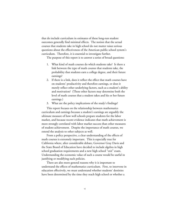that do include curriculum in estimates of these long-run student outcomes generally find minimal effects. The notion that the actual courses that students take in high school do not matter raises serious questions about the effectiveness of the American public school system's curriculum. Therefore, it is essential to investigate further.

The purpose of this report is to answer a series of broad questions:

- 1. What kind of math courses do which students take? Is there a link between the type of math courses that students take, the probability that students earn a college degree, and their future earnings?
- 2. If there is a link, does it reflect the effect that math courses have on students' productivity and therefore earnings, or does it merely reflect other underlying factors, such as a student's ability and motivation? (These other factors may determine both the level of math courses that a student takes and his or her future earnings.)
- 3. What are the policy implications of the study's findings?

This report focuses on the relationship between mathematics curriculum and earnings because a student's earnings are arguably the ultimate measure of how well schools prepare students for the labor market, and because recent evidence indicates that math achievement is more strongly correlated with labor market success than other measures of student achievement. Despite the importance of math courses, we extend the analysis to other subjects as well.

From a policy perspective, a clear understanding of the effects of math courses is extremely important. This is especially true for California where, after considerable debate, Governor Gray Davis and the State Board of Education have decided to include algebra in high school graduation requirements and a new high school "exit" exam. Understanding the economic value of such a course would be useful in justifying or modifying such policies.

There are also more general reasons why it is important to understand the effects of mathematics curriculum. First, to intervene in education effectively, we must understand whether students' destinies have been determined by the time they reach high school or whether a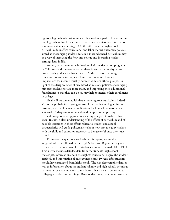rigorous high school curriculum can alter students' paths. If it turns out that high school has little influence over student outcomes, intervention is necessary at an earlier stage. On the other hand, if high school curriculum does affect educational and labor market outcomes, policies aimed at encouraging students to take a more advanced curriculum may be a way of increasing the flow into college and increasing student earnings later in life.

Second, with the recent elimination of affirmative action programs in California and some other states, there is fear that minority access to postsecondary education has suffered. As the returns to a college education continue to rise, such limited access would have severe implications for income equality between different ethnic groups. In light of the disappearance of race-based admissions policies, encouraging minority students to take more math, and improving their educational foundations so that they can do so, may help to increase their enrollment in college.

Finally, if we can establish that a more rigorous curriculum indeed affects the probability of going on to college and having higher future earnings, there will be many implications for how school resources are allocated. Perhaps more money should be spent on improving curriculum options, as opposed to spending designed to reduce class sizes. In sum, a clear understanding of the effects of curriculum and of possible variations in these effects related to student and school characteristics will guide policymakers about how best to equip students with the skills and education necessary to be successful once they leave school.

To answer the questions set forth in this report, we use the longitudinal data collected in the High School and Beyond survey of a representative national sample of students who were in grade 10 in 1980. This survey includes detailed data from the students' high school transcripts, information about the highest educational degree the student attained, and information about earnings nearly 10 years after students should have graduated from high school. The rich demographic data, as well as information about the student's family and high school, permit us to account for many noncurriculum factors that may also be related to college graduation and earnings. Because the survey data do not contain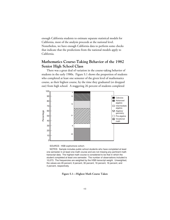enough California students to estimate separate statistical models for California, most of the analysis proceeds at the national level. Nonetheless, we have enough California data to perform some checks that indicate that the predictions from the national models apply to California.

## **Mathematics Course-Taking Behavior of the 1982 Senior High School Class**

There was a great deal of variation in the course-taking behavior of students in the early 1980s. Figure S.1 shows the proportion of students who completed at least one semester of the given level of mathematics course, as their highest course, by the time they graduated (or dropped out) from high school. A staggering 26 percent of students completed



SOURCE: HSB sophomore cohort.

 NOTES: Sample includes public school students who have completed at least one semester in at least one math course and are not missing any pertinent math transcript data. The highest math course is considered to be that in which the student completed at least one semester. The number of observations included is 10,073. The frequencies are weighted by the HSB transcript weight. Unweighted, the values are 26 percent, 9 percent, 30 percent, 16 percent, 16 percent, and 4 percent, respectively.

**Figure S.1—Highest Math Course Taken**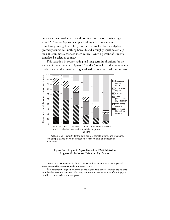only vocational math courses and nothing more before leaving high school.<sup>1</sup> Another 8 percent stopped taking math courses after completing pre-algebra. Thirty-one percent took at least an algebra or geometry course, but nothing beyond; and a roughly equal percentage took an even more advanced math course. Only 4 percent of students completed a calculus course.2

This variation in course-taking had long-term implications for the welfare of these students. Figures S.2 and S.3 reveal that the point where students ended their math taking is related to how much education these



 NOTES: See Figure 2.1 for the data source, sample criteria, and weighting. The sample size is only 8,850 because of missing data on educational attainment.

#### **Figure S.2—Highest Degree Earned by 1992 Related to Highest Math Course Taken in High School**

\_\_\_\_\_\_\_\_\_\_\_\_

<sup>&</sup>lt;sup>1</sup>Vocational math courses include courses described as vocational math, general math, basic math, consumer math, and math review.

 $2W$ e consider the highest course to be the highest-level course in which the student completed at least one semester. However, in our more detailed models of earnings, we consider a course to be a year-long course.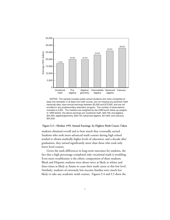

 NOTES: The sample includes public school students who have completed at least one semester in at least one math course, are not missing any pertinent math transcript data, have annual earnings between \$2,000 and \$75,000, and are not enrolled in any postsecondary education program. The number of observations included is 5,891. The medians are weighted by the HSB fourth follow-up weights. In 1999 dollars, the above earnings are vocational math, \$20,794; pre-algebra, \$24,464; algebra/geometry, \$28,134; advanced algebra, \$31,803; and calculus, \$34,250.

#### **Figure S.3—Median 1991 Annual Earnings, by Highest Math Course Taken**

students obtained overall and to how much they eventually earned. Students who took more-advanced math courses during high school tended to obtain markedly higher levels of education, and a decade after graduation, they earned significantly more than those who took only lower-level courses.

Given the stark differences in long-term outcomes for students, the fact that a high percentage completed only vocational math is troubling. Even more troublesome is the ethnic composition of these students. Black and Hispanic students were about twice as likely as whites and three times as likely as Asians to cease their math career at this low level. Similarly, students of extremely low-income families were much less likely to take any academic math courses. Figures S.4 and S.5 show the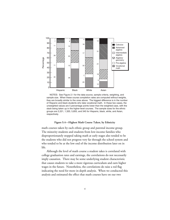

 NOTES: See Figure 2.1 for the data source, sample criteria, weighting, and sample size. When these course completion rates are computed without weights, they are broadly similar to the ones above. The biggest difference is in the number of Hispanic and black students who take vocational math. In these two cases, the unweighted values are 5 percentage points lower than the weighted case, with the slack being taken up in the higher-level courses. The sample sizes for the ethnic groups are 2,221, 1,320, 5,855, and 345 for Hispanic, black, white, and Asian, respectively.

#### **Figure S.4—Highest Math Course Taken, by Ethnicity**

math courses taken by each ethnic group and parental income group. The minority students and students from low-income families who disproportionately stopped taking math at early stages also tended to be the students who did not progress very far through the school system and who tended to be at the low end of the income distribution later on in life.

Although the level of math course a student takes is correlated with college graduation rates and earnings, the correlations do not necessarily imply causation. There may be some underlying student characteristic that causes students to take a more rigorous curriculum and earn higher wages in the future. Nonetheless, the correlations do raise a red flag indicating the need for more in-depth analysis. When we conducted this analysis and estimated the effect that math courses have on our two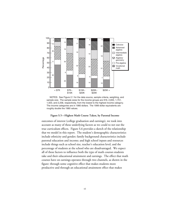

 NOTES: See Figure 2.1 for the data source, sample criteria, weighting, and sample size. The sample sizes for the income groups are 916, 2,833, 1,751, 1,503, and 2,258, respectively, from the lowest to the highest income category. The income categories are in 1980 dollars. The 1999 dollar equivalents are roughly double the 1980 values.

#### **Figure S.5—Highest Math Course Taken, by Parental Income**

outcomes of interest (college graduation and earnings), we took into account as many of these underlying factors as we could to net out the true curriculum effects. Figure S.6 provides a sketch of the relationship that we model in this report. The student's demographic characteristics include ethnicity and gender; family background characteristics include parental education and income; and high school inputs and resources include things such as school size, teacher's education level, and the percentage of students at the school who are disadvantaged. We expect all of these factors to influence both the type of math courses students take and their educational attainment and earnings. The effect that math courses have on earnings operates through two channels, as shown in the figure: through some cognitive effect that makes students more productive and through an educational attainment effect that makes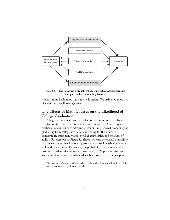

**Figure S.6—The Pathways Through Which Curriculum Affects Earnings (and potentially confounding factors)**

students more likely to pursue higher education. We estimated these two pieces of the overall earnings effect.

## **The Effects of Math Courses on the Likelihood of College Graduation**

A large part of a math course's effect on earnings can be explained by its effect on the student's ultimate level of education. Different types of mathematics courses have different effects on the predicted probability of graduating from college, even after controlling for the student's demographic traits, family and school characteristics, and measures of ability. For example, as Figure S.7 shows, whereas the overall probability that an average student<sup>3</sup> whose highest math course is algebra/geometry will graduate is almost 15 percent, the probability that a student who takes intermediate algebra will graduate is nearly 27 percent. And an average student who takes advanced algebra is over 10 percentage points

\_\_\_\_\_\_\_\_\_\_\_\_

 $3An$  average student is considered to be a student with the mean values for all of the explanatory factors in the graduation model.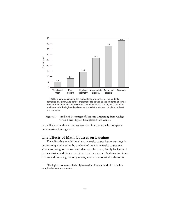

 NOTES: When estimating the math effects, we control for the student's demographic, family, and school characteristics as well as the student's ability as measured by his or her math GPA and math test score. The highest completed math course is the highest-level course in which the student completed at least one semester.

#### **Figure S.7—Predicted Percentage of Students Graduating from College Given Their Highest Completed Math Course**

more likely to graduate from college than is a student who completes only intermediate algebra.4

## **The Effects of Math Courses on Earnings**

\_\_\_\_\_\_\_\_\_\_\_\_

The effect that an additional mathematics course has on earnings is quite strong, and it varies by the level of the mathematics course even after accounting for the student's demographic traits, family background characteristics, and high school inputs and resources. As shown in Figure S.8, an additional algebra or geometry course is associated with over 6

 ${}^{4}$ The highest math course is the highest-level math course in which the student completed at least one semester.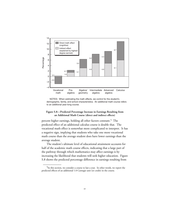

 NOTES: When estimating the math effects, we control for the student's demographic, family, and school characteristics. An additional math course refers to an additional year-long course.

#### **Figure S.8—Predicted Percentage Increase in Earnings Resulting from an Additional Math Course (direct and indirect effects)**

percent higher earnings, holding all other factors constant.5 The predicted effect of an additional calculus course is double that. The vocational math effect is somewhat more complicated to interpret. It has a negative sign, implying that students who take one more vocational math course than the average student does have lower earnings than the average student.

The student's ultimate level of educational attainment accounts for half of the academic math course effects, indicating that a large part of the pathway through which mathematics may affect earnings is by increasing the likelihood that students will seek higher education. Figure S.8 shows the predicted percentage difference in earnings resulting from

\_\_\_\_\_\_\_\_\_\_\_\_

<sup>5</sup>In this section, we consider a course to last a year. In other words, we report the predicted effects of an additional 1.0 Carnegie unit (or credit) in the course.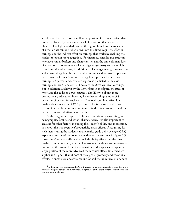an additional math course as well as the portion of that math effect that can be explained by the ultimate level of education that a student obtains. The light and dark bars in the figure show how the total effect of a math class can be broken down into the direct cognitive effect on earnings and the indirect effect on earnings that works by enabling the student to obtain more education. For instance, consider two students who have similar background characteristics and the same ultimate level of education. If one student takes an algebra/geometry course in high school and the other takes, in addition to algebra/geometry, intermediate and advanced algebra, the latter student is predicted to earn 7.5 percent more than the former (intermediate algebra is predicted to increase earnings 3.2 percent and advanced algebra is predicted to increase earnings another 4.3 percent). These are the *direct effects* on earnings. But in addition, as shown by the lighter bars in the figure, the student who takes the additional two courses is also likely to obtain more postsecondary education, boosting his or her earnings another 9.8 percent (4.9 percent for each class). The total combined effect is a predicted earnings gain of 17.3 percent. This is the sum of the two effects of curriculum outlined in Figure S.6, the direct cognitive and the indirect educational attainment effects.

As the diagram in Figure S.6 shows, in addition to accounting for demographic, family, and school characteristics, it is also important to account for other factors, including the student's ability and motivation, to net out the true cognitive/productivity math effects. Accounting for such factors using the students' mathematics grade point average (GPA) explains a portion of the cognitive math effect on earnings.<sup>6</sup> Figure S.9 shows the *direct* math effects that include ability effects and the direct math effects net of ability effects. Controlling for ability and motivation diminishes the *direct* effect of mathematics, and it appears to explain a larger portion of the more advanced math course effects (intermediate algebra and higher) than it does of the algebra/geometry and vocational effects. Nonetheless, once we account for ability, the courses at or above

\_\_\_\_\_\_\_\_\_\_\_\_

 $<sup>6</sup>$ In the main text and Appendix C of this report, we present results from other ways</sup> of controlling for ability and motivation. Regardless of the exact control, the tenor of the results does not change.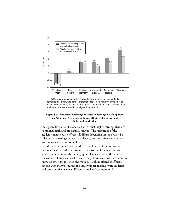



#### **Figure S.9—Predicted Percentage Increase in Earnings Resulting from an Additional Math Course (direct effects with and without ability and motivation)**

the algebra level are still associated with much higher earnings than are vocational math and pre-algebra courses. The magnitude of the academic math course effects still differs depending on the course, i.e., calculus has a stronger effect than algebra, but the differences are not as great once we account for ability.

We also examined whether the effect of curriculum on earnings depended significantly on certain characteristics of the schools that students attend, or on the demographic characteristics of the students themselves. This is a crucial concern for policymakers, who will want to know whether, for instance, the math curriculum offered at affluent schools with many resources and largely upper-income white students will prove as effective in a different school and socioeconomic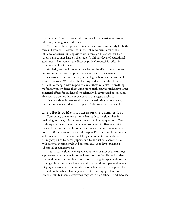environment. Similarly, we need to know whether curriculum works differently among men and women.

Math curriculum is predicted to affect earnings significantly for both men and women. However, for men, unlike women, most of the influence of curriculum appears to work through the effect that high school math courses have on the student's ultimate level of educational attainment. For women, the direct cognitive/productivity effect is stronger than it is for men.

Similarly, we sought to examine whether the effect of math courses on earnings varied with respect to other student characteristics, characteristics of the student body at the high school, and measures of school resources. We did not find strong evidence that the effect of curriculum changed with respect to any of these variables. If anything, we found weak evidence that taking more math courses might have larger beneficial effects for students from relatively disadvantaged backgrounds. However, we do not find our evidence in this regard decisive.

Finally, although these results are estimated using national data, statistical tests suggest that they apply to California students as well.

### **The Effects of Math Courses on the Earnings Gap**

Considering the important role that math curriculum plays in predicting earnings, it is important to ask a follow-up question: Can math explain the earnings gap between students of different ethnicity or the gap between students from different socioeconomic backgrounds? For the 1980 sophomore cohort, the gap in 1991 earnings between white and black and between white and Hispanic students can be almost entirely explained by demographic, family, and school characteristics, with parental income levels and parental education levels playing a substantial explanatory role.

In turn, curriculum does explain about one-quarter of the earnings gap between the students from the lowest-income families and students from middle-income families. Even more striking, it explains almost the entire gap between the students from the next-to-lowest parental income category and students from middle-income families. So, it appears that curriculum directly explains a portion of the earnings gap based on students' family income level when they are in high school. And, because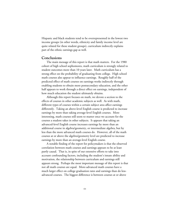Hispanic and black students tend to be overrepresented in the lowest two income groups (in other words, ethnicity and family income level are quite related for these student groups), curriculum indirectly explains part of the ethnic earnings gap as well.

## **Conclusions**

The main message of this report is that math matters. For the 1980 cohort of high school sophomores, math curriculum is strongly related to student outcomes more than 10 years later. Math curriculum has a strong effect on the probability of graduating from college. High school math courses also appear to influence earnings. Roughly half of the predicted effect of math courses on earnings works indirectly through enabling students to obtain more postsecondary education, and the other half appears to work through a direct effect on earnings, independent of how much education the student ultimately obtains.

Although this report focuses on math, we devote a section to the effects of courses in other academic subjects as well. As with math, different types of courses within a certain subject area affect earnings differently. Taking an above-level English course is predicted to increase earnings by more than taking average-level English courses. More interesting, math courses still seem to matter once we account for the courses a student takes in other subjects. It appears that taking an advanced-level English course increases earnings by more than an additional course in algebra/geometry, or intermediate algebra, but by less than the more advanced math courses do. However, all of the math courses at or above the algebra/geometry level are predicted to increase earnings by more than an average-level English course.

A notable finding of the report for policymakers is that the observed correlation between math courses and earnings appears to be at least partly causal. That is, in spite of our extensive efforts to take into account confounding factors, including the student's innate ability and motivation, the relationship between curriculum and earnings still appears strong. Perhaps the most important message of this report is that not all math courses are equal. More-advanced math courses have a much larger effect on college graduation rates and earnings than do lessadvanced courses. The biggest difference is between courses at or above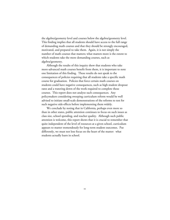the algebra/geometry level and courses below the algebra/geometry level. This finding implies that all students should have access to the full range of demanding math courses and that they should be strongly encouraged, motivated, and prepared to take them. Again, it is not simply the number of math courses that matters; what matters more is the extent to which students take the more demanding courses, such as algebra/geometry.

Although the results of this inquiry show that students who take more-advanced math courses benefit from them, it is important to note one limitation of this finding. These results do not speak to the consequences of policies requiring that all students take a specific math course for graduation. Policies that force certain math courses on students could have negative consequences, such as high student dropout rates and a watering down of the work required to complete those courses. This report does not analyze such consequences. Any policymakers considering sweeping curriculum reform would be well advised to initiate small-scale demonstrations of the reforms to test for such negative side-effects before implementing them widely.

We conclude by noting that in California, perhaps even more so than in other states, public attention continues to focus on such issues as class size, school spending, and teacher quality. Although such public attention is welcome, this report shows that it is crucial to remember that quite independent of the level of resources at a given school, curriculum appears to matter tremendously for long-term student outcomes. Put differently, we must not lose focus on the heart of the matter: what students actually learn in school.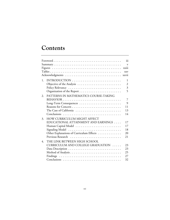# **Contents**

|         |                                                                                                                | $\dddot{\mathbf{u}}$                                  |
|---------|----------------------------------------------------------------------------------------------------------------|-------------------------------------------------------|
|         | $\text{Summary} \dots \dots \dots \dots \dots \dots \dots \dots \dots \dots \dots \dots \dots \dots$           | $\mathbf{v}$<br>xxiii<br><b>XXV</b>                   |
|         |                                                                                                                |                                                       |
| $1_{-}$ | Policy Relevance                                                                                               | $\mathbf{1}$<br>$\overline{2}$<br>$\overline{3}$<br>5 |
| 2.      | PATTERNS IN MATHEMATICS COURSE-TAKING<br>Long-Term Consequences<br>The Case of California                      | $\overline{7}$<br>9<br>11<br>13<br>14                 |
| 3.      | HOW CURRICULUM MIGHT AFFECT<br>EDUCATIONAL ATTAINMENT AND EARNINGS<br>Other Explanations of Curriculum Effects | 17<br>17<br>18<br>20<br>21                            |
| 4.      | THE LINK BETWEEN HIGH SCHOOL<br>CURRICULUM AND COLLEGE GRADUATION                                              | 23<br>23<br>25<br>27<br>32                            |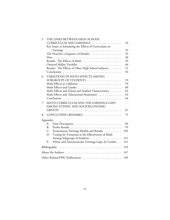| 5.                              | THE LINKS BETWEEN HIGH SCHOOL                             |     |
|---------------------------------|-----------------------------------------------------------|-----|
|                                 | CURRICULUM AND EARNINGS                                   | 33  |
|                                 | Key Issues in Estimating the Effects of Curriculum on     |     |
|                                 |                                                           | 33  |
|                                 | The Need for a Sequence of Models                         | 35  |
|                                 |                                                           | 36  |
|                                 | Results: The Effects of Math                              | 39  |
|                                 |                                                           | 46  |
|                                 | Results: The Effects of Other High School Subjects        | 51  |
|                                 |                                                           | 56  |
| 6.                              | VARIATIONS IN MATH EFFECTS AMONG                          |     |
|                                 | SUBGROUPS OF STUDENTS                                     | 59  |
|                                 | Math Effects in California                                | 59  |
|                                 |                                                           | 60  |
|                                 | Math Effects and School and Student Characteristics       | 62  |
|                                 | Math Effects and Educational Attainment                   | 63  |
|                                 |                                                           | 64  |
| 7.                              | MATH CURRICULUM AND THE EARNINGS GAPS                     |     |
|                                 | AMONG ETHNIC AND SOCIOECONOMIC                            |     |
|                                 | <b>GROUPS</b>                                             | 67  |
|                                 |                                                           | 75  |
| 8.                              |                                                           |     |
|                                 | Appendix                                                  |     |
|                                 | A.                                                        | 83  |
|                                 | B <sub>1</sub>                                            | 95  |
|                                 | C.<br>Econometric Earnings Models and Results             | 103 |
|                                 | Testing for Variations in the Effectiveness of Math<br>D. |     |
|                                 | Among Subgroups of Students                               | 131 |
|                                 | Ethnic and Socioeconomic Earnings Gaps, by Gender<br>Ε.   | 141 |
|                                 | Bibliography                                              | 143 |
|                                 |                                                           | 147 |
| Other Related PPIC Publications |                                                           | 149 |
|                                 |                                                           |     |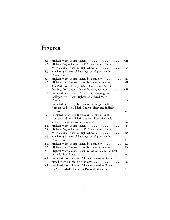# **Figures**

| S.1. | Highest Math Course Taken                             | viii        |
|------|-------------------------------------------------------|-------------|
| S.2. | Highest Degree Earned by 1992 Related to Highest      |             |
|      | Math Course Taken in High School                      | ix          |
| S.3. | Median 1991 Annual Earnings, by Highest Math          |             |
|      |                                                       | $\mathbf x$ |
| S.4. | Highest Math Course Taken, by Ethnicity               | xi          |
| S.5. | Highest Math Course Taken, by Parental Income         | xii         |
| S.6. | The Pathways Through Which Curriculum Affects         |             |
|      | Earnings (and potentially confounding factors)        | xiii        |
| S.7. | Predicted Percentage of Students Graduating from      |             |
|      | College Given Their Highest Completed Math            |             |
|      |                                                       | xiv         |
| S.8. | Predicted Percentage Increase in Earnings Resulting   |             |
|      | from an Additional Math Course (direct and indirect   |             |
|      |                                                       | XV          |
| S.9. | Predicted Percentage Increase in Earnings Resulting   |             |
|      | from an Additional Math Course (direct effects with   |             |
|      | and without ability and motivation)                   | xvii        |
| 2.1. |                                                       | 8           |
| 2.2. | Highest Degree Earned by 1992 Related to Highest      |             |
|      | Math Course Taken in High School                      | 10          |
| 2.3. | Median 1991 Annual Earnings, by Highest Math          |             |
|      |                                                       | 11          |
| 2.4. | Highest Math Course Taken, by Ethnicity               | 12          |
| 2.5. | Highest Math Course Taken, by Parental Income         | 13          |
| 2.6. | Highest Math Course Taken in California and the Rest  |             |
|      | of the United States                                  | 14          |
| 4.1. | Predicted Probability of College Graduation Given the |             |
|      | Stated Math Course, by Ethnicity                      | 28          |
| 4.2. | Predicted Probability of College Graduation Given     |             |
|      | the Stated Math Course, by Paternal Education         | 31          |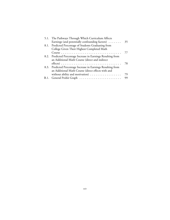| 5.1. The Pathways Through Which Curriculum Affects            |    |
|---------------------------------------------------------------|----|
| Earnings (and potentially confounding factors) $\dots \dots$  | 35 |
| 8.1. Predicted Percentage of Students Graduating from         |    |
| College Given Their Highest Completed Math                    |    |
|                                                               |    |
| 8.2. Predicted Percentage Increase in Earnings Resulting from |    |
| an Additional Math Course (direct and indirect                |    |
|                                                               | 78 |
| 8.3. Predicted Percentage Increase in Earnings Resulting from |    |
| an Additional Math Course (direct effects with and            |    |
| without ability and motivation)                               | 79 |
| B.1. General Probit Graph                                     | 99 |
|                                                               |    |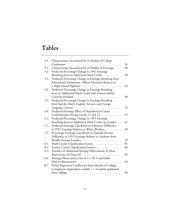# **Tables**

| 4.1. | Characteristics Accounted for in Models of College                          |    |
|------|-----------------------------------------------------------------------------|----|
|      |                                                                             | 26 |
| 5.1. | Characteristics Accounted for in Models of Earnings                         | 38 |
| 5.2. | Predicted Percentage Change in 1991 Earnings                                |    |
|      | Resulting from an Additional Math Credit                                    | 39 |
| 5.3. | Predicted Percentage Change in Earnings Resulting from                      |    |
|      | Educational Attainment: Effects Measured Relative to                        |    |
|      |                                                                             | 43 |
| 5.4. | Predicted Percentage Change in Earnings Resulting                           |    |
|      | from an Additional Math Credit with Various Ability                         |    |
|      |                                                                             | 50 |
| 5.5. | Predicted Percentage Change in Earnings Resulting                           |    |
|      | from Specific Math, English, Science, and Foreign                           |    |
|      | Language Courses                                                            | 53 |
| 5.6. | Predicted Earnings Effect of Hypothetical Course                            |    |
|      | Combinations During Grades 11 and 12                                        | 55 |
| 6.1. | Predicted Percentage Change in 1991 Earnings                                |    |
|      | Resulting from an Additional Math Credit, by Gender<br>$\ddot{\phantom{0}}$ | 61 |
| 7.1. | Predicted Earnings Gap Based on Ethnicity Difference                        |    |
|      | in 1991 Earnings Relative to White Workers                                  | 68 |
| 7.2. | Percentage Earnings Gap Based on Parental-Income                            |    |
|      | Difference in 1991 Earnings Relative to Students from                       |    |
|      | Middle-Income Families                                                      | 70 |
| A.1. | Math Course Classification System                                           | 85 |
| A.2. | Science Course Classification System                                        | 86 |
| A.3. | Number of Additional Missing Observations As More                           |    |
|      | Restrictions Are Enacted                                                    | 93 |
| A.4. | Missing Observations Out of 11,724 Total Public                             |    |
|      | School Observations                                                         | 94 |
| B.1. | Probit Regression Coefficients from Models of College                       |    |
|      | Completion (dependent variable = 1 if student graduated                     |    |
|      |                                                                             | 96 |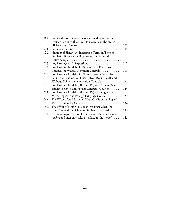| B.2. | Predicted Probabilities of College Graduation for the                 |     |
|------|-----------------------------------------------------------------------|-----|
|      | Average Person with at Least 0.5 Credits in the Stated                |     |
|      | Highest Math Course                                                   | 101 |
| C.1. |                                                                       | 105 |
| C.2. | Number of Significant Interaction Terms in Tests of                   |     |
|      | Similarity Between the Regression Sample and the                      |     |
|      |                                                                       | 111 |
| C.3. |                                                                       | 112 |
| C.4. | Log Earnings Models: OLS Regression Results with                      |     |
|      | Various Ability and Motivation Controls                               | 119 |
| C.5. | Log Earnings Models: OLS, Instrumental Variables                      |     |
|      | Estimation, and School Fixed-Effects Results With and                 |     |
|      | Without Ability and Motivation Controls $\dots \dots \dots \dots$ 121 |     |
| C.6. | Log Earnings Models (OLS and IV) with Specific Math,                  |     |
|      | English, Science, and Foreign Language Courses                        | 123 |
| C.7. | Log Earnings Models (OLS and IV) with Aggregate                       |     |
|      | Math, English, and Foreign Language Courses                           | 129 |
| D.1. | The Effect of an Additional Math Credit on the Log of                 |     |
|      | 1991 Earnings, by Gender                                              | 134 |
| D.2. | The Effect of Math Courses on Earnings When the                       |     |
|      | Effect Depends on School or Student Characteristics                   | 136 |
| E.1. | Earnings Gaps Based on Ethnicity and Parental Income                  |     |
|      | (before and after curriculum is added to the model) $\dots$ 142       |     |
|      |                                                                       |     |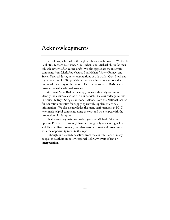## **Acknowledgments**

Several people helped us throughout this research project. We thank Paul Hill, Richard Murnane, Kim Rueben, and Michael Shires for their valuable reviews of an earlier draft. We also appreciate the insightful comments from Mark Appelbaum, Bud Mehan, Valerie Ramey, and Steven Raphael during early presentations of this work. Gary Bjork and Joyce Peterson of PPIC provided extensive editorial suggestions that improved the clarity of this report. Patricia Bedrosian of RAND also provided valuable editorial assistance.

We thank Steve Rivkin for supplying us with an algorithm to identify the California schools in our dataset. We acknowledge Aurora D'Amico, Jeffrey Owings, and Robert Atanda from the National Center for Education Statistics for supplying us with supplementary data information. We also acknowledge the many staff members at PPIC who made helpful comments along the way and who helped with the production of this report.

Finally, we are grateful to David Lyon and Michael Teitz for opening PPIC's doors to us (Julian Betts originally as a visiting fellow and Heather Rose originally as a dissertation fellow) and providing us with the opportunity to write this report.

Although our research benefited from the contributions of many people, the authors are solely responsible for any errors of fact or interpretation.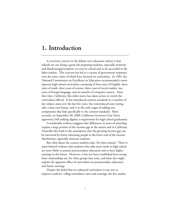## **1. Introduction**

A recurrent concern in the debate over education reform is that schools are not doing a good job preparing students, especially minority and disadvantaged students, to excel in school and to be successful in the labor market. This concern has led to a variety of government responses over the years, some of which have focused on curriculum. In 1983, the National Commission on Excellence in Education recommended a more rigorous high school curriculum consisting of four years of English, three years of math, three years of science, three years of social studies, two years of foreign language, and six months of computer science. Since that time, California, like other states, has taken action to enrich the curriculum offered. It has introduced content standards in a number of key subject areas over the last few years, has reintroduced state testing after a four-year hiatus, and is in the early stages of adding test components that link specifically to the content standards. Most recently, on September 30, 2000, California Governor Gray Davis approved a bill making algebra a requirement for high school graduation.

Considerable evidence suggests that differences in years of schooling explain a large portion of the income gap in the nation and in California. Naturally this leads to the assumption that the growing income gap can be narrowed by better educating people at the lower end of the income distribution, especially minority students.

But what about the courses students take: Do these matter? There is some limited evidence that students who take more math in high school are more likely to pursue postsecondary education and to have higher earnings in the future. However, it has not been established how strong these relationships are, for what groups they exist, and what else might explain the apparent effect of curriculum on postsecondary education and future earnings.

Despite the belief that an enhanced curriculum is one way to improve students' college attendance rates and earnings, the few studies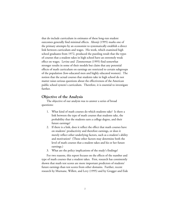that do include curriculum in estimates of these long-run student outcomes generally find minimal effects. Altonji (1995) marks one of the primary attempts by an economist to systematically establish a direct link between curriculum and wages. His work, which examined high school graduates from 1972, produced the puzzling result that the types of courses that a student takes in high school have an extremely weak effect on wages. Levine and Zimmerman (1995) find somewhat stronger results in some of their models but claim that any potential effects of math curriculum on earnings are restricted to certain subgroups of the population (low-educated men and highly educated women). The notion that the actual courses that students take in high school do not matter raises serious questions about the effectiveness of the American public school system's curriculum. Therefore, it is essential to investigate further.

### **Objective of the Analysis**

The objective of our analysis was to answer a series of broad questions:

- 1. What kind of math courses do which students take? Is there a link between the type of math courses that students take, the probability that the students earn a college degree, and their future earnings?
- 2. If there is a link, does it reflect the effect that math courses have on students' productivity and therefore earnings, or does it merely reflect other underlying factors, such as a student's ability and motivation? (These other factors may determine both the level of math courses that a student takes and his or her future earnings.)
- 3. What are the policy implications of the study's findings?

For two reasons, this report focuses on the effects of the number and type of math courses that a student takes. First, research has consistently shown that math test scores are more important predictors of students' future earnings than test scores from other domains. Further, recent research by Murnane, Willett, and Levy (1995) and by Grogger and Eide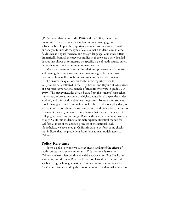(1995) shows that between the 1970s and the 1980s, the relative importance of math test scores in determining earnings grew substantially. Despite the importance of math courses, we do broaden our analysis to include the type of courses that a student takes in other fields such as English, science, and foreign language. Our study differs dramatically from all the previous studies in that we use a very detailed dataset that allows us to measure the specific type of math courses taken, rather than just the total number of math courses.

We have chosen to focus on the relationship between math courses and earnings because a student's earnings are arguably the ultimate measure of how well schools prepare students for the labor market.

To answer the questions set forth in this report, we use the longitudinal data collected in the High School and Beyond (HSB) survey of a representative national sample of students who were in grade 10 in 1980. This survey includes detailed data from the students' high school transcripts, information about the highest educational degree the student attained, and information about earnings nearly 10 years after students should have graduated from high school. The rich demographic data, as well as information about the student's family and high school, permit us to account for many noncurriculum factors that may also be related to college graduation and earnings. Because the survey data do not contain enough California students to estimate separate statistical models for California, most of the analysis proceeds at the national level. Nonetheless, we have enough California data to perform some checks that indicate that the predictions from the national models apply to California.

### **Policy Relevance**

From a policy perspective, a clear understanding of the effects of math courses is extremely important. This is especially true for California where, after considerable debate, Governor Gray Davis, the legislature, and the State Board of Education have decided to include algebra in high school graduation requirements and a new high school "exit" exam. Understanding the economic value to individual students of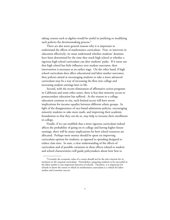taking courses such as algebra would be useful in justifying or modifying such policies the decisionmaking process.<sup>1</sup>

There are also more general reasons why it is important to understand the effects of mathematics curriculum. First, to intervene in education effectively, we must understand whether students' destinies have been determined by the time they reach high school or whether a rigorous high school curriculum can alter students' paths. If it turns out that high school has little influence over student outcomes, then intervention is necessary at an earlier stage. On the other hand, if high school curriculum does affect educational and labor market outcomes, then policies aimed at encouraging students to take a more advanced curriculum may be a way of increasing the flow into college and increasing student earnings later in life.

Second, with the recent elimination of affirmative action programs in California and some other states, there is fear that minority access to postsecondary education has suffered. As the returns to a college education continue to rise, such limited access will have severe implications for income equality between different ethnic groups. In light of the disappearance of race-based admissions policies, encouraging minority students to take more math, and improving their academic foundations so that they can do so, may help to increase their enrollment in college.

Finally, if we can establish that a more rigorous curriculum indeed affects the probability of going on to college and having higher future earnings, there will be many implications for how school resources are allocated. Perhaps more money should be spent on improving curriculum options for students, as opposed to spending designed to reduce class sizes. In sum, a clear understanding of the effects of curriculum and of possible variations in these effects related to student and school characteristics will guide policymakers about how best to

\_\_\_\_\_\_\_\_\_\_\_\_

<sup>&</sup>lt;sup>1</sup>Certainly the economic value of a course should not be the sole criterion for its inclusion in the required curriculum. Nonetheless, preparing students to be successful in the labor market is one important function of schools. Therefore, it is important for schools to know the extent to which its mathematics curriculum is a vehicle for labor market and economic success.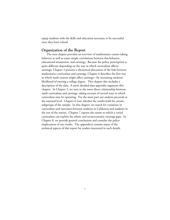equip students with the skills and education necessary to be successful once they leave school.

## **Organization of the Report**

The next chapter provides an overview of mathematics course-taking behavior as well as some simple correlations between this behavior, educational attainment, and earnings. Because the policy prescription is quite different depending on the way in which curriculum affects earnings, Chapter 3 presents a theoretical discussion of the link between mathematics curriculum and earnings. Chapter 4 describes the first way in which math courses might affect earnings—by increasing students' likelihood of earning a college degree. This chapter also includes a description of the data. A more detailed data appendix augments this chapter. In Chapter 5, we turn to the more direct relationship between math curriculum and earnings, taking account of several ways in which curriculum may be operating. For the most part our analysis proceeds at the national level. Chapter 6 tests whether the results hold for certain subgroups of the sample. In this chapter, we search for variations in curriculum and outcomes between students in California and students in the rest of the nation. Chapter 7 reports the extent to which a varied curriculum can explain the ethnic and socioeconomic earnings gaps. In Chapter 8, we provide general conclusions and consider the policy implications of our results. The appendices contain many of the technical aspects of this report for readers interested in such details.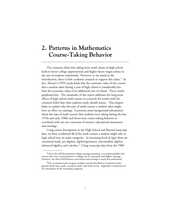# **2. Patterns in Mathematics Course-Taking Behavior**

The common claim that taking more math classes in high school leads to better college opportunities and higher future wages echoes in the ears of students nationwide. However, as we stated in the introduction, there is little academic research to support this claim.<sup>1</sup> In fact, Altonji's (1995) study finds that the economic value of the courses that a student takes during a year of high school is considerably less than the economic value of an additional year of school. These results perplexed him. The remainder of this report addresses the long-term effects of high school math courses to reconcile his results with the common belief that what students study should matter. This chapter helps to explain why the type of math courses a student takes might have an effect on earnings. It presents some background information about the type of math courses that students were taking during the late 1970s and early 1980s and shows how course-taking behavior is correlated with our two outcomes of interest: educational attainment and earnings.

Using course descriptions in the High School and Beyond transcript data, we have condensed all of the math courses a student might take in high school into six main categories. In increasing level of rigor these are vocational math, pre-algebra, algebra/geometry, intermediate algebra, advanced algebra, and calculus.2 Using transcript data from the 1980

\_\_\_\_\_\_\_\_\_\_\_\_

 $\rm ^1G$ iven the well-documented college earnings premium, it is understandable how courses that serve as prerequisites to college can be associated with higher earnings. However, the direct link between curriculum and earnings is much less understood.

 $2$ The vocational math category includes courses described as vocational math, general math, basic math, consumer math, and math review. Appendix A elaborates on the description of the remaining categories.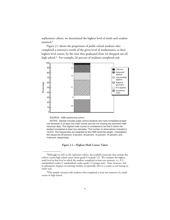sophomore cohort, we determined the highest level of math each student attained.3

Figure 2.1 shows the proportion of *public* school students who completed a semester's worth of the given level of mathematics, as their highest level course, by the time they graduated from (or dropped out of) high school.4 For example, 26 percent of students completed *only*



SOURCE: HSB sophomore cohort.

\_\_\_\_\_\_\_\_\_\_\_\_

 NOTES: Sample includes public school students who have completed at least one semester in at least one math course and are not missing any pertinent math transcript data. The highest math course is considered to be that in which the student completed at least one semester. The number of observations included is 10,073. The frequencies are weighted by the HSB transcript weight. Unweighted, the values are 26 percent, 9 percent, 30 percent, 16 percent, 16 percent, and 4 percent, respectively.

#### **Figure 2.1—Highest Math Course Taken**

<sup>3</sup>Although we refer to the *sophomore* cohort, the available transcript data include this cohort's entire high school career (from grade 9 to grade 12). We compute the highest math level as that level in which the student completed at least one semester, i.e., 0.5 standardized credits (1 standardized credit equals 1 Carnegie unit). Note, however, that in subsequent chapters on earnings models, we generally refer to a course as one lasting an entire year.

 ${}^{4}$ This sample contains only students who completed at least one semester of a math course in high school.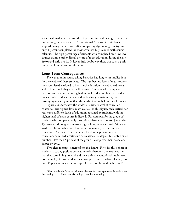vocational math courses. Another 8 percent finished pre-algebra courses, but nothing more advanced. An additional 31 percent of students stopped taking math courses after completing algebra or geometry, and only 4 percent completed the most advanced high school math course calculus. The high percentage of students who completed only low-level courses paints a rather dismal picture of math education during the late 1970s and early 1980s. It leaves little doubt why there was such a push for curriculum reform in this period.

## **Long-Term Consequences**

\_\_\_\_\_\_\_\_\_\_\_\_

The variation in course-taking behavior had long-term implications for the welfare of these students. The number and level of math courses they completed is related to how much education they obtained overall and to how much they eventually earned. Students who completed more-advanced courses during high school tended to obtain markedly higher levels of education, and a decade after graduation they were earning significantly more than those who took only lower-level courses.

Figure 2.2 shows how the students' ultimate level of education related to their highest-level math course. In this figure, each vertical bar represents different levels of education obtained by students, with the highest level of math course indicated. For example, for the group of students who completed only a vocational-level math course, just under 15 percent did not graduate from high school, whereas nearly 50 percent graduated from high school but did not obtain any postsecondary education. Another 30 percent completed some postsecondary education, or earned a certificate or an associate's degree, but only a small number—less than 5 percent of the group—completed their bachelor's degree by 1992.

Two clear messages emerge from this figure. First, for this cohort of students, a strong positive correlation exists between the math courses that they took in high school and their ultimate educational attainment. For example, of those students who completed intermediate algebra, just over 80 percent pursued some type of education beyond high school<sup>5</sup>

<sup>&</sup>lt;sup>5</sup>This includes the following educational categories: some postsecondary education (but no degree), certificate, associate's degree, and bachelor's degree.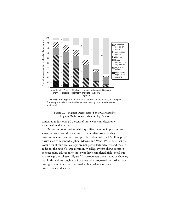

 NOTES: See Figure 2.1 for the data source, sample criteria, and weighting. The sample size is only 8,850 because of missing data on educational attainment.

### **Figure 2.2—Highest Degree Earned by 1992 Related to Highest Math Course Taken in High School**

compared to just over 30 percent of those who completed only vocational math courses.

Our second observation, which qualifies the more important result above, is that it would be a mistake to infer that postsecondary institutions shut their doors completely to those who lack "college prep" classes such as advanced algebra. Manski and Wise (1983) note that the lower tiers of four-year colleges are not particularly selective and that, in addition, the nation's large community college system allows access to postsecondary education to those who have completed high school but lack college prep classes. Figure 2.2 corroborates these claims by showing that in this cohort roughly half of those who progressed no further than pre-algebra in high school eventually obtained at least some postsecondary education.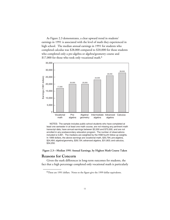As Figure 2.3 demonstrates, a clear upward trend in students' earnings in 1991 is associated with the level of math they experienced in high school. The median annual earnings in 1991 for students who completed calculus was \$28,000 compared to \$20,000 for those students who completed only a pre-algebra or algebra/geometry course and \$17,000 for those who took only vocational math.<sup>6</sup>



 NOTES: The sample includes public school students who have completed at least one semester in at least one math course, are not missing any pertinent math transcript data, have annual earnings between \$2,000 and \$75,000, and are not enrolled in any postsecondary education program. The number of observations included is 5,891. The medians are weighted by the HSB fourth follow-up weights. In 1999 dollars, the above earnings are vocational math, \$20,794; pre-algebra, \$24,464; algebra/geometry, \$28,134; advanced algebra, \$31,803; and calculus, \$34,250.

#### **Figure 2.3—Median 1991 Annual Earnings, by Highest Math Course Taken**

# **Reasons for Concern**

\_\_\_\_\_\_\_\_\_\_\_\_

Given the stark differences in long-term outcomes for students, the fact that a high percentage completed only vocational math is particularly

<sup>6</sup>These are 1991 dollars. Notes to the figure give the 1999 dollar equivalents.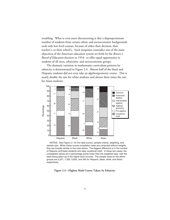troubling. What is even more disconcerting is that a disproportionate number of students from certain ethnic and socioeconomic backgrounds took only low-level courses, because of either their decision, their teacher's, or their school's. Such inequities contradict one of the main objectives of the American education system set forth by the *Brown v. Board of Education* decision in 1954: to offer equal opportunity to students of all races, ethnicities, and socioeconomic groups.

The dramatic variation in mathematics curriculum patterns by ethnicity is demonstrated in Figure 2.4. Almost half of the black and Hispanic students did not even take an algebra/geometry course. This is nearly double the rate for white students and almost three times the rate for Asian students.



 NOTES: See Figure 2.1 for the data source, sample criteria, weighting, and sample size. When these course completion rates are computed without weights, they are broadly similar to the ones above. The biggest difference is in the number of Hispanic and black students who take vocational math. In these two cases, the unweighted values are 5 percentage points lower than the weighted case, with the slack being taken up in the higher-level courses. The sample sizes for the ethnic groups are 2,221, 1,320, 5,855, and 345 for Hispanic, black, white, and Asian, respectively.

**Figure 2.4—Highest Math Course Taken, by Ethnicity**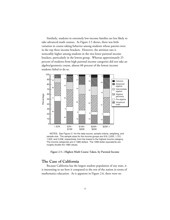Similarly, students in extremely low-income families are less likely to take advanced math courses. As Figure 2.5 shows, there was little variation in course-taking behavior among students whose parents were in the top three income brackets. However, the attrition rate is noticeably higher among students in the two lower parental income brackets, particularly in the lowest group. Whereas approximately 25 percent of students from high parental income categories did not take an algebra/geometry course, almost 60 percent of the lowest income students failed to do so.



 NOTES: See Figure 2.1 for the data source, sample criteria, weighting, and sample size. The sample sizes for the income groups are 916, 2,833, 1,751, 1,503, and 2,258, respectively, from the lowest to the highest income category. The income categories are in 1980 dollars. The 1999 dollar equivalents are roughly double the 1980 values.

**Figure 2.5—Highest Math Course Taken, by Parental Income**

# **The Case of California**

Because California has the largest student population of any state, it is interesting to see how it compared to the rest of the nation in terms of mathematics education. As is apparent in Figure 2.6, there were no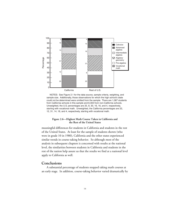

 NOTES: See Figure 2.1 for the data source, sample criteria, weighting, and sample size. Additionally, those observations for which the high school's state could not be determined were omitted from the sample. There are 1,087 students from California schools in this sample and 8,303 from non-California schools. Unweighted, the U.S. percentages are 25, 8, 30, 16, 16, and 4, respectively, starting with vocational math. Unweighted, the California percentages are 22, 12, 31, 14, 18, and 4, respectively, starting with vocational math.

#### **Figure 2.6—Highest Math Course Taken in California and the Rest of the United States**

meaningful differences for students in California and students in the rest of the United States. At least for the sample of students shown (who were in grade 10 in 1980), California and the other states experienced similar trends in course-taking behavior. So although most of the analysis in subsequent chapters is concerned with results at the national level, the similarities between students in California and students in the rest of the nation help assure us that the results we find at a national level apply to California as well.

# **Conclusions**

A substantial percentage of students stopped taking math courses at an early stage. In addition, course-taking behavior varied dramatically by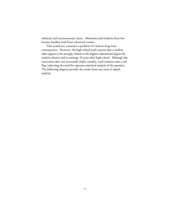ethnicity and socioeconomic status. Minorities and students from lowincome families took fewer advanced courses.

This would not constitute a problem if it had no long-term consequences. However, the high school math courses that a student takes appear to be strongly related to the highest educational degree the student obtains and to earnings 10 years after high school. Although this association does not necessarily imply causality, such statistics raise a red flag, indicating the need for rigorous statistical analysis of the question. The following chapters provide the results from our more in-depth analysis.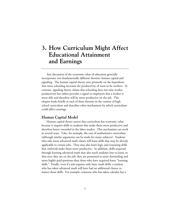# **3. How Curriculum Might Affect Educational Attainment and Earnings**

Any discussion of the economic value of education generally incorporates two fundamentally different theories: human capital and signaling. The human capital theory rests primarily on the hypothesis that more schooling increases the productivity of soon-to-be workers. In contrast, signaling theory claims that schooling does not raise worker productivity but rather provides a signal to employers that a worker is more able and therefore will be more productive on the job. This chapter looks briefly at each of these theories in the context of high school curriculum and describes other mechanisms by which curriculum could affect earnings.

# **Human Capital Model**

Human capital theory asserts that curriculum has economic value because it imparts skills to students that make them more productive and therefore better rewarded in the labor market. This mechanism can work in several ways. Take, for example, the case of mathematics curriculum (although similar arguments can be made for many subjects). Students who take more advanced math classes will learn skills that may be *directly* applicable to certain jobs. They may also learn logic and reasoning skills that *indirectly* make them more productive. In addition, skills acquired through learning advanced math may also teach students *how* to learn, so that once they are on the job, they are promoted to more demanding and more highly paid positions than those who have acquired fewer "learning skills." Finally, even if a job requires only basic math skills, a student who has taken advanced math will have had an additional chance to master those skills. For example, someone who has taken calculus has a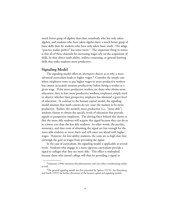much better grasp of algebra than does somebody who has only taken algebra, and students who have taken algebra have a much better grasp of basic skills than do students who have only taken basic math. The adage "practice makes perfect" has some merit.<sup>1</sup> The important thing to notice is that all of these channels for increasing wages rely on the acquisition of skills, be they direct math ability, indirect reasoning, or general learning skills that make students more productive.

## **Signaling Model**

\_\_\_\_\_\_\_\_\_\_\_\_

The signaling model offers an alternative theory as to why a more advanced curriculum leads to higher wages.2 Consider the simple case where employers want to pay higher wages to more productive workers but cannot accurately measure productivity before hiring a worker at a given wage. If the more productive workers are those who obtain more education, then to hire more productive workers, employers simply need to observe whether their prospective employee has obtained a given level of education. In contrast to the human capital model, the signaling model assumes that math courses do not *cause* the student to be more productive. Rather, the innately more productive (i.e., "more able") students choose to obtain the specific levels of education that provide signals to prospective employers. The driving force behind this theory is that the more able students will acquire this signal because they can do so at a lower cost than the less able students. In other words, the psychic, monetary, and time costs of obtaining the signal are low enough for the more able students to incur them and still come out ahead with higher wages. However, for low-ability students, the costs are so high that they outweigh the gain in wages from providing the signal.

In the case of curriculum, the signaling model is applicable at several levels. Students who engage in a more rigorous curriculum provide a signal to colleges that they are more able. This effect is multiplied, because those who attend college will then be providing a signal to

 ${}^{1}$ Gamoran (1998) mentions this phenomenon and cites other corroborating studies as well.

<sup>&</sup>lt;sup>2</sup>The general signaling model was first presented by Spence (1973). See Ehrenberg and Smith (1997) for further discussion of the human capital and signaling models.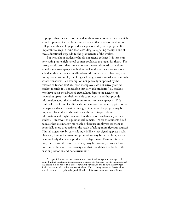employers that they are more able than those students with merely a high school diploma. Curriculum is important in that it opens the door to college, and then college provides a signal of ability to employers. It is important to keep in mind that, according to signaling theory, none of these educational steps add to the productivity of the worker.

But what about students who do not attend college? It is less clear how taking more high school courses could act as a signal for them. The theory would assert that those who take a more advanced curriculum would signal to employers of high school graduates that they are more able than their less academically advanced counterparts. However, this presupposes that employers of high school graduates actually look at high school transcripts—an assumption not generally supported by the research of Bishop (1989). Even if employers do not actively review student records, it is conceivable that very able students (i.e., students who have taken the advanced curriculum) foresee the need to set themselves apart from their less able counterparts and thus provide information about their curriculum to prospective employers. This could take the form of additional comments on a standard application or perhaps a verbal explanation during an interview. Employers may be impressed by students who anticipate the need to provide such information and might therefore hire these more academically advanced students. However, the question still remains: Were the students hired because they are innately more able or because employers see them as potentially more productive as the result of taking more rigorous courses? If initial wages vary by curriculum, it is likely that signaling plays a role. However, if wage increases and promotions vary by curriculum, it may be more likely that actual productivity plays a role. Even in this latter case, there is still the issue that ability may be positively correlated with both curriculum and productivity and that it is ability that leads to the raise or promotion and not curriculum.3

 $3$ It is possible that employers do not use educational background as a signal of ability but that the student possesses some characteristic (unobservable to the researcher) that causes him or her to take a more advanced curriculum and to earn higher wages. Such a pattern would lead to endogeneity bias. This is closely related to the signaling model, because it recognizes the possibility that differences in returns from different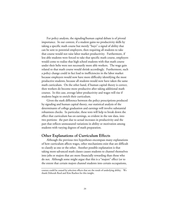For policy analysts, the signaling/human capital debate is of pivotal importance. In our context, if a student gains no productivity skills by taking a specific math course but merely "buys" a signal of ability that can be sent to potential employers, then requiring all students to take that course would not raise labor market productivity. Furthermore, if less able students were forced to take that specific math course, employers would come to realize that high school students with that math course under their belts were not necessarily more able workers. The wage gain related to that math course would shrink accordingly. Furthermore, such a policy change could in fact lead to inefficiencies in the labor market because employers would now have more difficulty identifying the most productive students, because all students would now have taken the same math curriculum. On the other hand, if human capital theory is correct, then workers do become more productive after taking additional math courses. In this case, average labor productivity and wages will rise if students begin to enrich their curriculum.

Given the stark difference between the policy prescriptions produced by signaling and human capital theory, our statistical analysis of the determinants of college graduation and earnings will involve substantial robustness checks. In particular, these tests will help to break down the effect that curriculum has on earnings, so evident in the raw data, into two portions: the part due to actual increases in productivity and the part that reflects unmeasured variations in ability or motivation among students with varying degrees of math preparation.

# **Other Explanations of Curriculum Effects**

Although the previous two hypotheses encompass many explanations of how curriculum affects wages, other mechanisms exist that are difficult to classify as one or the other. Another possible explanation is that taking more-advanced math classes causes students to channel themselves into jobs or majors that are more financially rewarding than those who do not. Although some might argue that this is a "majors" effect (or to the extent that certain majors channel students into certain occupations,

**\_\_\_\_\_\_\_\_\_\_\_\_\_\_\_\_\_\_\_\_\_\_\_\_\_\_\_\_\_\_\_\_\_\_\_\_\_\_\_\_\_\_\_\_\_\_\_\_\_\_\_\_\_\_\_\_** courses could be caused by selection effects that are the result of underlying ability. We thank Deborah Reed and Kim Rueben for this insight.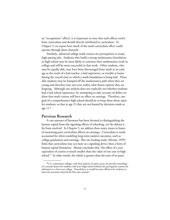an "occupations" effect), it is important to note that such effects evolve from curriculum and should thus be attributed to curriculum. In Chapter 5, we report how much of the math curriculum effect could operate through these channels.

Similarly, advanced college math courses are prerequisites to many high-paying jobs. Students who build a strong mathematics foundation in high school may be more likely to continue their mathematics work in college and will be more successful in that work. Other students, who may be equally able, may have been discouraged from math at an early age as the result of a bad teacher, a bad experience, or trouble at home during the crucial time in which a math foundation is being laid. These able students may be bumped off the mathematics path when they are young and therefore may not even realize what future options they are forgoing. Although our analysis does not explicitly test whether students had a bad school experience, by attempting to take account of ability we show that math courses still have an effect on earnings. Therefore, one goal of a comprehensive high school should be to keep those doors open for students, so that at age 21 they are not bound by decisions made at age 11.4

## **Previous Research**

\_\_\_\_\_\_\_\_\_\_\_\_

A vast amount of literature has been devoted to distinguishing the human capital from the signaling effects of schooling, yet the debate is far from resolved. In Chapter 5, we address these many issues in hopes of measuring pure curriculum effects on earnings. Curriculum is rarely accounted for when modeling long-term student outcomes, such as college graduation and earnings. But one leading study (Altonji, 1995) finds that curriculum may act more as a signaling device than a form of human capital formation. Altonji concludes that "the effect of a year equivalent of courses is much smaller than the value of one year in high school." In other words, the whole is greater than the sum of its parts.

 $4U.S.$  community colleges, with their policies of open access, do provide something of a second chance for students who leave high school without the prerequisite courses for admission to a four-year college. Nonetheless, it would be more efficient for students to learn the necessary material the first time around.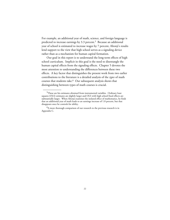For example, an additional year of math, science, and foreign language is predicted to increase earnings by  $3.3$  percent.<sup>5</sup> Because an additional year of school is estimated to increase wages by 7 percent, Altonji's results lend support to the view that high school serves as a signaling device rather than as a mechanism for human capital formation.

Our goal in this report is to understand the long-term effects of high school curriculum. Implicit in this goal is the need to disentangle the human capital effects from the signaling effects. Chapter 5 devotes the most attention to understanding the differences between these two effects. A key factor that distinguishes the present work from two earlier contributions to the literature is a detailed analysis of the *types* of math courses that students take.6 Our subsequent analysis shows that distinguishing between types of math courses is crucial.

<sup>&</sup>lt;sup>5</sup>These are his estimates obtained from instrumental variables. Ordinary least squares (OLS) estimates are slightly larger and OLS with high school fixed effects are substantially larger. When Altonji examines the isolated effect of mathematics, he finds that an additional year of math leads to an earnings increase of 1.8 percent, but that disappears once he controls for ability.

<sup>&</sup>lt;sup>6</sup>A more thorough comparison of our research to the previous research is in Appendix C.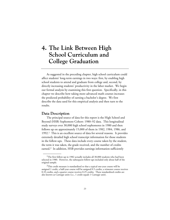# **4. The Link Between High School Curriculum and College Graduation**

As suggested in the preceding chapter, high school curriculum could affect students' long-term earnings in two ways: first, by enabling high school students to attend and graduate from college and, second, by directly increasing students' productivity in the labor market. We begin our formal analysis by examining this first question. Specifically, in this chapter we describe how taking more advanced math courses increases the predicted probability of earning a bachelor's degree. We first describe the data used for this empirical analysis and then turn to the results.

## **Data Description**

\_\_\_\_\_\_\_\_\_\_\_\_

The principal source of data for this report is the High School and Beyond (HSB) Sophomore Cohort: 1980–92 data. This longitudinal study surveys over 30,000 high school sophomores in 1980 and then follows up on approximately 15,000 of them in 1982, 1984, 1986, and 1992.1 This is an excellent source of data for several reasons. It provides extremely detailed high school transcript information for those students in the follow-ups. These data include every course taken by the student, the term it was taken, the grade received, and the number of credits earned.<sup>2</sup> In addition, HSB provides earnings information sufficiently

<sup>&</sup>lt;sup>1</sup>The first follow-up in 1982 actually includes all 30,000 students who had been selected in 1980. However, the subsequent follow-ups included only about half of the original sample.

 $2$ This credit measure is standardized so that a typical one-year course will be assigned 1 credit, a half-year course will be assigned 0.5 credits, a trimester course receives 0.33 credits, and a quarter course receives 0.25 credits. These standardized credits are also known as Carnegie units (i.e., 1 credit equals 1 Carnegie unit).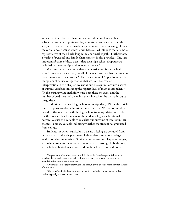long after high school graduation that even those students with a substantial amount of postsecondary education can be included in the analysis. These later labor market experiences are more meaningful than the earlier ones, because students will have settled into jobs that are more representative of their likely long-term labor market path. Furthermore, a wealth of personal and family characteristics is also provided. One last important feature of these data is that even high school dropouts are included in the transcript and follow-up surveys.<sup>3</sup>

We constructed data on mathematics curriculum from the high school transcript data, classifying all of the math courses that the students took into one of six categories. $4$  The data section of Appendix A details the system of course categorization that we use. For ease of interpretation in this chapter, we use as our curriculum measure a series of dummy variables indicating the highest level of math course taken.5 (In the ensuing wage analysis, we use both these measures and the number of credits earned by each student in each of the six math course categories.)

In addition to detailed high school transcript data, HSB is also a rich source of postsecondary education transcript data. We do not use these data directly, as we did with the high school transcript data, but we do use the pre-calculated measure of the student's highest educational degree. We use this variable to calculate our outcome of interest in this chapter: a binary variable indicating whether the student has graduated from college.

Students for whom curriculum data are missing are excluded from our analysis. In this chapter, we exclude students for whom college graduation data are missing. Similarly, in the ensuing chapter on wages, we exclude students for whom earnings data are missing. In both cases, we include only students who attend public schools. For additional

 $3R$ espondents who miss a year are still included in the subsequent follow-up if possible. Even students who are selected into the base-year survey but miss it are included in the follow-ups if possible.

<sup>&</sup>lt;sup>4</sup>Other academic subject areas were also used, but we describe math here for the sake of simplicity.

<sup>5</sup>We consider the highest course to be that in which the student earned at least 0.5 credits (typically a one-semester course.)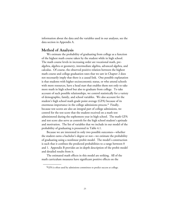information about the data and the variables used in our analyses, see the data section in Appendix A.

# **Method of Analysis**

\_\_\_\_\_\_\_\_\_\_\_\_

We estimate the probability of graduating from college as a function of the highest math course taken by the student while in high school. The math course levels in increasing order are vocational math, prealgebra, algebra or geometry, intermediate algebra, advanced algebra, and calculus. Of course, the observed positive relation between the highest math course and college graduation rates that we saw in Chapter 2 does not necessarily imply that there is a causal link. One possible explanation is that students with higher socioeconomic status, or who attend schools with more resources, have a head start that enables them not only to take more math in high school but also to graduate from college. To take account of such possible relationships, we control statistically for a variety of demographic, family, and school variables. We also account for the student's high school math grade point average (GPA) because of its enormous importance in the college admissions process.<sup>6</sup> Finally, because test scores are also an integral part of college admissions, we control for the test score that the student received on a math test administered during the sophomore year in high school. The math GPA and test score also serve as controls for the high school student's aptitude and motivation. The list of variables that we include in our model of the probability of graduating is presented in Table 4.1.

Because we are interested in only two possible outcomes—whether the student earns a bachelor's degree or not—we estimate the probability of graduating using a nonlinear probit model. The model's construction is such that it confines the predicted probabilities to a range between 0 and 1. Appendix B provides an in-depth description of the probit model and detailed results from it.

The estimated math effects in this model are striking. All of the math curriculum measures have significant positive effects on the

<sup>&</sup>lt;sup>6</sup>GPA is often used by admissions committees to predict success at college.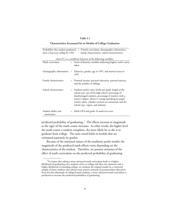### **Table 4.1**

#### **Characteristics Accounted for in Models of College Graduation**

|                                                                                     |          | Probability that student graduated $=$ F(math curriculum, demographic information,                                                                                                                                                                                                                                                 |  |  |
|-------------------------------------------------------------------------------------|----------|------------------------------------------------------------------------------------------------------------------------------------------------------------------------------------------------------------------------------------------------------------------------------------------------------------------------------------|--|--|
| from a four-year college by 1992<br>family characteristics, school characteristics) |          |                                                                                                                                                                                                                                                                                                                                    |  |  |
|                                                                                     |          |                                                                                                                                                                                                                                                                                                                                    |  |  |
| where $F(.)$ is a nonlinear function of the following variables:                    |          |                                                                                                                                                                                                                                                                                                                                    |  |  |
| Math curriculum                                                                     |          | = Series of dummy variables indicating highest math course<br>taken                                                                                                                                                                                                                                                                |  |  |
| Demographic information                                                             | $\equiv$ | Ethnicity, gender, age in 1991, and marital status in<br>1991                                                                                                                                                                                                                                                                      |  |  |
| Family characteristics                                                              |          | = Parental income, parental education, parental nativity,<br>and the number of siblings                                                                                                                                                                                                                                            |  |  |
| School characteristics                                                              |          | = Student-teacher ratio, books per pupil, length of the<br>school year, size of the high school, percentage of<br>disadvantaged students, percentage of teachers with a<br>master's degree, district's average spending per pupil,<br>teacher salary, whether teachers are unionized, and the<br>school type, region, and urbanity |  |  |
| Student ability and<br>motivation                                                   |          | = Math GPA and grade 10 math test score                                                                                                                                                                                                                                                                                            |  |  |

predicted probability of graduating.<sup>7</sup> The effects increase in magnitude as the rigor of the math course increases. In other words, the higher level the math course a student completes, the more likely he or she is to graduate from college. The same trend holds in models that are estimated separately by gender.

Because of the statistical nature of the nonlinear probit model, the magnitude of the predicted math effects varies depending on the characteristics of the student. Therefore, we present estimates of the effect of math curriculum on the predicted probability of graduating

<sup>&</sup>lt;sup>7</sup>To ensure that taking a more advanced math curriculum leads to a higher likelihood of graduating once students arrive at college and does not represent only a higher likelihood of attending college, we estimate the original model on a restricted sample of those students who obtain some positive amount of postsecondary education. Even for this subsample of college-bound students, a more advanced math curriculum is predicted to increase the predicted probability of graduating.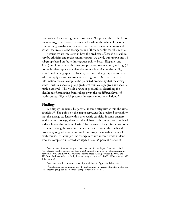from college for various groups of students. We present the math effects for an *average* student—i.e., a student for whom the values of the other conditioning variables in the model, such as socioeconomic status and school resources, are the average value of those variables for all students.

Because we are interested in how the predicted effects of curriculum vary by ethnicity and socioeconomic group, we divide our sample into 16 subgroups based on four ethnic groups (white, black, Hispanic, and Asian) and four parental-income groups (poor, low, medium, and high).8 For each subgroup, we calculate the mean values of all of the family, school, and demographic explanatory factors of that group and use this value to typify an average student in that group. Once we have this information, we can compute the predicted probability that the average student within a specific group graduates from college, given any specific math class level. This yields a range of probabilities describing the likelihood of graduating from college given the six different levels of math courses. Figure 4.1 presents the results of our calculations.<sup>9</sup>

## **Findings**

\_\_\_\_\_\_\_\_\_\_\_\_

We display the results by parental income categories within the same ethnicity.10 The points on the graphs represent the predicted probability that the average students within the specific ethnicity-income category graduate from college, given that the highest math course they completed is the value on the horizontal axis. The increase in height from one point to the next along the same line indicates the increase in the predicted probability of graduation resulting from taking the next-highest-level math course. For example, the average medium-income white student who has completed intermediate algebra has a 35 percent chance of

<sup>&</sup>lt;sup>8</sup>We use fewer income categories here than we did in Chapter 2 for easier display. *Poor* refers to families earning less than \$7,000 annually. *Low* refers to families earning between \$7,000 and \$20,000. *Medium* refers to those earning between \$20,000 and \$25,000. And *high* refers to family income categories above \$25,000. (These are in 1980 dollar values.)

 $9W$ e have included the actual table of probabilities in Appendix Table B.2.

<sup>10</sup>Similar analyses comparing how the probabilities vary across ethnicities within the same income group can also be made using Appendix Table B.2.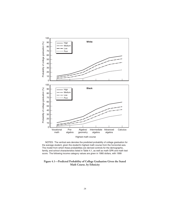

 NOTES: The vertical axis denotes the predicted probability of college graduation for the average student, given the student's highest math course from the horizontal axis. The model from which these probabilities are derived controls for the demographic, family, and school characteristics listed in Table 4.1, as well as math GPA and math test score. The following income category values are given in 1980 dollars, with 1999

#### **Figure 4.1—Predicted Probability of College Graduation Given the Stated Math Course, by Ethnicity**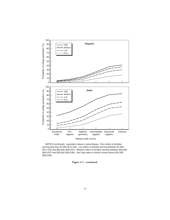

 NOTES (continued): equivalent values in parentheses. Poor refers to families earning less than \$7,000 (\$14,153). Low refers to families earning between \$7,000 (\$14,153) and \$20,000 (\$40,437). Medium refers to families earning between \$20,000 (\$40,437) and \$25,000 (\$50,546). And high refers to family income above \$25,000 (\$50,546).

**Figure 4.1—continued**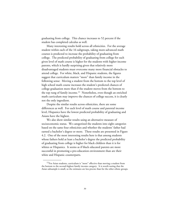graduating from college. This chance increases to 52 percent if the student has completed calculus as well.

Many interesting results hold across all ethnicities. For the average student within each of the 16 subgroups, taking more-advanced math courses is predicted to increase the probability of graduating from college. The predicted probability of graduating from college for each given level of math course is higher for the students with higher-income parents, which is hardly surprising given that relatively more disadvantaged students must overcome many more financial obstacles to attend college. For white, black, and Hispanic students, the figures suggest that curriculum matters "more" than family income in the following sense: Moving a student from the bottom to the top level of high school math course increases the student's predicted chances of college graduation more than if the student moves from the bottom to the top rung of family income.11 Nonetheless, even though an enriched math curriculum may improve the chances of college success, it is clearly not the only ingredient.

Despite the similar results across ethnicities, there are some differences as well. For each level of math course and parental income level, Hispanics have the lowest predicted probability of graduating and Asians have the highest.

We also show similar results using an alternative measure of socioeconomic status. We categorized the students into eight categories based on the same four ethnicities and whether the students' father had earned a bachelor's degree or more. These results are presented in Figure 4.2. One of the most interesting results here is that among students whose fathers hold at least a bachelor's degree the predicted probability of graduating from college is higher for black children than it is for whites or Hispanics. It seems as if black educated parents are more successful in promoting a pro-education environment than are their white and Hispanic counterparts.

<sup>&</sup>lt;sup>11</sup>For Asian students, curriculum is "more" effective than moving a student from the bottom to the second-highest family income category. It is worth noting that the Asian subsample is small, so the estimates are less precise than for the other ethnic groups.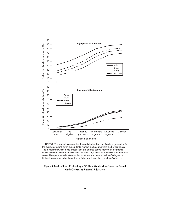

 NOTES: The vertical axis denotes the predicted probability of college graduation for the average student, given the student's highest math course from the horizontal axis. The model from which these probabilities are derived controls for the demographic, family, and school characteristics listed in Table 4.1, as well as math GPA and math test score. High paternal education applies to fathers who have a bachelor's degree or higher, low paternal education refers to fathers with less that a bachelor's degree.

## **Figure 4.2—Predicted Probability of College Graduation Given the Stated Math Course, by Paternal Education**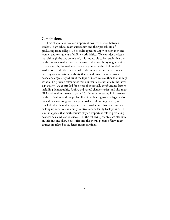# **Conclusions**

This chapter confirms an important positive relation between students' high school math curriculum and their probability of graduating from college. The results appear to apply to both men and women and to students of different ethnicities. We consider the issue that although the two are related, it is impossible to be certain that the math courses actually *cause* an increase in the probability of graduation. In other words, do math courses actually increase the likelihood of graduation, or do the students who take more advanced math courses have higher motivation or ability that would cause them to earn a bachelor's degree regardless of the type of math courses they took in high school? To provide reassurance that our results are not due to the latter explanation, we controlled for a host of potentially confounding factors, including demographic, family, and school characteristics, and also math GPA and math test score in grade 10. Because the strong links between math curriculum and the probability of graduating from college persist even after accounting for these potentially confounding factors, we conclude that there does appear to be a math effect that is not simply picking up variations in ability, motivation, or family background. In sum, it appears that math courses play an important role in predicting postsecondary education success. In the following chapter, we elaborate on this link and show how it fits into the overall picture of how math courses are related to students' future earnings.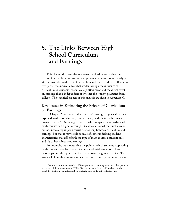# **5. The Links Between High School Curriculum and Earnings**

This chapter discusses the key issues involved in estimating the effects of curriculum on earnings and presents the results of our analysis. We estimate the total effect of curriculum and then divide this effect into two parts: the indirect effect that works through the influence of curriculum on students' overall college attainment and the direct effect on earnings that is independent of whether the student graduates from college. The technical aspects of this analysis are given in Appendix C.

# **Key Issues in Estimating the Effects of Curriculum on Earnings**

In Chapter 2, we showed that students' earnings 10 years after their expected graduation date vary systematically with their math coursetaking patterns.1 On average, students who completed more-advanced math courses had higher earnings. We also cautioned that such a trend did not necessarily imply a causal relationship between curriculum and earnings, but that it may result because of some underlying student characteristics that affect both the type of math courses a student takes and his or her subsequent earnings.

For example, we showed that the point at which students stop taking math courses varies by parental income level, with students of lowincome parents dropping out of math course-taking much earlier. The low level of family resources, rather than curriculum per se, may prevent

 $1$ Because we use a cohort of the 1980 sophomore class, they are expected to graduate at the end of their senior year in 1982. We use the term "expected" to allow for the possibility that some sample members graduate early or do not graduate at all.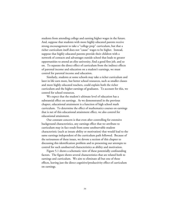students from attending college and earning higher wages in the future. And, suppose that students with more highly educated parents receive strong encouragement to take a "college prep" curriculum, but that a richer curriculum itself does not "cause" wages to be higher. Instead, suppose that highly educated parents provide their children with a network of contacts and advantages outside school that leads to greater opportunities to attend an elite university, find a good first job, and so on. To separate the direct effect of curriculum from the indirect effects of parental income and education on a student's earnings, we must control for parental income and education.

Similarly, students at some schools may take a richer curriculum and later in life earn more, but better school resources, such as smaller classes and more highly educated teachers, could explain both the richer curriculum and the higher earnings of graduates. To account for this, we control for school resources.

We expect that the student's ultimate level of education has a substantial effect on earnings. As we demonstrated in the previous chapter, educational attainment is a function of high school math curriculum. To determine the effect of mathematics courses on earnings that is net of this educational attainment effect, we also control for educational attainment.

Our constant concern is that even after controlling for extensive background characteristics, any earnings effect that we attribute to curriculum may in fact result from some unobservable student characteristic (such as innate ability or motivation) that would lead to the same earnings independent of the curriculum path followed. Because of the seriousness of these issues, we devote a section of this chapter to discussing this identification problem and to presenting our attempts to control for such unobserved characteristics as ability and motivation.

Figure 5.1 shows a schematic view of these potentially confounding factors. The figure shows several characteristics that are related both to earnings and curriculum. We aim to eliminate all but one of these effects, leaving just the direct cognitive/productivity effect of curriculum on earnings.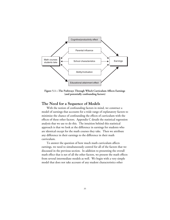

**Figure 5.1—The Pathways Through Which Curriculum Affects Earnings (and potentially confounding factors)**

# **The Need for a Sequence of Models**

With the notion of confounding factors in mind, we construct a model of earnings that accounts for a wide range of explanatory factors to minimize the chance of confounding the effects of curriculum with the effects of these other factors. Appendix C details the statistical regression analysis that we use to do this. The intuition behind this statistical approach is that we look at the difference in earnings for students who are identical except for the math courses they take. Then we attribute any difference in their earnings to the difference in their math curriculum.

To answer the question of how much math curriculum affects earnings, we need to simultaneously control for all of the factors that we discussed in the previous section. In addition to presenting the overall math effect that is net of all the other factors, we present the math effects from several intermediate models as well. We begin with a very simple model that does not take account of any student characteristics other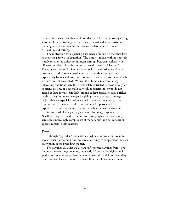than math courses. We then build on that model by progressively taking account of, or controlling for, the other personal and school attributes that might be responsible for the observed relation between math curriculum and earnings.

The motivation for displaying a sequence of models is that they help to show the pathway of causation. The simplest model with no controls simply restates the difference in mean earnings between workers with different numbers of math courses that we discussed in Chapter 2. Then, by controlling for family and school characteristics, we observe how much of the original math effect is due to these two groups of explanatory factors and how much is due to the characteristics for which we have not yet accounted. We will then be able to answer many interesting questions. Are the effects solely restricted to those who go on to attend college, or does math curriculum benefit those who do not attend college as well? Similarly, among college graduates, does a richer math curriculum increase wages by giving students access to college majors that are especially well rewarded in the labor market, such as engineering? To test these ideas, we account for postsecondary experience in our models and examine whether the math curriculum effects can be wholly or partially explained by college experience. Needless to say, the predicted effects of taking high school math vary across this increasingly complex set of models, but the final conclusion appears robust: Math matters.

## **Data**

Although Appendix A presents detailed data information, we note several salient facts about our measure of earnings to supplement the data description in the preceding chapter.

The earnings data that we use are self-reported earnings from 1991. Because these earnings are measured nearly 10 years after high school graduation, even those students who obtained substantial postsecondary education will have earnings data that reflect their long-run earnings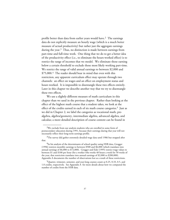profile better than data from earlier years would have.2 The earnings data do not explicitly measure an hourly wage (which is a much better measure of actual productivity) but rather just the aggregate earnings during the year.<sup>3</sup> Thus, no distinction is made between earnings from part-time and full-time work. One thing that we do to get a better idea of the productivity effect (i.e., to eliminate the hours-worked effect) is to restrict the range of incomes that we model. We eliminate those earning below a certain threshold to exclude those most likely working part-time. We restrict the range of valid annual earnings to between \$2,000 and \$75,000.4 The reader should bear in mind that even with this restriction, any apparent curriculum effect may operate through two channels: an effect on wages and an effect on employment status and hours worked. It is impossible to disentangle these two effects entirely. Later in this chapter we describe another way that we try to disentangle these two effects.

We use a slightly different measure of math curriculum in this chapter than we used in the previous chapter. Rather than looking at the effect of the highest math course that a student takes, we look at the effect of the credits earned in each of six math course categories.<sup>5</sup> Just as we did in Chapter 2, we label the categories as vocational math, prealgebra, algebra/geometry, intermediate algebra, advanced algebra, and calculus; a more detailed description of course content can be found in

<sup>&</sup>lt;sup>2</sup>We exclude from our analysis students who are enrolled in some form of postsecondary education during 1991, because their earnings during that year will not necessarily reflect their long-term earnings profile.

 $3$ The survey did gather extremely detailed wage data until 1986 but stopped after that.

<sup>&</sup>lt;sup>4</sup>In his analysis of the determinants of school quality using HSB data, Grogger (1996) restricts monthly earnings to between \$500 and \$6,000 (which translates into annual earnings of \$6,000 to \$72,000). Grogger and Eide (1995) restrict wage values to between \$1 and \$100 per hour (for a worker who works 40 hours a week for 50 weeks of the year; that restriction translates into annual earnings of \$2,000 to \$200,000). Appendix A documents the number of observations lost as a result of these restrictions.

 $5$ Quarter, trimester, semester, and year-long courses count as 0.25, 0.33, 0.5, and 1.0 credits, respectively. See Appendix A for more details about how we computed the number of credits from the HSB data.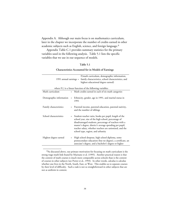Appendix A. Although our main focus is on mathematics curriculum, later in the chapter we incorporate the number of credits earned in other academic subjects such as English, science, and foreign language.<sup>6</sup>

Appendix Table C.1 provides summary statistics for the primary variables used in the following analysis. Table 5.1 lists the specific variables that we use in our sequence of models.

#### **Table 5.1**

**Characteristics Accounted for in Models of Earnings**

| 1991 annual earnings $=$                                    |          | F(math curriculum, demographic information,<br>family characteristics, school characteristics, and<br>highest educational degree earned)                                                                                                                                                                                           |  |  |  |
|-------------------------------------------------------------|----------|------------------------------------------------------------------------------------------------------------------------------------------------------------------------------------------------------------------------------------------------------------------------------------------------------------------------------------|--|--|--|
| where F(.) is a linear function of the following variables: |          |                                                                                                                                                                                                                                                                                                                                    |  |  |  |
| Math curriculum                                             | $\equiv$ | Math credits earned in each of six math categories                                                                                                                                                                                                                                                                                 |  |  |  |
| Demographic information                                     | $=$      | Ethnicity, gender, age in 1991, and marital status in<br>1991                                                                                                                                                                                                                                                                      |  |  |  |
| Family characteristics                                      | $=$      | Parental income, parental education, parental nativity,<br>and the number of siblings                                                                                                                                                                                                                                              |  |  |  |
| School characteristics                                      |          | = Student-teacher ratio, books per pupil, length of the<br>school year, size of the high school, percentage of<br>disadvantaged students, percentage of teachers with a<br>master's degree, district's average spending per pupil,<br>teacher salary, whether teachers are unionized, and the<br>school type, region, and urbanity |  |  |  |
| Highest degree earned                                       | $=$      | High school dropout, high school diploma, some<br>postsecondary education (but no degree), a certificate, an<br>associate's degree, and a bachelor's degree or higher                                                                                                                                                              |  |  |  |

<sup>&</sup>lt;sup>6</sup>As discussed above, our primary motivation for focusing on math curriculum is the strong wage-math link found by Murnane et al. (1995). Another practical reason is that the content of math courses is much more comparable across schools than is the content of courses in other subjects (see Porter et al., 1993). In other words, calculus is calculus whether one lives in the North, South, East, or West. This enables us to separate courses by their level of difficulty. Such a task is not so straightforward in other subjects that are not as uniform in content.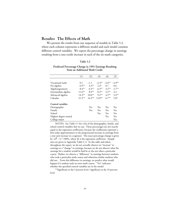# **Results: The Effects of Math**

We present the results from our sequence of models in Table 5.2, where each column represents a different model and each model contains different control variables. We report the percentage change in earnings resulting from a one-credit increase in each of the six math categories.

#### **Table 5.2**

| Predicted Percentage Change in 1991 Earnings Resulting |                                |  |  |  |
|--------------------------------------------------------|--------------------------------|--|--|--|
|                                                        | from an Additional Math Credit |  |  |  |

|                       | (1)       | (2)       | (3)       | (4)        | (5)       |
|-----------------------|-----------|-----------|-----------|------------|-----------|
|                       |           |           |           |            |           |
| Vocational math       | 0.1       | $-1.1$    | $-2.4***$ | $-2.6***$  | $-2.9***$ |
| Pre-algebra           | $6.9**$   | $4.3***$  | $2.3*$    | 0.7        | 0.6       |
| Algebra/geometry      | $8.4***$  | $6.3***$  | $6.3***$  | $3.2***$   | $2.7***$  |
| Intermediate algebra  | $11.6***$ | $8.9**$   | $8.2***$  | $3.2***$   | 2.2       |
| Advanced algebra      | $14.3***$ | $10.6***$ | $9.2***$  | $4.3***$   | $3.4***$  |
| Calculus              | $21.5***$ | $16.3***$ | $12.8***$ | $6.7***$   | $5.8*$    |
| Control variables     |           |           |           |            |           |
| Demographic           |           | Yes       | Yes       | Yes        | Yes       |
| Family                |           | Yes       | Yes       | Yes        | Yes       |
| School                |           |           | Yes       | <b>Yes</b> | Yes       |
| Highest degree earned |           |           |           | Yes        | Yes       |
| College major         |           |           |           |            | Yes       |
|                       |           |           |           |            |           |

NOTES: See Table 5.1 for a list of the demographic, family, and school control variables that we use. These percentages are not exactly equal to the regression coefficients, because the coefficients represent a first-order approximation to the proportional increase in earnings from a one-unit increase in a regressor. The exact percentage change is given by  $(e<sup>β</sup> - 1) * 100%$ , where  $β$  is the regression coefficient. Sample sizes are given in Appendix Table C.3. In this table and others throughout the report, we do not actually observe an "increase" in earnings or a "change" in earnings, because we do not observe what the earnings for a student would be had he or she not taken a particular course. Rather, we observe a "difference" in earnings between students who took a particular math course and otherwise similar students who did not. From this difference in earnings, we predict what would happen if a student took an extra math course. "Yes" indicates whether the specified control variables are in the model.

\*\*Significant at the 5 percent level; \*significant at the 10 percent level.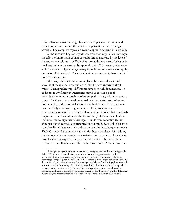Effects that are statistically significant at the 5 percent level are noted with a double asterisk and those at the 10 percent level with a single asterisk. The complete regression results appear in Appendix Table C.3.

Without controlling for any other factors that might affect earnings, the effects of most math courses are quite strong and vary by the level of the course (see column 1 of Table 5.2). An additional year of calculus is predicted to increase earnings by approximately 21.5 percent, whereas an additional year of algebra or geometry is predicted to increase earnings by only about 8.4 percent.7 Vocational math courses seem to have almost no effect on earnings.

Obviously, this first model is simplistic, because it does not take account of many other observable variables that are known to affect wages. Demographic wage differences have been well documented. In addition, many family characteristics may lead certain types of individuals to follow a certain curriculum path. Thus, it is imperative to control for these so that we do not attribute their effects to curriculum. For example, students of high-income and high-education parents may be more likely to follow a rigorous curriculum program relative to students of poorer and less-educated families, but families that place high importance on education may also be instilling values in their children that may lead to high future earnings. Results from models with the aforementioned controls are presented in column 2. (See Table 5.1 for a complete list of these controls and the controls in the subsequent models. Table C.1 provides summary statistics for these variables.) After adding the demographic and family characteristics, the math curriculum effects drop by about one-quarter but remain substantial. The curriculum effects remain different across the math course levels. A credit earned in

<sup>7</sup>These percentages are not exactly equal to the regression coefficients in Appendix Table C.3, because the coefficients represent a first-order approximation to the proportional increase in earnings from a one-unit increase in a regressor. The exact percentage change is given by (e $\beta$  – 1) \* 100%, where  $\beta$  is the regression coefficient. We do not actually observe an "increase" in earnings or a "change" in earnings, because we do not observe what the earnings for a student would be had he or she not taken a particular course. Rather, we observe a "difference" in earnings between students who took a particular math course and otherwise similar students who did not. From this difference in earnings, we predict what would happen if a student took an extra math course.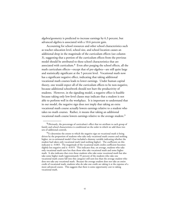algebra/geometry is predicted to increase earnings by 6.3 percent, but advanced algebra is associated with a 10.6 percent gain.

Accounting for school resources and other school characteristics such as teacher education level, school size, and school location causes an additional drop in the magnitude of the curriculum effects (see column 3), suggesting that a portion of the curriculum effects from the previous model should be attributed to these school characteristics that are associated with curriculum.8 Even after purging the school effects, all the math curriculum effects—except that of pre-algebra—are still quite large and statistically significant at the 5 percent level. Vocational math now has a significant negative effect, indicating that taking additional vocational math courses leads to lower earnings. Under human capital theory, one would expect all of the curriculum effects to be non-negative, because additional schoolwork should not hurt the productivity of students. However, in the signaling model, a negative effect is feasible because taking only low-level classes may indicate that a student is not able to perform well in the workplace. It is important to understand that in our model, the negative sign does not imply that taking an extra vocational math course actually lowers earnings relative to a student who takes no math courses. Rather, it means that taking an additional vocational math course lowers earnings relative to the average student.9

 $8$ Obviously, the percentage of curriculum's effect that we attribute to each group of family and school characteristics is conditional on the order in which we add these two sets of additional controls.

 $^{9}$ To determine the extent to which the negative sign on vocational math is being driven by the proportion of students who take only vocational math courses and nothing higher, we re-estimated model 4 but included a dummy variable indicating whether the student had taken only vocational math (and nothing higher). The coefficient on this indicator is –0.065. The magnitude of the vocational math credits coefficient becomes slightly less negative and is  $-0.019$ . This indicates that, on average, students who take only vocational math earn less than those who take vocational math and some higher math. It also indicates that even those students who take some vocational math but also take some higher math (approximately 35 percent of the students who take one vocational math course fall into this category) still earn less than the average student who does not take any vocational math. Because the average student does not take an entire credit of vocational math, students who do take one credit are taking it at the expense of a more advanced course. This suggests that there is some opportunity cost to taking vocational math.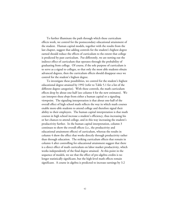To further illuminate the path through which these curriculum effects work, we control for the postsecondary educational attainment of the student. Human capital models, together with the results from the last chapter, suggest that adding controls for the student's highest degree earned should reduce the effects of curriculum to the extent that college is predicted by past curriculum. Put differently, we are netting out the indirect effect of curriculum that operates through the probability of graduating from college. Of course, if the sole purpose of curriculum is to serve as a signal to colleges, so that only the most able students obtain advanced degrees, then the curriculum effects should disappear once we control for the student's highest degree.

To investigate these possibilities, we control for the student's highest educational degree attained by 1992 (refer to Table 5.1 for a list of the different degree categories). With these controls, the math curriculum effects drop by about one-half (see column 4 for the new estimates). We can interpret these *drops* from either a human capital or a signaling viewpoint. The signaling interpretation is that about one-half of the overall effect of high school math reflects the way in which math courses enable more-able students to attend college and therefore signal their ability to their employers. The human capital interpretation is that math courses in high school increase a student's efficiency, thus increasing his or her chances to attend college, and in this way increasing the student's productivity further. In the human capital interpretation, column 3 continues to show the overall effects (i.e., the productivity and educational attainment effects) of curriculum, whereas the results in column 4 show the effect that works directly through productivity rather than through education. The striking curriculum effects that remain in column 4 after controlling for educational attainment suggest that there is a direct effect of math curriculum on labor market productivity, which works independently of the final degree attained. At this point in the sequence of models, we see that the effect of pre-algebra credits is no longer statistically significant, but the high-level math effects remain significant. A course in algebra is predicted to increase earnings by 3.2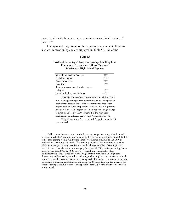percent and a calculus course appears to increase earnings by almost 7 percent.10

The signs and magnitudes of the educational attainment effects are also worth mentioning and are displayed in Table 5.3. All of the

### **Table 5.3**

## **Predicted Percentage Change in Earnings Resulting from Educational Attainment: Effects Measured Relative to a High School Diploma**

| $41***$  |
|----------|
| $29***$  |
| $20**$   |
| $5***$   |
|          |
| $6***$   |
| $-13***$ |
|          |

NOTES: These effects correspond to model 4 in Table 5.2. These percentages are not exactly equal to the regression coefficients, because the coefficients represent a first-order approximation to the proportional increase in earnings from a one-unit increase in a regressor. The exact percentage change is given by  $(e^{\beta} - 1) * 100\%$ , where  $\beta$  is the regression coefficient. Sample sizes are given in Appendix Table C.3.

\*\*Significant at the 5 percent level; \* significant at the 10 percent level.

<sup>10</sup>What other factors account for the 7 percent change in earnings that the model predicts for calculus? Coming from a family with a higher income (greater than \$25,000) rather than coming from a family with a mid-level income (\$20,000 to \$25,000) is predicted to have almost the same effect as taking calculus. Furthermore, the calculus effect is almost great enough to offset the predicted negative effect of coming from a family in the extremely low income category (less than \$7,000) relative to coming from a family in the \$20,000 to \$25,000 category. In addition, the calculus effect counterbalances the predicted effect of having a mother with less than a high school diploma rather than having a mother with a high school diploma. Are there any school resources that affect earnings as much as taking a calculus course? Not even reducing the percentage of disadvantaged students at a school by 25 percentage points outweighs the effect of taking a calculus course. See Appendix Table C.3 for the effects of all variables in the model.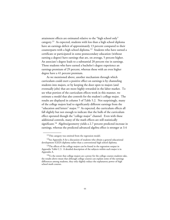attainment effects are estimated relative to the "high school only" category.11 As expected, students with less than a high school diploma have an earnings deficit of approximately 13 percent compared to their counterparts with a high school diploma.12 Students who have earned a certificate or participated in some postsecondary education (without earning a degree) have earnings that are, on average, 5 percent higher. An associate's degree leads to a substantial 20 percent rise in earnings. Those students who have earned a bachelor's degree experience an earnings premium of 29 percent, whereas those with an even higher degree have a 41 percent premium.

As we mentioned above, another mechanism through which curriculum could exert a positive effect on earnings is by channeling students into majors, or by keeping the door open to majors (and eventually jobs) that are more highly rewarded in the labor market. To see what portion of the curriculum effects work in this manner, we estimate a model that also controls for the student's college major. The results are displayed in column 5 of Table 5.2. Not surprisingly, many of the college majors lead to significantly different earnings from the "education and letters" major.<sup>13</sup> As expected, the curriculum effects all fall slightly but not enough to indicate that the bulk of the curriculum effect operated though the "college major" channel. Even with these additional controls, many of the math effects are still statistically significant.<sup>14</sup> Algebra/geometry yields a 2.7 percent predicted increase in earnings, whereas the predicted advanced algebra effect is stronger at 3.4

<sup>&</sup>lt;sup>11</sup>This category was omitted from the regression model.

 $12$ See Appendix A for a discussion of students who obtain a general educational development (GED) diploma rather than a conventional high school diploma.

 $13$ The effects of the college majors can be found in the regression output in Appendix Table C.3. A detailed description of the subjects within each major is in Appendix A.

 $14$ To the extent that college majors are a proxy for the college courses students take, the results above mean that although college courses can explain some of the earnings differences among students, they only slightly reduce the explanatory power of high school math courses.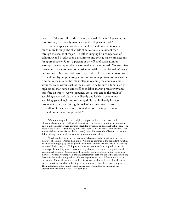percent. Calculus still has the largest predicted effect at 5.8 percent, but it is now only statistically significant at the 10 percent level.<sup>15</sup>

In sum, it appears that the effects of curriculum seem to operate much more through the channels of educational attainment than through the choice of major. Together, judging by a comparison of columns 3 and 5, educational attainment and college major can account for approximately 55 to 75 percent of the effect of curriculum on earnings, depending on the type of math course examined. Yet even after these effects are accounted for, curriculum wields an additional influence on earnings. One potential cause may be the role that a more rigorous curriculum plays in procuring admission to more prestigious universities. Another cause may be the role it plays in opening the doors to a more advanced track within each of the majors. Finally, curriculum taken in high school may have a direct effect on labor market productivity and therefore on wages. As we suggested above, this can be the result of acquiring analytic skills that are directly applicable to certain jobs, acquiring general logic and reasoning skills that indirectly increase productivity, or by acquiring the skill of learning how to learn. Regardless of the exact cause, it is vital to note the importance of curriculum in the earnings model.<sup>16</sup>

<sup>&</sup>lt;sup>15</sup>We also thought that there might be important interactions between the educational attainment variables and the majors. For example, these interactions could help us differentiate between earnings effects for physicians and medical technicians. The effect of the former is identified by a (bachelor's plus \* health major) term and the latter is identified by an (associate's \* health major) term. However, the effects on curriculum did not change substantially when these interactions were added.

 $^{16}$ To check the stability of the results, we also estimated a model with alternative measures of earnings. Rather than using 1991 annual earnings as the dependent variable, we modified it slightly by dividing by the number of months that the person was actively employed during the year. This provides a better measure of worker productivity. At each stage, the resulting math effects were very close to those from the original model using annual earnings. Because using the monthly earnings measure meant losing many more observations resulting from missing employment data, we decided to continue using the original annual earnings values. We also experimented with different measures of curriculum. Rather than use the number of credits earned in each level of math course, we used a series of variables indicating the highest math course the student completed. The implications of the model remain unchanged. For further discussion of this alternative curriculum measure, see Appendix C.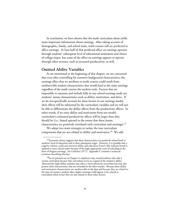In conclusion, we have shown that the math curriculum alone yields some important information about earnings. After taking account of demographic, family, and school traits, math courses still are predicted to affect earnings. At least half of that predicted effect on earnings operates through students' subsequent level of educational attainment and choice of college major, but some of the effect on earnings appears to operate through other avenues, such as increased productivity, as well.

## **Omitted Ability Variables**

\_\_\_\_\_\_\_\_\_\_\_\_

As we mentioned at the beginning of this chapter, we are concerned that even after controlling for extensive background characteristics, the earnings effect that we attribute to math courses could result from unobservable student characteristics that would lead to the same earnings regardless of the math courses the student took. Factors that are impossible to measure and include fully in any school-earnings study are students' innate characteristics such as ability, motivation, and drive. If we do not specifically account for these factors in our earnings model, their effects will be subsumed by the curriculum variables and we will not be able to differentiate the ability effects from the productivity effects. In other words, if we omit ability and motivation from our model, curriculum's estimated productivity effects will be larger than they should be (i.e., biased upward to the extent that these innate characteristics are positively correlated with curriculum and earnings).17

We adopt two main strategies to isolate the true curriculum components that are not related to ability and motivation.18 We add

<sup>&</sup>lt;sup>17</sup>Economic theory suggests that these characteristics are positively related both to students' level of education and to their subsequent wages. However, it is possible that a negative relation could arise between ability and education if more-able students found it optimal to leave school earlier because of the high opportunity costs of schooling in the form of forgone earnings. See Griliches (1977). Appendix C contains a technical summary describing this bias.

<sup>&</sup>lt;sup>18</sup>As we pointed out in Chapter 3, employers may reward students who take a certain curriculum because that curriculum serves as a signal of the student's ability. Alternatively, high-ability students may select a more-advanced curriculum but may also possess other characteristics that are rewarded in the labor market. Because these ability and motivation characteristics are unobservable in the data and because they are related to the type of courses a student takes, higher earnings could appear to be related to curriculum when in fact they are just related to these other factors.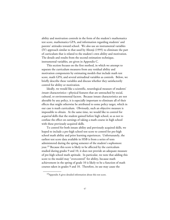ability and motivation controls in the form of the student's mathematics test score, mathematics GPA, and information regarding students' and parents' attitudes toward school. We also use an instrumental variables (IV) approach similar to that used by Altonji (1995) to eliminate the part of curriculum that is related to the student's own ability and motivation. The details and results from the second estimation technique, instrumental variables, are given in Appendix C.

This section focuses on the first method, in which we attempt to separate the curriculum measures from any residual ability and motivation components by estimating models that include math test score, math GPA, and several attitudinal variables as controls. Below, we briefly describe these variables and discuss whether they satisfactorily control for ability or motivation.

Ideally, we would like a scientific, neurological measure of students' *innate* characteristics—physical features that are untouched by social, cultural, or environmental factors. Because innate characteristics are not alterable by any policy, it is especially important to eliminate all of their effects that might otherwise be attributed to some policy target, which in our case is math curriculum. Obviously, such an objective measure is impossible to obtain. At the same time, we would like to control for *acquired* skills that the student gained before high school, so as not to confuse the effect on earnings of taking a math course in high school with these previously acquired skills.

To control for both innate ability and previously acquired skills, we hoped to include a pre-high school test score to control for pre-high school math ability and prior learning experiences. Unfortunately, the earliest test score data available in HSB is from a series of tests administered during the spring semester of the student's sophomore year.19 Because this score is likely to be affected by the curriculum studied during grades 9 and 10, it does not provide an adequate measure of pre-high school math aptitude. In particular, we note that adding this score to the model may "overcontrol" for ability, because math achievement in the spring of grade 10 is likely to be a function of math courses taken in grades 9 and 10. Therefore, its use may cause the

<sup>&</sup>lt;sup>19</sup>Appendix A gives detailed information about this test score.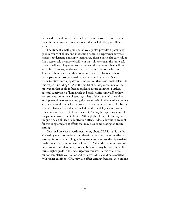estimated curriculum effects to be lower than the true effects. Despite these shortcomings, we present models that include the grade 10 test score.

The student's math grade point average also provides a potentially good measure of ability and motivation because it represents how well students understand and apply themselves, given a particular curriculum. It is a reasonable measure of ability in that, all else equal, the more able students will earn higher scores on homework and exams than will the less able. However, grades are not strictly a function of such scores. They are often based on other non-content-related factors such as participation in class, punctuality, neatness, and behavior. Such characteristics more aptly describe motivation than true innate talent. In this respect, including GPA in the model of earnings accounts for the motivation that could influence student's future earnings. Further, parental supervision of homework and study habits surely affects how well students do in their classes, regardless of the students' true ability. Such parental involvement and guidance in their children's education has a strong cultural base, which to some extent may be accounted for by the parental characteristics that we include in the model (such as income, education, and nativity). Nonetheless, GPA may be capturing some of the parental involvement effects. Although the effect of GPA may not uniquely be an ability or a motivation effect, it does allow us to account for this conglomerate of effects that may have some bearing on future earnings.

One final drawback worth mentioning about GPA is that it can be affected by math course level, and therefore the direction of its effect on earnings is not obvious. High-ability students who take the highest-level math course may wind up with a lower GPA than their counterparts who only take medium-level math courses because it may be more difficult to earn a higher grade in the most rigorous courses. In this case, if we cannot completely control for ability, lower GPAs could be associated with higher earnings. GPA may also affect earnings because, even among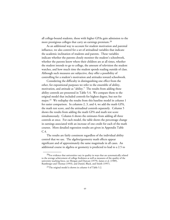all college-bound students, those with higher GPAs gain admission to the more prestigious colleges that carry an earnings premium.<sup>20</sup>

As an additional way to account for student motivation and parental influence, we also control for a set of attitudinal variables that indicate the academic inclination of students and parents. These variables indicate whether the parents closely monitor the student's schoolwork, whether the parents know where their children are at all times, whether the student intends to go to college, the amount of television the student watches, and how much time the student spends reading outside of class. Although such measures are subjective, they offer a possibility of controlling for a student's motivation and attitudes toward schoolwork.

Considering the difficulty in distinguishing one effect from the other, for expositional purposes we refer to the ensemble of ability, motivation, and attitude as "ability." The results from adding these ability controls are presented in Table 5.4. We compare them to the original model that included controls for highest degree, but not for major.<sup>21</sup> We redisplay the results from this baseline model in column 1 for easier comparison. In columns 2, 3, and 4, we add the math GPA, the math test score, and the attitudinal controls separately. Column 5 shows the results from adding the math GPA and math test score simultaneously. Column 6 shows the estimates from adding all three controls at once. For each model, the table shows the percentage change in earnings associated with an increase of one credit for each of the math courses. More detailed regression results are given in Appendix Table C.4.

The results are fairly consistent regardless of the individual ability control that we use. The algebra/geometry math effects appear significant and of approximately the same magnitude in all cases. An additional course in algebra or geometry is predicted to lead to a 2.5 to

 $^{20}$ For evidence that universities vary in quality in ways that are systematically related to the average achievement of college freshmen as well as measures of the quality of the university teaching force, see Morgan and Duncan (1979), James et al. (1989), Rumberger and Thomas (1993), and Daniel, Black, and Smith (1997).

<sup>&</sup>lt;sup>21</sup>The original model is shown in column 4 of Table 5.2.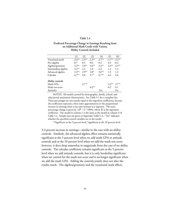### **Table 5.4**

### **Predicted Percentage Change in Earnings Resulting from an Additional Math Credit with Various Ability Controls Included**

| (1)       | (2)      | (3)       | (4)       | (5)              | (6)      |
|-----------|----------|-----------|-----------|------------------|----------|
| $-2.6***$ | $-2.9**$ | $-2.3***$ | $-2.7***$ | $-2.7***-3.2***$ |          |
| 0.7       | 0.5      | 0.6       | 0.2       | 0.5              | $-0.2$   |
| $3.2***$  | $3.0**$  | $2.6***$  | $3.3***$  | $2.6***$         | $2.5***$ |
| $3.2***$  | 2.2.     | 1.8       | 2.4       | 1.2              | 1.2      |
| $4.3***$  | $2.9**$  | $2.8*$    | $3.6***$  | 1.9              | 1.3      |
| $6.7***$  | 4.8      | $5.7*$    | $6.7***$  | 4.6              | 4.6      |
|           |          |           |           |                  |          |
|           | $3.7***$ |           |           | $3.4***$         | $3.7**$  |
|           |          | $0.3***$  |           | 0.2              | 0.1      |
|           |          |           | Yes       |                  | Yes      |
|           |          |           |           |                  |          |

NOTES: All models control for demographic, family, school, and educational attainment characteristics. See Table 5.1 for a complete list. These percentages are not exactly equal to the regression coefficients, because the coefficients represent a first-order approximation to the proportional increase in earnings from a one-unit increase in a regressor. The exact percentage change is given by  $(e<sup>β</sup> – 1) * 100%$ , where β is the regression coefficient. The model in column 1 is the same as the model in column 4 of Table 5.2. Sample sizes are given in Appendix Table C.4. "Yes" indicates whether the specified control variables are in the model.

\*\*Significant at the 5 percent level; \*significant at the 10 percent level.

3.3 percent increase in earnings—similar to the case with no ability controls. Similarly, the advanced algebra effect remains statistically significant at the 5 percent level when we add math GPA or attitude controls and at the 10 percent level when we add the math test score; however, it does drop somewhat in magnitude from the case of no ability controls. The calculus coefficient remains significant at the 5 percent level when we add attitude controls, but it is only borderline significant when we control for the math test score and is no longer significant when we add the math GPA. Adding the controls jointly does not alter the results much. The algebra/geometry and the vocational math effects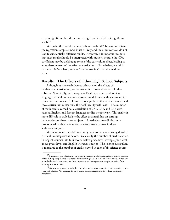remain significant, but the advanced algebra effects fall to insignificant levels.22

We prefer the model that controls for math GPA because we retain the regression sample almost in its entirety and the other controls do not lead to substantially different results. However, it is important to note that such results should be interpreted with caution, because the GPA coefficient may be picking up some of the curriculum effect, leading to an understatement of the effect of curriculum. Nonetheless, we think that math GPA is less prone to "overcontrolling" than the math test score.

## **Results: The Effects of Other High School Subjects**

Although our research focuses primarily on the effects of mathematics curriculum, we do extend it to cover the effect of other subjects. Specifically, we incorporate English, science, and foreign language curriculum measures into our model because they make up the core academic courses.23 However, one problem that arises when we add these curriculum measures is their collinearity with math. The number of math credits earned has a correlation of 0.54, 0.36, and 0.38 with science, English, and foreign language credits, respectively. This makes it more difficult to truly isolate the effect that math has on earnings independent of these other subjects. Nonetheless, we still find very pronounced math effects as well as effects from courses in these additional subjects.

We incorporate the additional subjects into the model using detailed curriculum categories as before. We classify the number of credits earned in English courses into four levels: below grade level, average grade level, above grade level, and English literature courses. The science curriculum is measured as the number of credits earned in each of six science course

 $22$ The size of the effects may be changing across model specifications in part because of the falling sample sizes that result from missing data in some of the controls. When we include the math test score, we lose 13 percent of the regression sample resulting from missing test score data.

 $23$ We also estimated models that included social science credits, but the main results were not altered. We decided to leave social science credits out to reduce collinearity problems.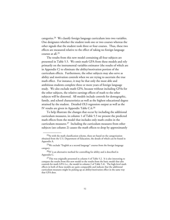categories.24 We classify foreign language curriculum into two variables. One designates whether the student took one or two courses whereas the other signals that the student took three or four courses. Thus, these two effects are measured relative to the effect of taking no foreign language courses at all.25

The results from this new model containing all four subjects are presented in Table 5.5. We omit math GPA from these models and rely primarily on the instrumental variables estimator (the results of which are in Appendix C) to eliminate the ability/motivation portion of the curriculum effects. Furthermore, the other subjects may also serve as ability and motivation controls when we are trying to ascertain the true math effect. For instance, it may be that only the most able and ambitious students complete three or more years of foreign language study. We also exclude math GPA, because without including GPAs for the other subjects, the relative earnings effects of math to the other subjects will be distorted. All models include controls for demographic, family, and school characteristics as well as the highest educational degree attained by the student. Detailed OLS regression output as well as the IV results are given in Appendix Table C.6.26

To help illustrate the changes that occur by including the additional curriculum measures, in column 1 of Table 5.5 we present the predicted math effects from the model that includes only math credits in the curriculum measures.27 Including the curriculum measures from other subjects (see column 2) causes the math effects to drop by approximately

 $^{24}$ As with the math classification scheme, these are based on the categorization obtained from the U.S. Department of Education, the details of which can be found in Appendix A.

<sup>25</sup>We exclude "English as a second language" courses from the foreign language category.

<sup>26</sup>IV is an alternative method for controlling for ability and is described in Appendix C.

 $27$ This was originally presented in column 4 of Table 5.2. It is also interesting to compare the results from this new model to the results from the basic model that also controls for math GPA (i.e., the model in column 2 of Table 5.4). The high-level math effects in both of these models are quite comparable and indicate that the additional curriculum measures might be picking up an ability/motivation effect in the same way that GPA does.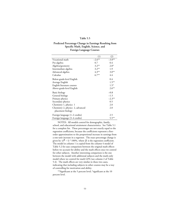#### **Table 5.5**

## **Predicted Percentage Change in Earnings Resulting from Specific Math, English, Science, and Foreign Language Courses**

|                                  | (1)       | (2)       |
|----------------------------------|-----------|-----------|
| Vocational math                  | $-2.6***$ | $-3.0**$  |
| Pre-algebra                      | 0.7       | 0.4       |
| Algebra/geometry                 | $3.2***$  | $2.0*$    |
| Intermediate algebra             | $3.2***$  | 1.9       |
| Advanced algebra                 | $4.3***$  | $3.0**$   |
| Calculus                         | $6.7***$  | 4.4       |
| Below-grade-level English        |           | 0.4       |
| Average English                  |           | $1.5***$  |
| English literature courses       |           | $1.5*$    |
| Above-grade-level English        |           | $2.6***$  |
| Basic biology                    |           | $-0.8$    |
| General biology                  |           | $-1.5$    |
| Primary physics                  |           | $-2.3***$ |
| Secondary physics                |           | 0.5       |
| Chemistry 1, physics 1           |           | 2.0       |
| Chemistry 2, physics 2, advanced |           | 2.0       |
| placement biology                |           |           |
| Foreign language (1-2 credits)   |           | 2.5       |
| Foreign language (3–4 credits)   |           | $5.5***$  |

NOTES: All models control for demographic, family,

school, and educational attainment characteristics. See Table 5.1 for a complete list. These percentages are not exactly equal to the regression coefficients, because the coefficients represent a firstorder approximation to the proportional increase in earnings from a one-unit increase in a regressor. The exact percentage change is given by (e<sup>β</sup> - 1) \* 100%, where β is the regression coefficient. The model in column 1 is copied from the column 4 model of Table 5.2 for easy comparison between the original math effects before we account for ability and the math effects once we control for other subjects. Another interesting comparison is the one between the model with additional subjects and the math-only model where we control for math GPA (see column 2 of Table 5.4). The math effects are very similar in these two cases, indicating that including subjects in other courses may be a way of controlling for motivation and ability.

\*\*Significant at the 5 percent level; \*significant at the 10 percent level.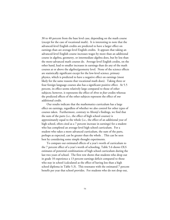30 to 40 percent from the base level case, depending on the math course (except for the case of vocational math). It is interesting to note that the advanced-level English credits are predicted to have a larger effect on earnings than are average-level English credits. It appears that taking an advanced-level English course increases wages by more than an additional course in algebra, geometry, or intermediate algebra does, but by less than the more-advanced math courses do. Average-level English credits, on the other hand, lead to smaller increases in earnings than do any of the math courses at or above the algebra/geometry level. None of the science effects are statistically significant except for the low-level science, primary physics, which is predicted to have a negative effect on earnings (most likely for the same reasons that vocational math does). Taking three or four foreign language courses also has a significant positive effect. At 5.5 percent, its effect seems relatively large compared to those of other subjects; however, it represents the effect of *three to four* credits whereas the predicted effects of the other subjects represent the effect of *one* additional credit.

Our results indicate that the mathematics curriculum has a large effect on earnings, regardless of whether we also control for other types of courses taken. Furthermore, contrary to Altonji's findings, we find that the sum of the parts (i.e., the effect of high school courses) is approximately equal to the whole (i.e., the effect of an additional year of high school, often cited as a 7 percent increase in earnings) for a student who has completed an average-level high school curriculum. For a student who takes a more advanced curriculum, the sum of the parts, perhaps as expected, can be greater than the whole . This can be seen best by considering some simple thought experiments.

To compare our estimated effects of a year's worth of curriculum to the 7 percent effect of a year's worth of schooling, Table 5.6 shows OLS estimates of potential combinations of high school curriculum during the last two years of school. The first row shows that students who drop out in grade 10 experience a 13 percent earnings deficit compared to those who stay in school (calculated as the effect of having less than a high school diploma in Table 5.3). This resonates with the estimated 7 percent benefit per year that school provides. For students who do not drop out,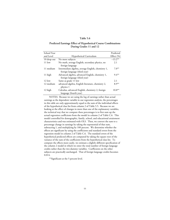## **Table 5.6**

### **Predicted Earnings Effect of Hypothetical Course Combinations During Grades 11 and 12**

| School Year      |                                                     | Predicted      |
|------------------|-----------------------------------------------------|----------------|
| and Level        | <b>Hypothetical Curriculum</b>                      | Effect $(\% )$ |
| 10 drop out      | No more subjects                                    | $-13.2**$      |
| $11 \text{ low}$ | No math, average English, secondary physics, no     | 2.1            |
|                  | foreign language                                    |                |
| 11 medium        | Intermediate algebra, average English, chemistry 1, | $7.0**$        |
|                  | foreign language (third year)                       |                |
| 11 high          | Advanced algebra, advanced English, chemistry 1,    | $9.4***$       |
|                  | foreign language (third year)                       |                |
| $12 \text{ low}$ | Same as grade 11 low                                | 2.1            |
| 12 medium        | advanced algebra, English literature, chemistry 2,  | $8.9**$        |
|                  | physics 1                                           |                |
| 12 high          | Calculus, advanced English, chemistry 2, foreign    | $10.8***$      |
|                  | language (fourth year)                              |                |

NOTES: Because we are using the log of earnings rather than actual earnings as the dependent variable in our regression analysis, the percentages in this table are only approximately equal to the sum of the individual effects of the hypothetical class list from column 2 of Table 5.5. Because we are looking at the effect of changes in more than one of the explanatory variables, the technical way that we compute these percentages is to first sum up the actual regression coefficients from the model in column 2 of Table C.6. This model controlled for demographic, family, school, and educational attainment characteristics and was estimated with OLS. Then, we convert the sum to a percentage change in earnings by taking the exponential of that sum, subtracting 1, and multiplying by 100 percent. We determine whether the effects are significant by using the coefficients and standard errors from the regression model in column 2 of Table C.6. The standard errors of the hypothetical predicted effects are computed by taking the square root of the variance of the sum of the coefficients from the hypothetical class list. To compute the effects more easily, we estimate a slightly different specification of the column 2 model in which we enter the total number of foreign language credits rather than the two dummy variables. Coefficients on the other subjects are practically unchanged. That of foreign language credits becomes 0.014.

\*\*Significant at the 5 percent level.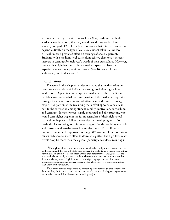we present three hypothetical course loads (low, medium, and highly academic combinations) that they could take during grade 11 and similarly for grade 12. The table demonstrates that returns to curriculum depend critically on the type of courses a student takes. A low-level curriculum has a predicted effect on earnings of about 2 percent. Students with a medium-level curriculum achieve close to a 7 percent increase in earnings for each year's worth of their curriculum. However, those with a high-level curriculum actually surpass that level and experience an earnings premium closer to 9 or 10 percent for each additional year of education.28

## **Conclusions**

\_\_\_\_\_\_\_\_\_\_\_\_

The work in this chapter has demonstrated that math curriculum seems to have a substantial effect on earnings well after high school graduation. Depending on the specific math course, the basic linear models show that one-half to three-quarters of the math effect operates through the channels of educational attainment and choice of college major.<sup>29</sup> A portion of the remaining math effect appears to be due in part to the correlation among student's ability, motivation, curriculum, and earnings. In other words, highly motivated and able students, who would earn higher wages in the future regardless of their high school curriculum, happen to follow a more rigorous math program. Both methods of accounting for this underlying relationship—ability controls and instrumental variables—yield a similar result: Math effects do diminish but are still important. Adding GPA to control for motivation causes each specific math effect to decrease slightly. The high-level math effects drop by more than the algebra/geometry effect does, resulting in

 $^{28}$ Throughout this exercise, we assume that all other background characteristics are held constant and that the only difference between the students we are comparing is their curriculum. In other words, the effects within each academic year (e.g., grade 12) are measured relative to a hypothetical student who stays in school that academic year but does not take any math, English, science, or foreign language courses. The more interesting comparisons are between students who take a high-level curriculum rather than a low-level curriculum.

 $29$ We arrive at these proportions by comparing the linear model that controls for demographic, family, and school traits to one that also controls for highest degree earned and another that additionally controls for college major.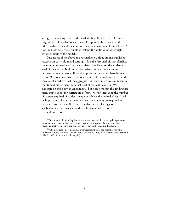an algebra/geometry and an advanced algebra effect that are of similar magnitudes. The effect of calculus still appears to be larger than the other math effects and the effect of vocational math is still much lower.<sup>30</sup> For the most part, these results withstand the addition of other high school subjects to the model.

One aspect of the above analysis makes it unique among published research on curriculum and earnings: It is the first analysis that classifies the number of math courses that students take based on the academic level of the course. In doing so, we arrive at much more accurate estimates of mathematics effects than previous researchers have been able to do. We conclude that math does matter. We would not have found these results had we used the aggregate number of math courses taken by the student rather than the actual level of the math courses. We elaborate on this point in Appendix C, but note here that this finding has many implications for curriculum reform. Merely increasing the number of courses required of students may not achieve the desired effect. It will be important to focus on the type of courses students are required and motivated to take as well.<sup>31</sup> In particular, our results suggest that algebra/geometry courses should be a fundamental part of any curriculum reform.

 $30$ On the other hand, using instrumental variables predicts that algebra/geometry courses tend to have the biggest positive effect on earnings (nearly 6 percent) and vocational math seems have the same size effect but in the negative direction.

 $31$ When graduation requirements are increased, there is the potential risk of more students dropping out. (See Costrell, 1994, and Betts, 1998, for a theoretical analysis and Lillard, 1998, for an empirical analysis.)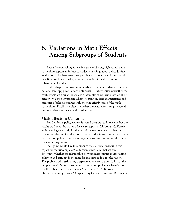# **6. Variations in Math Effects Among Subgroups of Students**

Even after controlling for a wide array of factors, high school math curriculum appears to influence students' earnings about a decade after graduation. Do these results suggest that a rich math curriculum would benefit all students equally, or are the benefits limited to certain subsamples of students?

In this chapter, we first examine whether the results that we find at a national level apply to California students. Next, we discuss whether the math effects are similar for various subsamples of workers based on their gender. We then investigate whether certain student characteristics and measures of school resources influence the effectiveness of the math curriculum. Finally, we discuss whether the math effects might depend on the student's ultimate level of education.

## **Math Effects in California**

For California policymakers, it would be useful to know whether the results we find at the national level also apply to California. California is an interesting case study for the rest of the nation as well. It has the largest population of students of any state and is in some respects a leader in education policy. If it enacts major changes in curriculum, the rest of the nation may follow.

Ideally, we would like to reproduce the statistical analysis in this report for the subsample of Californian students so that we can determine whether the relationship between mathematics course-taking behavior and earnings is the same for this state as it is for the nation. The problem with estimating a separate model for California is that the sample size of California students in the transcript data we have is too small to obtain accurate estimates (there only 630 Californian observations and just over 60 explanatory factors in our model). Because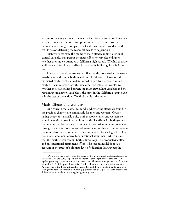we cannot precisely estimate the math effects for California students in a separate model, we perform two procedures to determine how the national models might compare to a California model. We discuss the results below, deferring the technical details to Appendix D.

First, we re-estimate the model of math effects, adding a series of control variables that permit the math effects to vary depending on whether the student attended a California high school. We find that any additional California math effect is statistically indistinguishable from zero.

The above model constrains the effects of the non-math explanatory variables to be the same both in and out of California. However, the estimated math effect is also determined in part by the way in which math curriculum covaries with these other variables. So, we also test whether the relationship between the math curriculum variables and the remaining explanatory variables is the same in the California sample as it is in the rest of the nation. We find that it is the same.

## **Math Effects and Gender**

\_\_\_\_\_\_\_\_\_\_\_\_

One concern that comes to mind is whether the effects we found in the previous chapters are comparable for men and women. Coursetaking behavior is actually quite similar between men and women, so it would be useful to see if curriculum has similar effects for both genders.<sup>1</sup> Because our results indicate that much of the curriculum effect operates through the channel of educational attainment, in this section we present the results from a pair of separate earnings models for each gender. The first model does not control for educational attainment, which means that the math effects contain both a direct cognitive/productivity effect and an educational attainment effect. The second model does take account of the student's ultimate level of education, leaving just the

<sup>&</sup>lt;sup>1</sup>On average, males earn somewhat more credits in vocational math than females do (means of 0.82 and 0.56, respectively) and females earn slightly more than males in algebra/geometry courses (mean of 1.0 versus 0.9). The remaining gender-specific means are within 0.01 of the pooled means (see Table C.1 for the pooled summary statistics). Another way to think about this difference is that slightly more males than females stop taking math at the vocational math level (29 percent versus 23 percent) with most of the difference being made up at the algebra/geometry level.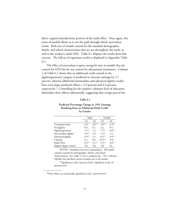direct cognitive/productivity portion of the math effect. Once again, this series of models allows us to see the path through which curriculum works. Both sets of models control for the standard demographic, family, and school characteristics that we use throughout the study, as well as the student's math GPA. Table 6.1 displays the results from this exercise. The full set of regression results is displayed in Appendix Table D.1.

The effect of curriculum is quite strong for men in models that do control for GPA but do not control for educational attainment. Column 1 of Table 6.1 shows that an additional credit earned in the algebra/geometry category is predicted to increase earnings by 3.7 percent, whereas additional intermediate and advanced algebra credits have even larger predicted effects—5.9 percent and 4.9 percent, respectively.2 Controlling for the student's ultimate level of education diminishes these effects substantially, suggesting that a large part of the

| rable 6.1 |
|-----------|
|           |

## **Predicted Percentage Change in 1991 Earnings Resulting from an Additional Math Credit, by Gender**

|                       | Male     |           | Female    |          |
|-----------------------|----------|-----------|-----------|----------|
|                       | (1)      | (2)       | (3)       | (4)      |
| Vocational math       | $-2.4*$  | $-2.6***$ | $-3.9**$  | $-3.9**$ |
| Pre-algebra           | 0.9      | 0.1       | 2.2       | 0.5      |
| Algebra/geometry      | $3.7***$ | 1.2       | $7.5***$  | $4.6***$ |
| Intermediate algebra  | $5.9**$  | 2.4       | $5.2***$  | 1.4      |
| Advanced algebra      | $4.9**$  | 1.5       | $8.5***$  | $5.0**$  |
| Calculus              | 4.2      | 0.9       | $14.4***$ | $9.4*$   |
| Math GPA              | $6.2***$ | $4.1***$  | $5.5***$  | $3.6***$ |
| Highest degree earned | No       | Yes       | Nο        | Yes      |

NOTES: Standard errors are in parentheses. All models contain controls for demographic, family, and school characteristics. See Table 5.1 for a complete list. "Yes" indicates whether the specified control variables are in the model.

\*\*Significant at the 5 percent level; \*significant at the 10 percent level.

<sup>&</sup>lt;sup>2</sup>These effects are statistically significant at the 5 percent level.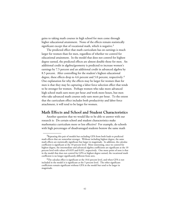gains to taking math courses in high school for men come through higher educational attainment. None of the effects remain statistically significant except that of vocational math, which is negative.<sup>3</sup>

The predicted effect that math curriculum has on earnings is much larger for women than for men, regardless of whether we control for educational attainment. In the model that does not control for highest degree earned, the predicted effects are almost double those for men. An additional credit in algebra/geometry is predicted to increase women's earnings by 7.5 percent and an additional credit in advanced algebra by 8.5 percent. After controlling for the student's highest educational degree, these effects drop to 4.6 percent and 5.0 percent, respectively.<sup>4</sup> One explanation for why the effects may be larger for women than for men is that they may be capturing a labor force selection effect that tends to be stronger for women. Perhaps women who take more advanced high school math earn more per hour *and* work more hours, but men who take advanced math courses only earn more per hour. To the extent that the curriculum effect includes both productivity and labor force attachment, it will tend to be larger for women.

## **Math Effects and School and Student Characteristics**

Another question that we would like to be able to answer with our research is: Do certain school and student characteristics make mathematics curriculum more or less effective? For example, do schools with high percentages of disadvantaged students bestow the same math

 $3R$ epeating this pair of models but excluding GPA from both leads to predicted math effects that are somewhat stronger. Without including highest degree, the same math effects are statistically significant but larger in magnitude. In addition, the calculus coefficient is significant at the 10 percent level. More interesting, once we control for highest degree, the intermediate and advanced algebra coefficients are significant at the 10 percent level with values of 0.035 and 0.031, respectively. One more point of note is that in the model that does not control for GPA or highest degree earned, the vocational math coefficient is no longer significantly different from zero.

 ${}^{4}$ The calculus effect is significant at the 10.6 percent level, and when GPA is not included in the model it is significant at the 5 percent level. The other significant coefficients remain significant without GPA in the model but tend to be larger in magnitude.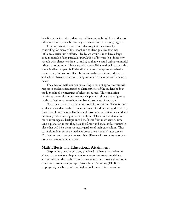benefits on their students that more affluent schools do? Do students of different ethnicity benefit from a given curriculum to varying degrees?

To some extent, we have been able to get at the answer by controlling for many of the school and student qualities that may influence curriculum's effects. Ideally, we would like to have a large enough sample of any particular population of interest (e.g., inner-city schools with characteristics x, y, and z) so that we could estimate a model using that subsample. However, with the available national datasets, this is not feasible. Appendix D describes how we attempt to test whether there are any interaction effects between math curriculum and student and school characteristics; we briefly summarize the results of these tests below.

The effect of math courses on earnings does not appear to vary with respect to student characteristics, characteristics of the student body at the high school, or measures of school resources. This conclusion reinforces the results in our previous chapter as it shows that a rigorous math curriculum at *any* school can benefit students of *any* type.

Nevertheless, there may be some possible exceptions. There is some weak evidence that math effects are strongest for disadvantaged students, those from lower-income families, and those at schools at which students on average take a less-rigorous curriculum. Why would students from more-advantageous backgrounds benefit less from math curriculum? One explanation is that they have the family and social infrastructure in place that will help them succeed regardless of their curriculum. Thus, curriculum does not really make or break these students' later careers. Curriculum really seems to make a big difference for students who may not have these other safety nets.

## **Math Effects and Educational Attainment**

Despite the presence of strong predicted mathematics curriculum effects in the previous chapter, a natural extension to our model is to analyze whether the math effects that we observe are restricted to certain educational attainment groups. Given Bishop's finding (1989) that employers typically do not read high school transcripts, curriculum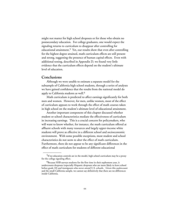might not matter for high school dropouts or for those who obtain no postsecondary education. For college graduates, one would expect the signaling returns to curriculum to disappear after controlling for educational attainment.<sup>5</sup> Yet, our results show that even after controlling for the highest degree attained, math curriculum effects are still present and strong, suggesting the presence of human capital effects. Even with additional testing, described in Appendix D, we found very little evidence that the curriculum effects depend on the student's ultimate level of education.

## **Conclusions**

\_\_\_\_\_\_\_\_\_\_\_\_

Although we were unable to estimate a separate model for the subsample of California high school students, through a series of analyses we have gained confidence that the results from the national model do apply to California students as well.<sup>6</sup>

Math curriculum is predicted to affect earnings significantly for both men and women. However, for men, unlike women, most of the effect of curriculum appears to work through the effect of math courses taken in high school on the student's ultimate level of educational attainment.

Another important component of this chapter discussed whether student or school characteristics mediate the effectiveness of curriculum in increasing earnings. This is a crucial concern for policymakers, who will want to know whether, for instance, the math curriculum offered at affluent schools with many resources and largely upper-income white students will prove as effective in a different school and socioeconomic environment. With some possible exceptions, most student and school characteristics do not seem to alter the effect of math curriculum. Furthermore, there do not appear to be any significant differences in the effect of math curriculum for students of different educational

<sup>&</sup>lt;sup>5</sup>If no education controls are in the model, high school curriculum may be a proxy for the college signaling effect.

<sup>&</sup>lt;sup>6</sup>Because HSB surveys students for the first time in their sophomore year, it undercounts dropouts (especially Hispanic dropouts who are more likely to leave school before grade 10) and immigrants who never attend U.S. schools. Given this undercount and the small California sample, we cannot say definitively that there are no differences inside California.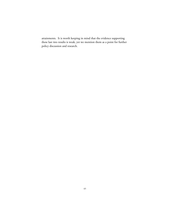attainments. It is worth keeping in mind that the evidence supporting these last two results is weak, yet we mention them as a point for further policy discussion and research.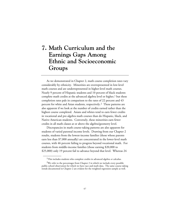## **7. Math Curriculum and the Earnings Gaps Among Ethnic and Socioeconomic Groups**

As we demonstrated in Chapter 2, math course completion rates vary considerably by ethnicity. Minorities are overrepresented in low-level math courses and are underrepresented in higher-level math courses. Nearly 9 percent of Hispanic students and 10 percent of black students complete math credits at the advanced algebra level or higher, $1$  but these completion rates pale in comparison to the rates of 22 percent and 43 percent for white and Asian students, respectively.2 These patterns are also apparent if we look at the number of credits earned rather than the highest course completed. Asians and whites tend to earn fewer credits in vocational and pre-algebra math courses than do Hispanic, black, and Native American students. Conversely, these minorities earn fewer credits in all math classes at or above the algebra/geometry level.

Discrepancies in math course-taking patterns are also apparent for students of varied parental income levels. Drawing from our Chapter 2 results, students from the lowest-income families (those whose parents earn less than \$7,000 annually) are concentrated in the lower-level math courses, with 46 percent failing to progress beyond vocational math. For students from middle-income families (those earning \$20,000 to \$25,000) only 19 percent fail to advance beyond that level. Whereas 24

<sup>&</sup>lt;sup>1</sup>This includes students who complete credits in advanced algebra *or* calculus.

 $2w$ e refer to the percentages from Chapter 2 in which we include every possible public school observation for which we have race and math data. The same course-taking trends documented in Chapter 2 are evident for the weighted regression sample as well.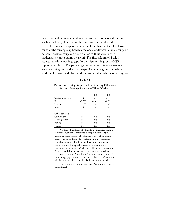percent of middle-income students take courses at or above the advanced algebra level, only 8 percent of the lowest-income students do.

In light of these disparities in curriculum, this chapter asks: How much of the earnings gap between members of different ethnic groups or parental income groups can be attributed to these variations in mathematics course-taking behavior? The first column of Table 7.1 reports the ethnic earnings gaps for the 1991 earnings of the HSB sophomore cohort. The percentages indicate the difference between average earnings for workers in the specified ethnic group and white workers. Hispanic and black workers earn less than whites, on average—

#### **Table 7.1**

### **Percentage Earnings Gap Based on Ethnicity Difference in 1991 Earnings Relative to White Workers**

|                 | (1)       | (2)      | (3)     |
|-----------------|-----------|----------|---------|
| Native American | $-20.4**$ | $-9.7**$ | $-6.6$  |
| <b>Black</b>    | $-9.5***$ | $-1.0$   | $-0.02$ |
| Hispanic        | $-5.0**$  | 1.0      | $3.7*$  |
| Asian           | $9.6***$  | $7.4*$   | 2.3     |
| Other controls  |           |          |         |
| Curriculum      | No        | No       | Yes     |
| Demographic     | No        | Yes      | Yes     |
| Family          | No        | Yes      | Yes     |
| School          | No        | Yes      | Yes     |

NOTES: The effects of ethnicity are measured relative to whites. Column 1 represents a simple model of 1991 annual earnings explained by ethnicity only. There are no other controls in this model. Columns 2 and 3 represent models that control for demographic, family, and school characteristics. The specific variables in each of these categories can be found in Table 5.1. The model in column 3 also controls for curriculum. The change in the ethnic effects from column 2 to column 3 represents the portion of the earnings gap that curriculum can explain. "Yes" indicates whether the specified control variables are in the model.

\*\*Significant at the 5 percent level; \*significant at the 10 percent level.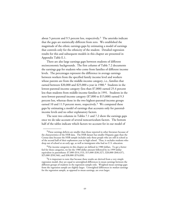about 5 percent and 9.5 percent less, respectively.3 The asterisks indicate that the gaps are statistically different from zero. We established the magnitude of the ethnic earnings gaps by estimating a model of earnings that controls only for the ethnicity of the student. Detailed regression results for this and subsequent models in this chapter are presented in Appendix Table E.1.

There are also large earnings gaps between students of different socioeconomic backgrounds. The first column of Table 7.2 documents the earnings gap for students who come from families of different income levels. The percentages represent the difference in average earnings between workers from the specified family income level and workers whose parents are from the middle-income category, i.e., families that earned between \$20,000 and \$25,000 a year in 1980.<sup>4</sup> Students in the lowest-parental-income category (less than \$7,000) earned 25.4 percent less than students from middle-income families in 1991. Students in the next-lowest-parental-income category (\$7,000 to \$15,000) earned 9.3 percent less, whereas those in the two highest-parental-income groups earned 10 and 11.9 percent more, respectively.<sup>5</sup> We computed these gaps by estimating a model of earnings that accounts only for parentalincome levels and no other explanatory factors.

The next two columns in Tables 7.1 and 7.2 show the earnings gaps once we do take account of several noncurriculum factors. The bottom half of the tables indicate which factors we account for in our model of

 $3$ These earnings deficits are smaller than those reported in other literature because of the characteristics of the HSB data. The HSB dataset has smaller Hispanic gaps than the Census data because the HSB sample includes only those people who are still in school as of the second half of their sophomore year in high school. Thus, it excludes students who drop out of school at an early age, as well as immigrants who had no U.S. education.

 ${}^{4}$ The income categories in this chapter are defined in 1980 dollars. To get a better feel for those categories, we list the 1980 dollar amount followed by its 1999 dollar equivalent in parentheses: \$7,000 (\$14,153), \$15,000 (\$30,327), \$20,000 (\$40,437), \$25,000 (\$50,546), and \$38,000 (\$76,830).

<sup>&</sup>lt;sup>5</sup>It is important to note that because these results are derived from a very simple regression model, they are equal to unweighted differences in mean earnings between the different groups of students in the regression sample only. Weighted mean earnings gaps from the regression sample are slightly larger. Unweighted differences in *median* earnings for the regression sample, as opposed to mean earnings, are even larger.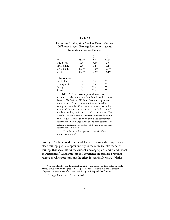## **Table 7.2**

## **Percentage Earnings Gap Based on Parental-Income Difference in 1991 Earnings Relative to Students from Middle-Income Families**

|                | (1)        | (2)       | (3)        |
|----------------|------------|-----------|------------|
| $<$ \$7 $K$    | $-25.4***$ | $-15.7**$ | $-11.6***$ |
| \$7K-\$15K     | $-9.3***$  | $-3.8*$   | $-2.5$     |
| \$15K-\$20K    | $-2.5$     | 0.2       | 0.1        |
| \$25K-\$38K    | $10.0**$   | $7.3***$  | $7.3***$   |
| $$38K +$       | $11.9**$   | $5.9***$  | $6.1***$   |
| Other controls |            |           |            |
| Curriculum     | No         | No        | Yes        |
| Demographic    | No         | Yes       | Yes        |
| Family         | No         | Yes       | Yes        |
| School         | No         | Yes       | Yes        |
|                |            |           |            |

NOTES: The effects of parental income are measured relative to students from families with incomes between \$20,000 and \$25,000. Column 1 represents a simple model of 1991 annual earnings explained by family income only. There are no other controls in this model. Columns 2 and 3 represent models that control for demographic, family, and school characteristics. The specific variables in each of these categories can be found in Table 5.1. The model in column 3 also controls for curriculum. The change in the effects from column 2 to column 3 represents the portion of the earnings gap that curriculum can explain.

\*\*Significant at the 5 percent level; \*significant at the 10 percent level.

earnings. As the second column of Table 7.1 shows, the Hispanic and black earnings gaps disappear entirely in the more realistic model of earnings that accounts for the student's demographic, family, and school characteristics.6 Asian students still experience an earnings premium relative to white students, but the effect is statistically weak.7 Native

<sup>&</sup>lt;sup>6</sup>We include all of the demographic, family, and school controls listed in Table 5.1. Although we estimate the gaps to be –1 percent for black students and 1 percent for Hispanic students, these effects are statistically indistinguishable from 0.

 $7$ It is significant at the 10 percent level.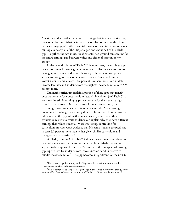American students still experience an earnings deficit when considering these other factors. What factors are responsible for most of the closure in the earnings gaps? Either parental income or parental education alone can explain nearly all of the Hispanic gap and about half of the black gap. Together, the two measures of parental background can account for the entire earnings gap between whites and either of these minority groups.

As the second column of Table 7.2 demonstrates, the earnings gaps related to parental income groups are much smaller once we control for demographic, family, and school factors, yet the gaps are still present after accounting for these other characteristics. Students from the lowest-income families earn 15.7 percent less than those from middleincome families, and students from the highest-income families earn 5.9 percent more.

Can math curriculum explain a portion of these gaps that remain once we account for noncurriculum factors? In column 3 of Table 7.1, we show the ethnic earnings gaps that account for the student's high school math courses. Once we control for math curriculum, the remaining Native American earnings deficit and the Asian earnings premium are no longer statistically different from zero. In other words, differences in the type of math courses taken by students of these ethnicities, relative to white students, can explain why they have different earnings than white students. More interesting, controlling for curriculum provides weak evidence that Hispanic students are predicted to earn 3.7 percent more than whites given similar curriculum and background characteristics.8

Similarly, column 3 of Table 7.2 shows the earnings gaps related to parental income once we account for curriculum. Math curriculum appears to be responsible for over 25 percent of the unexplained earnings gap experienced by students from lowest-income families relative to middle-income families.<sup>9</sup> The gap becomes insignificant for the next-to-

 ${}^{8}$ This effect is significant only at the 10 percent level, so it does not meet the requirements for strict statistical significance.

 $9$ This is computed as the percentage change in the lowest-income (less than \$7,000) parental effect from column 2 to column 3 of Table 7.2. If we include measures of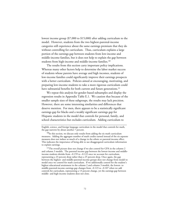lowest income group (\$7,000 to \$15,000) after adding curriculum to the model. However, students from the two highest-parental-income categories still experience about the same earnings premium that they do without controlling for curriculum. Thus, curriculum explains a large portion of the earnings gap between students from low-income and middle-income families, but it does not help to explain the gap between students from high-income and middle-income families.10

The results from this section carry important policy implications. Whereas many other factors help to determine the labor market success of students whose parents have average and high incomes, students of low-income families could significantly improve their earnings prospects with a better curriculum. Policies aimed at encouraging, motivating, and preparing low-income students to take a more rigorous curriculum could have substantial benefits for both current and future generations.<sup>11</sup>

We repeat this analysis for gender-based subsamples and display the regression results in Appendix Table E.1. We caution that because of the smaller sample sizes of these subgroups, the results may lack precision. However, there are some interesting similarities and differences that deserve mention. For men, there appears to be a statistically significant earnings gap for blacks and a weakly significant earnings gap for Hispanic students in the model that controls for personal, family, and school characteristics but excludes curriculum. Adding curriculum to

**\_\_\_\_\_\_\_\_\_\_\_\_\_\_\_\_\_\_\_\_\_\_\_\_\_\_\_\_\_\_\_\_\_\_\_\_\_\_\_\_\_\_\_\_\_\_\_\_\_\_\_\_\_\_\_\_** English, science, and foreign language curriculum in the model that controls for math, the gap narrows by about another 7 percent.

 $10$ In this section, we discuss only results from adding the six math curriculum measures. Adding the aggregate number of math credits earned instead of the six separate measures does not induce as much of a change in the ethnic or parental-income effect. This indicates the importance of being able to use disaggregated curriculum information to explain earnings.

 $11$ The overall picture does not change if we also control for GPA in the column 2 and column 3 models. The parental income gap between the lowest-income and middleincome students shrinks from –0.159 to –0.122 once we account for curriculum, representing a 23 percent drop rather than a 25 percent drop. Once again, the gap between the highest- and middle-parental-income groups does not change from model to model once we control for math curriculum. If we additionally control for the student's highest educational attainment in the column 2 and column 3 models, the lowest- to middle-parental-income earnings gap changes from –0.123 to –0.107 when we add controls for curriculum, representing a 13 percent change, yet the earnings gap between middle- and high-income students does not close.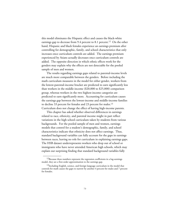this model eliminates the Hispanic effect and causes the black-white earnings gap to decrease from 9.4 percent to 8.1 percent.<sup>12</sup> On the other hand, Hispanic and black females experience an earnings premium after controlling for demographic, family, and school characteristics that only increases once curriculum controls are added. The earnings premium experienced by Asians actually decreases once curriculum controls are added. The opposite direction in which ethnic effects work for the genders may explain why the effects are not detectable for the pooled sample of men and women.

The results regarding earnings gaps related to parental-income levels are much more comparable between the genders. Before including the math curriculum measures in the model for either gender, workers from the lowest-parental-income bracket are predicted to earn significantly less than workers in the middle-income (\$20,000 to \$25,000) comparison group, whereas workers in the two highest-income categories are predicted to earn significantly more. Accounting for curriculum causes the earnings gap between the lowest-income and middle-income families to decline 33 percent for females and 23 percent for males.<sup>13</sup> Curriculum does not change the effect of having high-income parents.

This chapter has asked whether observed differences in earnings related to race, ethnicity, and parental income might in part reflect variations in the high school curriculum taken by students from various backgrounds. For the pooled sample of men and women, earnings models that control for a student's demographic, family, and school characteristics indicate that ethnicity does not affect earnings. Thus, standard background variables can fully account for the gaps in earnings between races, leaving no role for curriculum in explaining earnings gaps. The HSB dataset underrepresents workers who drop out of school or immigrants who have never attended American high schools, which may explain our surprising finding that standard background variables fully

 $12$ Because these numbers represent the regression coefficients in a log-earnings model, they are a first-order approximation to the earnings gap.

 $^{13}$ Including English, science, and foreign language curriculum in the model that controls for math causes the gaps to narrow by another 4 percent for males and 7 percent for females.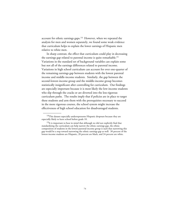account for ethnic earnings gaps.<sup>14</sup> However, when we repeated the analysis for men and women separately, we found some weak evidence that curriculum helps to explain the lower earnings of Hispanic men relative to white men.

In sharp contrast, the effect that curriculum could play in decreasing the earnings gap related to parental income is quite remarkable.15 Variations in the standard set of background variables can explain some but not all of the earnings differences related to parental income. Variations in high school curriculum can account for over one-quarter of the remaining earnings gap between students with the lowest parental income and middle-income students. Similarly, the gap between the second-lowest-income group and the middle-income group becomes statistically insignificant after controlling for curriculum. Our findings are especially important because it is most likely the low-income students who slip through the cracks or are diverted into the less-rigorous curriculum paths. The results imply that if policies are in place to target these students and arm them with the prerequisites necessary to succeed in the more rigorous courses, the school system might increase the effectiveness of high school education for disadvantaged students.

<sup>&</sup>lt;sup>14</sup>This dataset especially underrepresents Hispanic dropouts because they are especially likely to leave school before grade 10.

<sup>&</sup>lt;sup>15</sup>It is important to bear in mind that although we did not explicitly find that standardizing the curriculum can help narrow the ethnic earnings gap, the ethnic composition of students in the lowest-parental-income group is such that narrowing this gap would be a step toward narrowing the ethnic earnings gap as well: 30 percent of the lowest-income students are Hispanic, 20 percent are black, and 34 percent are white.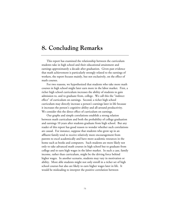## **8. Concluding Remarks**

This report has examined the relationship between the curriculum students take in high school and their educational attainment and earnings approximately a decade after graduation. Given past evidence that math achievement is particularly strongly related to the earnings of workers, the report focuses mainly, but not exclusively, on the effect of math courses.

For two reasons, we hypothesized that students who take more math courses in high school might later earn more in the labor market. First, a richer high school curriculum increases the ability of students to gain admission to, and to graduate from, college. We call this the "indirect effect" of curriculum on earnings. Second, a richer high school curriculum may directly increase a person's earnings later in life because it increases the person's cognitive ability and all-around productivity. We consider this the direct effect of curriculum on earnings.

Our graphs and simple correlations establish a strong relation between math curriculum and both the probability of college graduation and earnings 10 years after students graduate from high school. But any reader of this report has good reason to wonder whether such correlations are causal. For instance, suppose that students who grow up in an affluent family tend to receive relatively more encouragement from parents to excel academically and have more academic resources in the home such as books and computers. Such students are more likely not only to take advanced math courses in high school but to graduate from college and to earn high wages in the labor market. In such a case, family income, rather than curriculum, might be the driving force behind higher wages. In another scenario, students may vary in motivation or ability. More able students might not only enroll in a richer set of high school courses but also are likely to earn higher wages later in life. It would be misleading to interpret the positive correlation between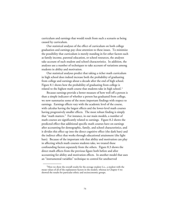curriculum and earnings that would result from such a scenario as being caused by curriculum.

Our statistical analyses of the effect of curriculum on both college graduation and earnings pay close attention to these issues. To minimize the possibility that curriculum is merely standing in for other factors such as family income, parental education, or school resources, the analyses take account of such student and school characteristics. In addition, the analyses use a number of techniques to take account of variations among students in ability and motivation.

Our statistical analyses predict that taking a richer math curriculum in high school does indeed increase both the probability of graduating from college and earnings about a decade after the end of high school. Figure 8.1 shows how the probability of graduating from college is related to the highest math course that students take in high school.<sup>1</sup>

Because earnings provide a better measure of how well off a person is than a simple indicator of whether a person has graduated from college, we now summarize some of the more important findings with respect to earnings. Earnings effects vary with the academic level of the course, with calculus having the largest effects and the lower-level math courses having progressively smaller effects. The most robust finding is simply that "math matters." For instance, in our main models, a number of math courses are significantly related to earnings. Figure 8.2 shows the predicted effect that additional specific math courses have on earnings after accounting for demographic, family, and school characteristics, and it divides this effect up into the direct cognitive effect (the dark bars) and the indirect effect that works through educational attainment (the light bars). Because of the important role that ability and motivation can play in affecting which math courses students take, we treated these confounding factors separately from the others. Figure 8.3 shows the direct math effects from the previous figure both before and after accounting for ability and motivation effects. In another model that uses an "instrumental variables" technique to control for unobserved

<sup>&</sup>lt;sup>1</sup>Here we show the overall results for the average student (i.e., a student with the mean values of all of the explanatory factors in the model), whereas in Chapter 4 we showed the results for particular ethnic and socioeconomic groups.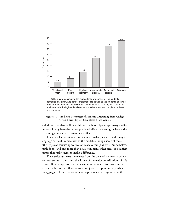

 NOTES: When estimating the math effects, we control for the student's demographic, family, and school characteristics as well as the student's ability as measured by his or her math GPA and math test score. The highest completed math course is the highest-level course in which the student completed at least one semester.

### **Figure 8.1—Predicted Percentage of Students Graduating from College Given Their Highest Completed Math Course**

variations in student ability within each school, algebra/geometry credits quite strikingly have the largest predicted effect on earnings, whereas the remaining courses have insignificant effects.

These results persist when we include English, science, and foreign language curriculum measures in the model, although some of these other types of courses appear to influence earnings as well. Nonetheless, math does stand out, more than courses in many other areas, as a subject matter that really seems to make a difference.

The curriculum results emanate from the detailed manner in which we measure curriculum and this is one of the major contributions of this report. If we simply use the aggregate number of credits earned in the separate subjects, the effects of some subjects disappear entirely, whereas the aggregate effect of other subjects represents an average of what the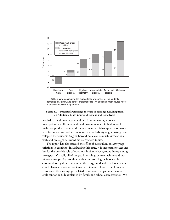



### **Figure 8.2—Predicted Percentage Increase in Earnings Resulting from an Additional Math Course (direct and indirect effects)**

detailed curriculum effects would be. In other words, a policy prescription that all students should take more math in high school might not produce the intended consequences. What appears to matter most for increasing both earnings and the probability of graduating from college is that students *progress* beyond basic courses such as vocational math and pre-algebra toward more advanced topics.

The report has also assessed the effect of curriculum on *intergroup* variations in earnings. In addressing this issue, it is important to account first for the possible role of variations in family background in explaining these gaps. Virtually all of the gap in earnings between whites and most minority groups 10 years after graduation from high school can be accounted for by differences in family background and to a lesser extent school characteristics, without any need to control for curriculum at all. In contrast, the earnings gap related to variations in parental-income levels cannot be fully explained by family and school characteristics. We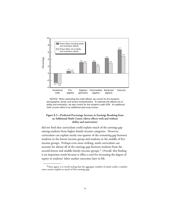



## **Figure 8.3—Predicted Percentage Increase in Earnings Resulting from an Additional Math Course (direct effects with and without ability and motivation)**

did not find that curriculum could explain much of the earnings gap among students from higher-family-income categories. However, curriculum can explain nearly one-quarter of the remaining gap between students in the lowest-income group and students in the middle of five income groups. Perhaps even more striking, math curriculum can account for almost all of the earnings gap between students from the second-lowest and middle-family-income groups.<sup>2</sup> Overall, this finding is an important result because it offers a tool for increasing the degree of equity in students' labor market outcomes later in life.

 $2$ Once again, it is worth noting that the aggregate number of math credits a student earns cannot explain as much of this earnings gap.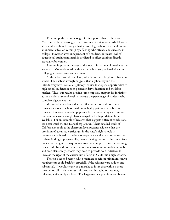To sum up, the main message of this report is that math matters. Math curriculum is strongly related to student outcomes nearly 10 years after students should have graduated from high school. Curriculum has an indirect effect on earnings by affecting who attends and succeeds in college. However, even independent of a student's ultimate level of educational attainment, math is predicted to affect earnings directly, especially for women.

Another important message of this report is that not all math courses are equal. More-advanced math has a much larger predicted effect on college graduation rates and earnings.

At the school and district level, what lessons can be gleaned from our study? The analysis strongly suggests that algebra, beyond the introductory level, acts as a "gateway" course that opens opportunities to high school students in both postsecondary education and the labor market. Thus, our results provide some empirical support for initiatives at the district or school level to increase the percentage of students who complete algebra courses.

We found no evidence that the effectiveness of additional math courses increases in schools with more highly paid teachers, bettereducated teachers, or smaller pupil-teacher ratios, although we caution that our conclusions might have changed had a larger dataset been available. For an example of research that suggests different conclusions, see Betts, Rueben, and Danenberg (2000). Their detailed study of California schools at the classroom level presents evidence that the provision of advanced curriculum in the state's high schools is systematically linked to the level of experience and education of teachers. If these finding apply generally, then enriching the curriculum at a given high school might first require investments in improved teacher training to succeed. In addition, interventions in curriculum in middle schools and even elementary schools may need to precede bold initiatives to increase the rigor of the curriculum offered in California's high schools.

There is a second reason why a mandate to reform minimum course requirements could backfire, especially if the reforms were sudden and substantial. It would clearly be a mistake to insist that within a short time period all students must finish courses through, for instance, calculus, while in high school. The large earnings premium we observe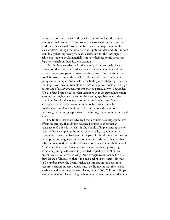in our data for students with advanced math skills reflects the relative scarcity of such workers. A massive increase overnight in the number of workers with such skills would surely decrease the wage premium for such workers, through the simple law of supply and demand. But it does seem likely that improving the math curriculum for the least highly achieving students could materially improve their economic prospects. Further research on these issues is essential.

Our findings are relevant for the many policymakers who have focused on the large gaps in educational achievement among various socioeconomic groups in the state and the nation. Our results here are not definitive, owing to the small size of some of the socioeconomic groups in our sample. Nonetheless, the findings are intriguing: Policies that target low-income students and those who go to schools with a high percentage of disadvantaged students may be particularly well rewarded. We also found some evidence that variations in math curriculum might account for roughly one-quarter of the earnings gap between students from families with the lowest income and middle income. Thus, attempts to enrich the curriculum in schools serving relatively disadvantaged students might provide quite a powerful tool for narrowing the earnings gap between disadvantaged and more-advantaged students.

The finding that more-advanced math courses have larger predicted effects on earnings than do less-advanced courses is of particular relevance to California, which is in the middle of implementing a set of major reforms designed to improve school quality, especially in the schools with lowest achievement. One part of this reform effort involves developing a set of grade-specific content standards in math and other subjects. A second part of the reforms aims to devise a new high school "exit" exam that all students must take before graduating from high school, beginning with students projected to graduate in 2004. In November 1999, Governor Gray Davis strongly recommended to the State Board of Education that it include algebra in the exam. However, in December 1999, the board reached an impasse on the governor's recommendation, in part because state law did not, at that time, make algebra a graduation requirement. Later, in fall 2000, California did pass legislation making algebra a high school requirement. At about the same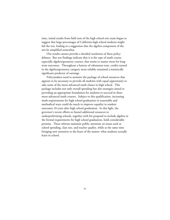time, initial results from field tests of the high school exit exam began to suggest that large percentages of California high school students might fail the test, leading to a suggestion that the algebra component of the test be simplified somewhat.

Our results cannot provide a detailed resolution of these policy debates. But our findings indicate that it is the type of math course, especially algebra/geometry courses, that seems to matter most for longterm outcomes. Throughout a battery of robustness tests, credits earned in the algebra/geometry category most reliably remained a statistically significant predictor of earnings.

Policymakers need to monitor the package of school resources that appears to be necessary to provide all students with equal opportunity to take some of the more-advanced math classes in high school. This package includes not only overall spending but also strategies aimed at providing an appropriate foundation for students to succeed in these more-advanced math courses. Subject to this qualification, increasing math requirements for high school graduation in reasonable and methodical ways could do much to improve equality in student outcomes 10 years after high school graduation. In this light, the governor's recent efforts to funnel additional resources to underperforming schools, together with his proposal to include algebra in the formal requirements for high school graduation, hold considerable promise. These reforms maintain public attention on issues such as school spending, class size, and teacher quality, while at the same time bringing new attention to the heart of the matter: what students actually learn in school.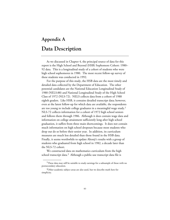# **Appendix A Data Description**

As we discussed in Chapter 4, the principal source of data for this report is the High School and Beyond (HSB) Sophomore Cohort: 1980– 92 data. This is a longitudinal study of a cohort of students who were high school sophomores in 1980. The most recent follow-up survey of these students was conducted in 1992.

For the purpose of this study, the HSB data are the most timely and detailed data collected by the Department of Education. The other potential candidates are the National Education Longitudinal Study of 1988 (NELS:88) and National Longitudinal Study of the High School Class of 1972 (NLS-72). NELS collects data from a cohort of 1988 eighth graders. Like HSB, it contains detailed transcript data; however, even at the latest follow-up for which data are available, the respondents are too young to include college graduates in a meaningful wage study.1 NLS-72 collects information for a cohort of 1972 high school seniors and follows them through 1986. Although it does contain wage data and information on college attainment sufficiently long after high school graduation, it suffers from three main shortcomings. It does not contain much information on high school dropouts because most students who drop out do so before their senior year. In addition, its curriculum measures are much less detailed than those found in the HSB data. Finally, it seems worthwhile to update Altonji's results with a group of students who graduated from high school in 1982, a decade later than the NLS-72 cohort.

We constructed data on mathematics curriculum from the high school transcript data.<sup>2</sup> Although a public-use transcript data file is

<sup>&</sup>lt;sup>1</sup>These data may still be suitable to study earnings for a subsample of those with no postsecondary education.

<sup>&</sup>lt;sup>2</sup>Other academic subject areas are also used, but we describe math here for simplicity.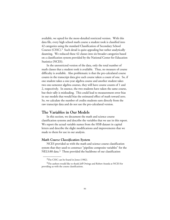available, we opted for the more-detailed restricted version. With this data file, every high school math course a student took is classified into 42 categories using the standard Classification of Secondary School Courses (CSSC).3 Such detail is quite appealing but rather analytically daunting. We reduced these 42 classes into six broader categories based on a classification system provided by the National Center for Education Statistics (NCES).

In the unrestricted version of the data, only the total number of math classes that a student took is available. Thus, no measure of course difficulty is available. Also problematic is that the pre-calculated course counts in the transcript data give each course taken a count of one. So, if one student takes a one-year algebra course and another student takes two one-semester algebra courses, they will have course counts of 1 and 2, respectively. In essence, the two students have taken the same course, but their tally is misleading. This could lead to measurement error bias in our models that would bias the estimated effect of math toward zero. So, we calculate the number of credits students earn directly from the raw transcript data and do not use the pre-calculated version.

## **The Variables in Our Models**

In this section, we document the math and science course classification systems and describe the variables that we use in this report. We report the actual variable names from the HSB dataset in capital letters and describe the slight modifications and improvements that we made to them for use in our analysis.

### *Math Course Classification System*

NCES provided us with the math and science course classification system that they used to construct "pipeline composite variables" for the NELS:88 data.<sup>4</sup> These provided the backbone of our classification

 $3$ The CSSC can be found in Jones (1982).

 ${}^{4}$ The authors would like to thank Jeff Owings and Robert Atanda at NCES for providing us with the course classifications.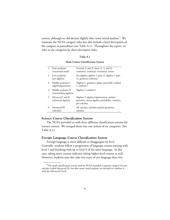system, although we did deviate slightly after some initial analysis.<sup>5</sup> We maintain the NCES category titles but also include a brief description of the category in parentheses (see Table A.1). Throughout the report, we refer to the categories by these descriptive titles.

| Table A.1 |  |
|-----------|--|
|-----------|--|

| <b>Math Course Classification System</b> |  |
|------------------------------------------|--|
|                                          |  |

| 1             | Non-academic<br>(vocational math)            | General (1 and 2), basic (1, 2, and 3),<br>consumer, technical, vocational, review                              |
|---------------|----------------------------------------------|-----------------------------------------------------------------------------------------------------------------|
| $\mathcal{L}$ | Low-academic<br>(pre-algebra)                | Pre-algebra, algebra 1 (part 1), algebra 1 (part<br>2), geometry informal                                       |
| 3             | Middle academic I<br>(algebra/geometry)      | Algebra 1, geometry (plane and solid), unified<br>1. unified 2                                                  |
| 4             | Middle academic II<br>(intermediate algebra) | Algebra 2, unified 3                                                                                            |
| 5             | Advanced Land II<br>(advanced algebra)       | Algebra 3, algebra-trigonometry, analytic<br>geometry, linear algebra, probability, statistics,<br>pre-calculus |
| 6             | Advanced III<br>(calculus)                   | AP calculus, calculus-analytic geometry,<br>calculus                                                            |

## *Science Course Classification System*

\_\_\_\_\_\_\_\_\_\_\_\_

The NCES provided us with three different classification systems for science courses. We merged them into one system of six categories. (See Table A.2.)

### *Foreign Language Course Classification System*

Foreign language is more difficult to disaggregate by level. Generally, students follow a progression of language courses starting with level 1 and finishing with up to level 4 of the same language. In this case, taking more courses indicates taking higher-level courses as well. However, students may also take two years of one language then two

<sup>&</sup>lt;sup>5</sup>The math classification system used by NCES included a separate category for precalculus (called Advanced II), but after some initial analysis, we decided to combine it with the Advanced I level.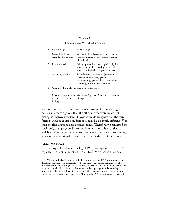### **Table A.2**

#### **Science Course Classification System**

| 1 | Basic biology                                       | Basic biology                                                                                                                                               |
|---|-----------------------------------------------------|-------------------------------------------------------------------------------------------------------------------------------------------------------------|
| 2 | General biology,<br>secondary life science          | General biology 1, secondary life sciences<br>(ecology, marine biology, zoology, human<br>physiology)                                                       |
| 3 | Primary physics                                     | Primary physical sciences (applied physical<br>science, earth science, college prep earth<br>science, unified science), general science                     |
| 4 | Secondary physics                                   | Secondary physical sciences (astronomy,<br>environmental science, geology,<br>oceanography, general physics, consumer<br>chemistry, introductory chemistry) |
| 5 | Chemistry 1 and physics Chemistry 1, physics 1<br>1 |                                                                                                                                                             |
| 6 | advanced placement<br>biology                       | Chemistry 2, physics 2, Chemistry 2, physics 2, advanced placement<br>biology                                                                               |

years of another. It is not clear that one pattern of course-taking is particularly more rigorous than the other and therefore we do not distinguish between the two. However, we do recognize that the third foreign language course a student takes may have a much different effect than the first language class a student takes. Therefore, we converted the total foreign language credits earned into two mutually exclusive variables. One designates whether the student took one or two courses, whereas the other signals that the student took three or four courses.

## *Other Variables*

\_\_\_\_\_\_\_\_\_\_\_\_

**Earnings.** To calculate the log of 1991 earnings, we used the HSB reported 1991 annual earnings: Y4301B9.6 We checked these data

<sup>&</sup>lt;sup>6</sup>Although the last follow-up took place in the spring of 1992, the annual earnings data from that year seem inaccurate. Whereas the average annual earnings steadily increased from 1982 through 1991 in an expected fashion, they fell to about half of their expected value in 1992, almost as if some respondents gave year-to-date earnings information. Even after discussions with the HSB personnel from the Department of Education, the cause of this is not clear. Although the 1991 earnings reports were self-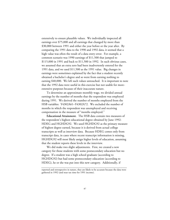extensively to ensure plausible values. We individually inspected all earnings over \$75,000 and all earnings that changed by more than \$30,000 between 1991 and either the year before or the year after. By comparing the 1991 data to the 1990 and 1992 data, it seemed that a high value was often the result of a data entry error. For example, a common scenario was 1990 earnings of \$11,500 that jumped to \$115,000 in 1991 and back to \$11,500 in 1992. In such obvious cases, we assumed that an extra zero had been inadvertently entered for the 1991 data, and we used \$11,500 as the 1991 value. Big changes in earnings were sometimes explained by the fact that a student recently obtained a bachelor's degree and so went from earning nothing to earning \$40,000. We left such values untouched. It is important to note that the 1992 data were useful in this exercise but not usable for moreextensive purposes because of their inaccurate nature.

To determine an approximate monthly wage, we divided annual earnings by the number of months that the respondent was employed during 1991. We derived the number of months employed from the HSB variables: Y4302A61–Y4302A72. We excluded the number of months in which the respondent was unemployed and receiving compensation in the measure of "months employed."

**Educational Attainment.** The HSB data contain two measures of the respondent's highest educational degree obtained by June 1992: HDEG and HGHDG92. We used HGHDG92 as the primary measure of highest degree earned, because it is derived from actual college transcripts as well as interview data. Because HDEG comes only from transcript data, in cases where recent transcript information is missing, HGHDG92 will most likely assign higher levels of education, assuming that the student reports these levels in the interview.

We did make two slight adjustments. First, we created a new category for those students with some postsecondary education but no degree. If a student was a high school graduate (according to HGHDG92) but had some postsecondary education (according to HDEG), he or she was put into this new category. Additionally, if

**\_\_\_\_\_\_\_\_\_\_\_\_\_\_\_\_\_\_\_\_\_\_\_\_\_\_\_\_\_\_\_\_\_\_\_\_\_\_\_\_\_\_\_\_\_\_\_\_\_\_\_\_\_\_\_\_** reported and retrospective in nature, they are likely to be accurate because the data were gathered in 1992 (and near tax time for 1991 income).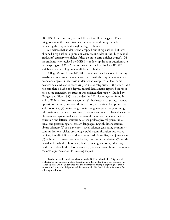HGHDG92 was missing, we used HDEG to fill in the gaps. These categories were then used to construct a series of dummy variables indicating the respondent's highest degree obtained.

We believe that students who dropped out of high school but later obtained a high school diploma or GED are included in the "high school graduates" category (or higher if they go on to earn a higher degree). Of the students who received the HSB first follow-up dropout questionnaire in the spring of 1992, 43 percent were classified by the HGHDG92 variable as having a high school diploma or higher.<sup>7</sup>

**College Major.** Using MAJUG1, we constructed a series of dummy variables representing the major associated with the respondent's earliest bachelor's degree. Only those students who completed at least some postsecondary education were assigned major categories. If the student did not complete a bachelor's degree, but still had a major reported on his or her college transcript, the student was assigned that major. Guided by Grogger and Eide (1995), we divided the 100-plus categories found in MAJUG1 into nine broad categories: (1) business: accounting, finance, operations research, business administration, marketing, data processing and economics; (2) engineering: engineering, computer programming, information sciences, architecture; (3) science and math: physical sciences, life sciences, agricultural sciences, natural resources, mathematics; (4) education and letters: education, letters, philosophy, religious studies, visual and performing arts, foreign languages, English, liberal studies, library sciences; (5) social sciences: social sciences (excluding economics), communications, civics, psychology, public administration, protective services, interdisciplinary studies, area and ethnic studies, law, journalism; (6) technical: construction, mechanics, transportation, design; (7) health: dental and medical technologies, health, nursing, audiology, dentistry, medicine, public health, food sciences; (8) other majors: home economics, cosmetology, recreation; (9) missing majors.

 $7$ To the extent that students who obtained a GED are classified as "high school graduates" in our earnings models, the estimates of having less than a conventional high school diploma will be understated and the estimates of having a degree higher than a conventional high school diploma will be overstated. We thank Richard Murnane for pointing out this issue.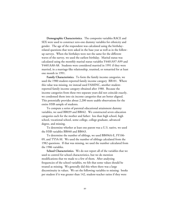**Demographic Characteristics.** The composite variables RACE and SEX were used to construct zero-one dummy variables for ethnicity and gender. The age of the respondent was calculated using the birthdayrelated questions that were asked in the base year as well as in the followup surveys. When the birthdays were not the same for the different waves of the survey, we used the earliest birthday. Marital status was calculated using the monthly marital status variables Y4401A97-A99 and Y4401AA0-A8. Students were considered married in 1991 if they were married, in a marriage-like relationship, reunited, or remarried for at least one month in 1991.

**Family Characteristics.** To form the family income categories, we used the 1980 student-reported family income category BB101. Where this value was missing, we instead used FAMINC, another studentreported family income category obtained after 1980. Because the income categories from these two separate years did not coincide exactly, we condensed them into six income categories that are better aligned. This potentially provides about 2,200 more usable observations for the entire HSB sample of students.

To compute a series of parental educational attainment dummy variables, we used BB039 and BB042. We constructed seven education categories each for the mother and father: less than high school, high school, vocational school, some college, college graduate, advanced degree, and missing.

To determine whether at least one parent was a U.S. native, we used the HSB variables BB040 and BB043.

To determine the number of siblings, we used BB096A-E, FY106- 09, and TY5A-M. We used the number of siblings calculated from the 1982 questions. If that was missing, we used the number calculated from the 1986 variables.

**School Characteristics.** We do not report all of the variables that we used to control for school characteristics, but we do mention modifications that we made to a few of them. After analyzing frequencies of the school variables, we felt that some values should be treated as missing. We generally did this when there was a large discontinuity in values. We set the following variables to missing: books per student if it was greater than 142, student-teacher ratios if they were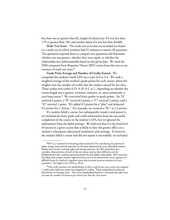less than one or greater than 82, length of school year if it was less than 179 or greater than 190, and teacher salary if it was less than \$6,000.

**Math Test Score.** The math test score that we included was based on a math test in which students had 21 minutes to answer 38 questions. The questions required them to compare two quantities and determine whether one was greater, whether they were equal, or whether the relationship was indeterminable based on the given data. We used the HSB-computed Item Response Theory (IRT) scores from this test as our measure of math test score.8

**Grade Point Average and Number of Credits Earned.**We computed the student's math GPA on a scale of 0 to 4.3. We took a weighted average of the student's grade points for each course, where the weights were the number of credits that the student earned for the class. These credits were either 0.25, 0.33, 0.5, or 1, depending on whether the course length was a quarter, trimester, semester, or, more commonly, a year-long course.<sup>9</sup> We converted letter grades to grade points. An "A" received 4 points, a "B" received 3 points, a "C" received 2 points, and a "D" received 1 point. We added 0.3 points for a "plus" and deducted 0.3 points for a "minus." For example, we counted a "B+" as 3.3 points.

If a student failed a course, but subsequently retook it and passed it, we included the letter grade and credit information from the successful completion of the course in the student's GPA, but we ignored the information from the failed attempt. We believed that it is the *final* level of success in a given course that is likely to have the greater effect on a student's subsequent educational attainment and earnings. If, however, the student failed a course and did not repeat it successfully, we included

<sup>&</sup>lt;sup>8</sup>IRT is a "method of estimating achievement level by considering the pattern of right, wrong, and omitted responses on all items administered to an individual student. Rather than merely counting right and wrong responses, the IRT procedure also considers characteristics of each of the test items, such as their difficulty and the likelihood that they could be guessed correctly by low-ability individuals. IRT scores are less likely than simple number-right formula scores to be distorted by correct guesses on difficult items if a student's response vector also contains incorrect answers to easier questions." See Ingels et al. (1995, p. M-4).

 $^{9}$ This credit measure was standardized, so that a typical one-year course was assigned 1 credit and a half-year course was assigned 0.5 credits. These standardized credits are also known as Carnegie units. They were standardized based on a formula that takes into account the number of minutes per school year that the class meets.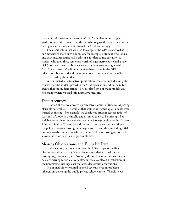the credit information in the student's GPA calculation but assigned 0 grade points to the course. In other words, we gave the student credit for having taken the course, but lowered the GPA accordingly.

The credit values that we used to compute the GPA also served as our measure of math curriculum. So, for example, a student who took a one-year calculus course had a tally of 1 for that course category. A student who took three semesters worth of a geometry course had a tally of 1.5 for that category. In a few cases, students received a grade of "pass" in a course. We did not include these grades in the GPA calculations but we did add the number of credits earned to the tally of credits earned by the student.

We estimated an alternative specification where we included only the courses that the student passed in the GPA calculation and in the tally of credits that the student earned. The results from our main models did not change when we used this alternative measure.

## **Data Accuracy**

As noted above, we devoted an extensive amount of time to inspecting plausible data values. The values that seemed extremely questionable were treated as missing. For example, we considered student-teacher ratios of 0.17 and of 2,000 to be invalid and assumed them to be missing. For variables other than the dependent variable (college graduation in Chapter 4 and earnings in Chapter 5) and the curriculum measures, we adopted the policy of setting missing values equal to zero and then including a 0-1 dummy variable indicating whether the variable was missing or not. This allowed us to work with a larger sample size.

## **Missing Observations and Excluded Data**

In this section, we document how the HSB sample of 14,825 observations shrank to the 5,919 observations that we used for the earnings regression analysis. Not only did we lose observations because data are missing for crucial variables, but we also placed a restriction on the nonmissing earnings data that excluded certain observations.

In our analysis, we wanted to avoid several selection problems inherent in analyzing the public-private school choice. Therefore, we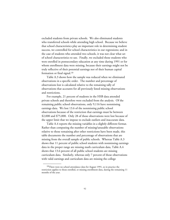excluded students from private schools. We also eliminated students who transferred schools while attending high school. Because we believe that school characteristics play an important role in determining student success, we controlled for school characteristics in our regressions; and in the case of students who attended two schools, it was not clear what set of school characteristics to use. Finally, we excluded those students who were enrolled in postsecondary education at any time during 1991 or for whom enrollment data were missing, because their earnings might not be truly reflective of their potential earnings nor of their human capital formation or final signal.10

Table A.3 shows how the sample was reduced when we eliminated observations in a specific order. The number and percentage of observations lost is calculated relative to the remaining tally of observations that accounts for all previously listed missing observations and restrictions.

For example, 21 percent of students in the HSB data attended private schools and therefore were excluded from the analysis. Of the remaining public school observations, only 9,116 have nonmissing earnings data. We lost 13.6 of the nonmissing public school observations because of the restriction that earnings must be between \$2,000 and \$75,000. Only 28 of those observations were lost because of the upper limit that we impose to exclude outliers and inaccurate data.

Table A.4 reports the missing variables in a slightly different format. Rather than computing the number of missing/unusable observations relative to those remaining after other restrictions have been made, this table documents the number and percentage of observations that are missing from the overall sample of public schools. Whereas Table A.3 shows that 11 percent of public school students with nonmissing earnings data in the proper range are missing math curriculum data, Table A.4 shows that 13.6 percent of all public school students are missing curriculum data. Similarly, whereas only 7 percent of those observations with valid earnings and curriculum data are missing the college

<sup>10</sup>There were no school attendance data for August 1991, so in practice the restriction applies to those enrolled, or missing enrollment data, during the remaining 11 months of the year.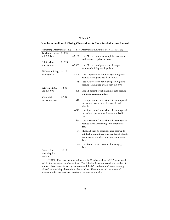### **Table A.3**

### **Number of Additional Missing Observations As More Restrictions Are Enacted**

| Remaining Observations Tally              |        |          | Lost Observations Relative to Most Recent Tally                                                                                                            |
|-------------------------------------------|--------|----------|------------------------------------------------------------------------------------------------------------------------------------------------------------|
| Total observations 14,825                 |        |          |                                                                                                                                                            |
| in HSB data                               |        | $-3,101$ | Lose 21 percent of total sample because some<br>students attend private schools.                                                                           |
| Public school                             | 11,724 |          |                                                                                                                                                            |
| observations                              |        | $-2,608$ | Lose 22 percent of public school sample<br>because of missing earnings data.                                                                               |
| With nonmissing                           | 9,116  |          |                                                                                                                                                            |
| earnings data                             |        | $-1,208$ | Lose 13 percent of nonmissing earnings data<br>because earnings are less than \$2,000.                                                                     |
|                                           |        | $-28$    | Lose 0.3 percent of nonmissing earnings data<br>because earnings are greater than \$75,000.                                                                |
| Between \$2,000                           | 7,880  |          |                                                                                                                                                            |
| and \$75,000                              |        | $-896$   | Lose 11 percent of valid earnings data because<br>of missing curriculum data.                                                                              |
| With valid                                | 6,984  |          |                                                                                                                                                            |
| curriculum data                           |        | $-418$   | Lose 6 percent of those with valid earnings and<br>curriculum data because they transferred<br>schools.                                                    |
|                                           |        | $-219$   | Lose 3 percent of those with valid earnings and<br>curriculum data because they are enrolled in<br>1991.                                                   |
|                                           |        | $-460$   | Lose 7 percent of those with valid earnings data<br>because they have missing 1991 enrollment<br>data.                                                     |
|                                           |        |          | 36 Must add back 36 observations so that we do<br>not double-count those who transferred schools<br>and are either enrolled or missing enrollment<br>data. |
|                                           |        |          | -4 Lose 4 observations because of missing age<br>data.                                                                                                     |
| Observations<br>remaining for<br>analysis | 5,919  |          |                                                                                                                                                            |

NOTES: This table documents how the 14,825 observations in HSB are reduced to 5,919 usable regression observations. The right-hand column records the number of omitted observations for each given reason and the left hand column keeps a running tally of the remaining observations after each loss. The number and percentage of observations lost are calculated relative to the most recent tally.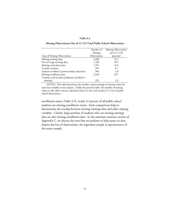### **Table A.4**

#### **Missing Observations Out of 11,724 Total Public School Observations**

|                                                      | Number of    | Missing Observations |
|------------------------------------------------------|--------------|----------------------|
|                                                      | Missing      | out of 11,724        |
| Type of Missing Observations                         | Observations | (percent)            |
| Missing earnings data                                | 2,608        | 22.2                 |
| Out-of-range earnings data                           | 1,236        | 10.5                 |
| Missing curriculum data                              | 1,591        | 13.6                 |
| Transfer students                                    | 949          | 8.1                  |
| Students enrolled in postsecondary education         | 304          | 2.6                  |
| Missing enrollment data                              | 2,426        | 20.7                 |
| Transfers <i>and</i> invalid enrollment (enrolled or |              |                      |
| missing)                                             | 255          | 2.2                  |

NOTES: This table documents the number and percentage of missing values for some key variables in the analysis. Unlike the previous table, the number of missing values in this table is always calculated relative to the total number (11,724) of public school observations.

enrollment status (Table A.3), nearly 21 percent of all public school students are missing enrollment status. Such comparisons help to demonstrate the overlap between missing earnings data and other missing variables. Clearly, large portions of students who are missing earnings data are also missing enrollment data. In the summary statistics section of Appendix C, we discuss the tests that we perform to help assure us that, despite the loss of observations, the regression sample is representative of the entire sample.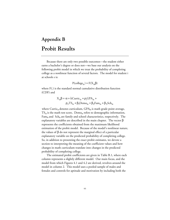# **Appendix B Probit Results**

Because there are only two possible outcomes—the student either earns a bachelor's degree or does not—we base our analysis on the following probit model in which we treat the probability of completing college as a nonlinear function of several factors. The model for student i at schools s is:

 $P$ (college<sub>is</sub>) =  $F(X_i, \beta)$ 

where F(.) is the standard normal cumulative distribution function (CDF) and

$$
X_{is}\beta = \alpha + \lambda Curric_{is} + \rho_i GPA_{is} +
$$
  
\n
$$
\rho_2 TS_{is} + \beta_1 Demo_{is} + \beta_2 Fam_{is} + \beta_3Sch_{is}
$$

where Curric<sub>is</sub> denotes curriculum,  $GPA_{is}$  is math grade point average,  $TS_{is}$  is the math test score, Demo<sub>is</sub> refers to demographic information, Famis and Schis are family and school characteristics, respectively. The explanatory variables are described in the main chapter. The vector  $\beta$ represents the coefficients obtained from the maximum likelihood estimation of the probit model. Because of the model's nonlinear nature, the values of β do not represent the marginal effect of a particular explanatory variable on the predicted probability of completing college. So, in addition to presenting the exact probit estimates, we devote a section to interpreting the meaning of the coefficient values and how changes in math curriculum translate into changes in the predicted probability of completing college.

The estimated probit coefficients are given in Table B.1, where each column represents a slightly different model. Our main focus, and the model from which Figures 4.1 and 4.2 are derived, revolves around the model in column 2. This model uses a pooled sample of males and females and controls for aptitude and motivation by including both the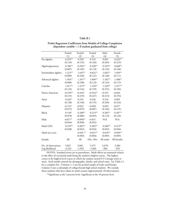## **Table B.1**

| Probit Regression Coefficients from Models of College Completion |                                                              |  |  |
|------------------------------------------------------------------|--------------------------------------------------------------|--|--|
|                                                                  | $(dependent variable = 1$ if student graduated from college) |  |  |

|                      | Pooled     | Pooled     | Pooled        | Male      | Female      |
|----------------------|------------|------------|---------------|-----------|-------------|
|                      | (1)        | (2)        | (3)           | (4)       | (5)         |
| Pre-algebra          | $0.259**$  | $0.256*$   | 0.124         | 0.091     | $0.422**$   |
|                      | (0.129)    | (0.145)    | (0.166)       | (0.205)   | (0.219)     |
| Algebra/geometry     | $0.706**$  | $0.596**$  | $0.438**$     | $0.553**$ | $0.668**$   |
|                      | (0.087)    | (0.102)    | (0.118)       | (0.134)   | (0.166)     |
| Intermediate algebra | $1.213**$  | $1.035***$ | $0.822**$     | $1.042**$ | $1.059**$   |
|                      | (0.089)    | (0.106)    | (0.121)       | (0.140)   | (0.171)     |
| Advanced algebra     | $1.583**$  | $1.347**$  | $1.090**$     | $1.342**$ | 1.408**     |
|                      | (0.089)    | (0.108)    | (0.123)       | (0.143)   | (0.173)     |
| Calculus             | $1.811***$ | $1.472**$  | $1.218**$     | $1.239**$ | $1.917**$   |
|                      | (0.123)    | (0.144)    | (0.159)       | (0.191)   | (0.236)     |
| Native American      | $-0.470**$ | $-0.434*$  | $-0.542**$    | $-0.337$  | $-0.602$    |
|                      | (0.215)    | (0.235)    | (0.247)       | (0.313)   | (0.376)     |
| Asian                | $0.243*$   | 0.210      | 0.246         | 0.316     | 0.065       |
|                      | (0.128)    | (0.146)    | (0.155)       | (0.204)   | (0.216)     |
| Hispanic             | $-0.121*$  | $-0.022$   | $-0.028$      | 0.039     | $-0.077$    |
|                      | (0.072)    | (0.079)    | (0.087)       | (0.104)   | (0.125)     |
| Black                | $0.150*$   | $0.280**$  | $0.213**$     | $0.282**$ | $0.287**$   |
|                      | (0.078)    | (0.086)    | (0.093)       | (0.123)   | (0.126)     |
| Male                 | $-0.077*$  | $-0.098**$ | $-0.031$      | N/A       | N/A         |
|                      | (0.044)    | (0.048)    | (0.052)       |           |             |
| Math GPA             | $0.370**$  | $0.305**$  | $0.302**$     | $0.360**$ | $0.272**$   |
|                      | (0.028)    | (0.032)    | (0.034)       | (0.045)   | (0.046)     |
| Math test score      |            | $0.024$ ** | $0.021**$     | $0.018**$ | $0.030**$   |
|                      |            | (0.003)    | (0.004)       | (0.005)   | (0.005)     |
| Sample               | All        | All        | $HS+$ , $BA+$ | All males | All females |
| No. of observations  | 5,827      | 5,062      | 3,375         | 2,678     | 2,384       |
| Log likelihood       | $-2,223$   | $-1,944$   | $-1,684$      | $-984$    | $-925$      |

NOTES: Standard errors are in parentheses. Math effects are measured relative to the effect of vocational math being the student's highest course. The highest course is the highest-level course in which the student earned 0.5 Carnegie units or more. Each model controls for demographic, family, and school traits. See Table 4.1 for a complete list. Columns 1–3 use the pooled sample of males and females. Column 3 uses a subsample of college-bound high school students. We exclude those students who have taken no math courses (approximately 18 observations).

\*\*Significant at the 5 percent level; \*significant at the 10 percent level.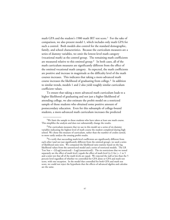math GPA and the student's 1980 math IRT test score.<sup>1</sup> For the sake of comparison, we also present model 1, which includes only math GPA for such a control. Both models also control for the standard demographic, family, and school characteristics. Because the curriculum measures are a series of dummy variables, we omit the lowest-level math category (vocational math) as the control group. The remaining math coefficients are measured relative to this omitted group.2 In both cases, all of the math curriculum measures are significantly different from the effect of the omitted vocational math category. As expected, the math coefficients are positive and increase in magnitude as the difficulty level of the math courses increases. This indicates that taking a more-advanced math course increases the likelihood of graduating from college.3 In addition to similar trends, models 1 and 2 also yield roughly similar curriculum coefficient values.

To ensure that taking a more advanced math curriculum leads to a higher likelihood of graduating and not just a higher likelihood of attending college, we also estimate the probit model on a restricted sample of those students who obtained some positive amount of postsecondary education. Even for this subsample of college-bound students, a more-advanced math curriculum increases the predicted

<sup>&</sup>lt;sup>1</sup>We limit the sample to those students who have taken at least one math course. This simplifies the analysis and does not substantially change the results.

 $2$ The curriculum measures that we use in this model are a series of six dummy variables indicating the highest level of math course the student completed during high school. We chose this measure of curriculum, rather than the number of credits earned, to more easily analyze the ensuing probit results.

 $3$ To verify that succeeding math-level coefficients are significantly different from each other (and not just significantly different from the omitted group), we used a series of likelihood ratio tests. We computed the likelihood ratio statistic based on the log likelihood values from the unrestricted model and a series of restricted models. The LR Test Stat  $= -2$ (LogL(restricted) – LogL(unrestricted)). The six restrictions that we tested separately are the effect of math level j equals the effect of math level  $(j+1)$  for  $j = 1$  to 5 and a joint test that all of the math levels are equal. We rejected the null at less than the 5 percent level regardless of whether we controlled for GPA alone or GPA and math test score, with one exception. In the model that controlled for both GPA and math test score, we could not reject the hypothesis that the effects of advanced algebra and calculus are the same.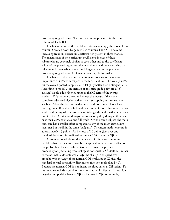probability of graduating. The coefficients are presented in the third column of Table B.1.

The last variation of the model we estimate is simply the model from column 2 broken down by gender (see columns 4 and 5). The same increasing trend in curriculum coefficients is present in these models. The magnitudes of the curriculum coefficients in each of these subsamples are extremely similar to each other and to the coefficient values of the pooled regression, the most dramatic differences being that calculus and pre-algebra have a much larger effect on the predicted probability of graduation for females than they do for males.

The last item that warrants attention at this stage is the relative importance of GPA with respect to math curriculum. The average GPA for the overall pooled sample is 2.18 (slightly better than a straight "C"). According to model 2, an increase of an entire grade point (to a "B" average) would add only 0.31 units to the Xβ term of the average student. This is about the same increase that occurs if the student completes advanced algebra rather than just stopping at intermediate algebra. Below this level of math course, additional math levels have a much greater effect than a full grade increase in GPA. This indicates that students deciding whether to trade off taking a difficult math course for a boost in their GPA should forgo the course only if by doing so they can raise their GPA by at *least* one full grade. On this same subject, the math test score has a smaller effect compared to any of the math curriculum measures but is still in the same "ballpark." The mean math test score is approximately 13 points. An increase of 10 points (just over one standard deviation) is predicted to cause a 0.24 rise in the Xβ term.

As we mentioned above, the drawback of this genre of nonlinear model is that coefficients *cannot* be interpreted as the marginal effect on the probability of a successful outcome. Because the predicted probability of graduating from college is not equal to  $X\beta$  itself, but rather to the normal CDF evaluated at Xβ, the change in the predicted probability is the *slope* of the normal CDF evaluated at Xβ (i.e., the standard normal probability distribution function multiplied by β). Because the normal CDF is nonlinear, the slope varies as  $X\beta$  varies. To see how, we include a graph of the normal CDF in Figure B.1. At high negative and positive levels of Xβ, an increase in Xβ (for example,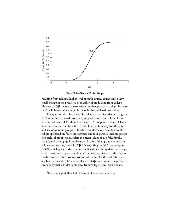

**Figure B.1—General Probit Graph**

resulting from taking a higher level of math course) causes only a very small change in the predicted probability of graduating from college. However, if Xβ is close to zero before the change occurs, a slight increase in Xβ will have a much larger increase in the predicted probability.

The question then becomes: To calculate the effect that a change in Xβ has on the predicted probability of graduating from college, from what initial value of Xβ should we begin? As we pointed out in Chapter 4, we are interested in how the effects of curriculum vary by ethnicity and socioeconomic groups. Therefore, we divide our sample into 16 subgroups based on four ethnic groups and four parental-income groups. For each subgroup, we calculate the mean values of all of the family, school, and demographic explanatory factors of that group and use this value as our starting point for  $X\beta$ .<sup>4</sup> Next, using model 2, we compute  $F(X\beta)$ , which gives us the baseline predicted probability that the average student within that group graduates from college, given that the highest math class he or she took was vocational math. We then add the prealgebra coefficient to Xβ and recalculate F(Xβ) to compute the predicted probability that a student graduates from college given that he or she

<sup>&</sup>lt;sup>4</sup>This is the original XB with all of the curriculum measures set to zero.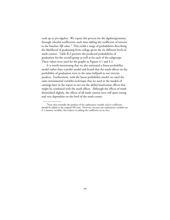took up to pre-algebra. We repeat this process for the algebra/geometry through calculus coefficients, each time adding the coefficient of interest to the baseline  $Xβ$  value.<sup>5</sup> This yields a range of probabilities describing the likelihood of graduating from college given the six different levels of math courses. Table B.2 presents the predicted probabilities of graduation for the overall group as well as for each of the subgroups. These values were used for the graphs in Figures 4.1 and 4.2.

It is worth mentioning that we also estimated a linear probability model rather than a probit model and found that the math effects on the probability of graduation were in the same ballpark as our exercise predicts. Furthermore, with the linear probability model, we used the same instrumental variables technique that we used in the models of earnings later in the report to net out the ability/motivation effects that might be combined with the math effects. Although the effects of math diminished slightly, the effects of all math courses were still quite strong and very dependent on the level of the math course.

<sup>5</sup>Note that normally the product of the explanatory variable and its coefficient should be added to the original XB term. However, because our explanatory variables are 0-1 dummy variables, this reduces to adding the coefficient on its own.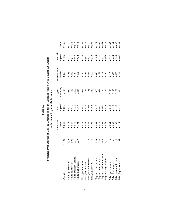| ≃  |
|----|
| q, |
| Ξ  |
| Ļ  |

Predicted Probabilities of College Graduation for the Average Person with at Least 0.5 Credits<br>in the Stated Highest Math Course **Predicted Probabilities of College Graduation for the Average Person with at Least 0.5 Credits in the Stated Highest Math Course**

|                         |                | Vocational | P <sub>re-</sub>                   | Algebra/       | Intermediate   | Advanced                         |                         |
|-------------------------|----------------|------------|------------------------------------|----------------|----------------|----------------------------------|-------------------------|
|                         |                | Math       | <b>Algebra</b>                     | Geometry       | Algebra        | Algebra                          | Calculus                |
| Overall                 | 5,104          | 0.049      | 0.081                              | 0.145          | 0.268          | 0.380                            | 0.428                   |
| White, poor income      | 139            | 0.016      | 0.029                              | 0.060          | 1.133          | 0.211                            | 0.249                   |
| White, low income       |                | 0.049      |                                    | 0.146          | 0.269          |                                  |                         |
| White, medium income    | $1,502$<br>627 | 0.076      | 0.081<br>0.120<br>0.157            | 0.202          | 0.347          | 0.380<br>0.467                   | 0.517                   |
| White, high income      | 920            | 0.104      |                                    | 0.253          | 0.411          | 0.534                            | 1,583                   |
| Black, poor income      | $\overline{7}$ | 0.022      |                                    |                |                |                                  |                         |
| Black, low income       | 281            | 0.046      |                                    | 0.079<br>0.139 | 0.165<br>0.259 |                                  |                         |
| Black, medium income    |                | $0.067$    | $0.040$<br>0.077<br>0.107<br>0.163 | 0.183          | 0.321          | 0.253<br>0.369<br>0.439<br>0.543 | 0.295<br>0.417<br>0.489 |
| Black, high income      |                | 0.108      |                                    | 0.260          | 0.419          |                                  | 0.592                   |
| Hispanic, poor income   | 133            | 0.008      | 0.016<br>0.041                     | 0.035          |                | 0.144<br>0.259<br>0.321<br>0.364 | 1.174                   |
| Hispanic, low income    | 538            | 0.23       |                                    | 0.081          | 0.085<br>0.169 |                                  | 1.301                   |
| Hispanic, medium income | 45             | 0.035      | 0.060<br>0.075                     | 0.112          | 0.219          |                                  | 0.368<br>0.412          |
| Hispanic, high income   | 157            | 0.045      |                                    | 0.136          | 0.255          |                                  |                         |
| Asian, poor income      |                | 0.034      |                                    | 0.110          | 0.215          |                                  | 1.362                   |
| Asian, low income       |                | 0.83       | 0.058<br>0.129<br>0.193<br>0.410   | 0.215          | 0.363<br>0.465 | 0.316<br>0.484<br>0.588          | 0.534<br>0.636<br>0.838 |
| Asian, medium income    |                | 0.130      |                                    | 0.299          |                |                                  |                         |
| Asian, high income      | 34             | 0.314      |                                    | 0.545          | 0.709          | 0.806                            |                         |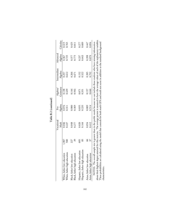|                                                                                                                                         |       | Vocational | Pre-    | Algebra/ | Intermediate | Advanced |          |
|-----------------------------------------------------------------------------------------------------------------------------------------|-------|------------|---------|----------|--------------|----------|----------|
|                                                                                                                                         |       | Math       | Algebra | Geometry | Algebra      | Algebra  | Calculus |
| White, father low education                                                                                                             | .,987 | 0.046      | 0.076   | 0.138    | 0.257        | 0.367    | 0.415    |
| White, father high education                                                                                                            | 580   | 0.227      | 0.311   | 0.439    | 0.612        | 0.725    | 0.765    |
| Black, father low education                                                                                                             | 227   | 0.048      | 0.080   | 0.144    | 0.266        | 1.377    | 0.425    |
| Black, father high education                                                                                                            | 39    | 0.277      | 0.369   | 0.502    | 0.671        | 0.775    | 0.811    |
| Hispanic, father low education                                                                                                          | 605   | 0.020      | 0.035   | 0.071    | 152          | 0.237    | 0.277    |
| Hispanic, father high education                                                                                                         | 85    | 0.164      | 0.235   | 0.351    | 0.522        | 0.643    | 0.689    |
| Asian, father low education                                                                                                             |       | 0.054      | 0.089   | 0.157    | 0.285        | 0.398    | 0.447    |
| Asian, father high education                                                                                                            |       | 0.412      | 0.514   | 0.646    | 0.792        | 0.870    | 1.894    |
| NOTES: The overall sample size is greater than in the probit results because we can include those students who have missing information |       |            |         |          |              |          |          |

Table B.2 (continued) **Table B.2 (continued)**

NOTES: The overall sample size is greater than in the probit results because we can include those students who have missing information<br>about their highest degree attained for this exercise. The average person is assumed t about their highest degree attained for this exercise. The average person is assumed to have the average values of each of the explanatory variables. These probabilities are calculated using the model that controls for both math GPA and math test score in addition to the standard background NOTES: The overall sample size is greater than in the probit results because we can include those students who have missing information characteristics.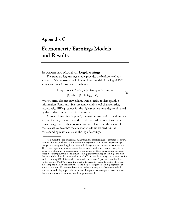## **Appendix C**

\_\_\_\_\_\_\_\_\_\_\_\_

## **Econometric Earnings Models and Results**

## **Econometric Model of Log-Earnings**

The standard log earnings model provides the backbone of our analysis.<sup>1</sup> We construct the following linear model of the log of 1991 annual earnings for student i at school s*:*

$$
\ln w_{is} = \alpha + \lambda \text{Curric}_{is} + \beta_1 \text{Demo}_{is} + \beta_2 \text{Fam}_{is} + \beta_3 \text{Sch}_{is} + \beta_4 \text{HiDeg}_{is} + \varepsilon_{is}
$$
\n(1)

where Curric<sub>is</sub> denotes curriculum, Demo<sub>is</sub> refers to demographic information, Fam<sub>is</sub> and  $Sch_{is}$  are family and school characteristics, respectively, HiDegis stands for the highest educational degree obtained by the student, and  $\varepsilon_{\rm is}$  is an i.i.d. error term.

As we explained in Chapter 5, the main measure of curriculum that we use, Curric<sub>is</sub>, is a vector of the credits earned in each of six math course categories. It then follows that each element in the vector of coefficients, λ, describes the effect of an additional credit in the corresponding math course on the log of earnings.

<sup>&</sup>lt;sup>1</sup>We model the log of earnings rather than the absolute level of earnings for several reasons. For one, it allows us to interpret the regression estimates as the percentage change in earnings resulting from a one-unit change in a particular explanatory factor. This is more appealing than estimates that measure an additive effect (a change in the actual level of earnings), because many of the factors are likely to have a proportionate effect. For example, if we model actual earnings (rather than log of earnings) and find that an additional math course leads to a \$2,000 increase in earnings, this means that for workers earning \$40,000 annually, that math course has a 5 percent effect, but for a worker earning \$5,000 per year, the effect is 40 percent. A model that predicts that increasing the math curriculum will lead to a 5 percent gain in earnings regardless of initial level is arguably more realistic. A second reason why it has become standard practice to model log wages rather than actual wages is that doing so reduces the chance that a few outlier observations skew the regression results.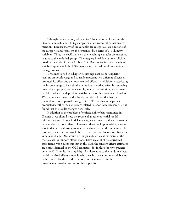Although the main body of Chapter 5 lists the variables within the Demo, Fam, Sch, and HiDeg categories, a few technical points deserve mention. Because many of the variables are categorical, we omit one of the categories and represent the remainder by a series of 0–1 dummy variables. Thus, the coefficients on the remaining variables are measured relative to the excluded group. The category breakdowns are explicitly listed in the table of means (Table C.1). Because we include the school variables upon which the HSB survey was stratified, we do not weight the regressions.

As we mentioned in Chapter 5, earnings data do not explicitly measure an hourly wage and so really represent two different effects: a productivity effect and an hours-worked effect. In addition to restricting the income range to help eliminate the hours-worked effect by removing unemployed people from our sample, as a second solution, we estimate a model in which the dependent variable is a monthly wage (calculated as 1991 annual earnings divided by the number of months that the respondent was employed during 1991). We did this to help elicit productivity rather than variations related to labor force attachment, but found that the results changed very little.

In addition to the problem of omitted ability bias mentioned in Chapter 5, we should note the source of another potential model misspecification. In our initial analyses, we assume that the error term is independent across students. However, there could potentially be some shocks that affect all students at a particular school in the same way. In this case, the error term would be correlated across observations from the same school, and OLS would no longer yield efficient estimates of the coefficients. A random effects model takes account of the correlated error terms, yet it turns out that in this case, the random effects estimates are nearly identical to the OLS estimates. So, in this report we present only the OLS results for simplicity. An alternative to the random effects model is a fixed effects model in which we include a dummy variable for each school. We discuss the results from these models in the instrumental variables section of this appendix.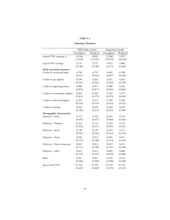## **Table C.1**

## **Summary Statistics**

|                                 | <b>HSB Public School</b> |           | Regression Sample |           |
|---------------------------------|--------------------------|-----------|-------------------|-----------|
|                                 | Unweighted               | Weighted  | Unweighted        | Weighted  |
| Annual 1991 earnings, \$        | 19,168                   | 19,092    | 22,288            | 22,077    |
|                                 | (13, 532)                | (13, 534) | (10, 954)         | (10, 929) |
| Log of 1991 earnings            | 9.755                    | 9.757     | 9.872             | 9.860     |
|                                 | (0.790)                  | (0.782)   | (0.574)           | (0.580)   |
| Math curriculum measures        |                          |           |                   |           |
| Credits in vocational math      | 0.758                    | 0.757     | 0.685             | 0.708     |
|                                 | (0.912)                  | (0.932)   | (0.887)           | (0.904)   |
| Credits in pre-algebra          | 0.258                    | 0.262     | 0.261             | 0.262     |
|                                 | (0.541)                  | (0.552)   | (0.543)           | (0.546)   |
| Credits in algebra/geometry     | 0.908                    | 0.917     | 0.988             | 0.945     |
|                                 | (0.874)                  | (0.877)   | (0.881)           | (0.865)   |
| Credits in intermediate algebra | 0.265                    | 0.266     | 0.294             | 0.279     |
|                                 | (0.461)                  | (0.470)   | (0.476)           | (0.469)   |
| Credits in advanced algebra     | 0.223                    | 0.212     | 0.250             | 0.228     |
|                                 | (0.524)                  | (0.514)   | (0.543)           | (0.522)   |
| Credits in calculus             | 0.042                    | 0.039     | 0.045             | 0.039     |
|                                 | (0.220)                  | (0.212)   | (0.225)           | (0.209)   |
| Demographic characteristics     |                          |           |                   |           |
| Ethnicity = white               | 0.572                    | 0.702     | 0.625             | 0.734     |
|                                 | (0.495)                  | (0.457)   | (0.484)           | (0.442)   |
| Ethnicity = Hispanic            | 0.223                    | 0.131     | 0.210             | 0.125     |
|                                 | (0.416)                  | (0.337)   | (0.407)           | (0.331)   |
| Ethnicity = black               | 0.136                    | 0.128     | 0.110             | 0.111     |
|                                 | (0.343)                  | (0.334)   | (0.312)           | (0.314)   |
| Ethnicity = Asian               | 0.032                    | 0.012     | 0.031             | 0.011     |
|                                 | (0.176)                  | (0.108)   | (0.174)           | (0.105)   |
| Ethnicity = Native American     | 0.023                    | 0.012     | 0.019             | 0.011     |
|                                 | (0.151)                  | (0.109)   | (0.137)           | (0.106)   |
| Ethnicity = other               | 0.014                    | 0.015     | 0.005             | 0.008     |
|                                 | (0.119)                  | (0.122)   | (0.070)           | (0.086)   |
| Male                            | 0.507                    | 0.497     | 0.539             | 0.543     |
|                                 | (0.500)                  | (0.500)   | (0.498)           | (0.498)   |
| Age as of 6/15/91               | 27.333                   | 27.297    | 27.278            | 27.272    |
|                                 | (0.623)                  | (0.569)   | (0.570)           | (0.545)   |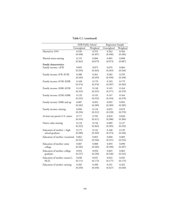|                                 | <b>HSB Public School</b> |                  | <b>Regression Sample</b> |                  |  |
|---------------------------------|--------------------------|------------------|--------------------------|------------------|--|
|                                 | Unweighted               | Weighted         | Unweighted               | Weighted         |  |
| Married in 1991                 | 0.549                    | 0.555            | 0.562                    | 0.564            |  |
|                                 | (0.498)                  | (0.497)          | (0.496)                  | (0.496)          |  |
| Marital status missing          | 0.155                    | 0.006            | 0.005                    | 0.008            |  |
|                                 | (0.362)                  | (0.079)          | (0.073)                  | (0.087)          |  |
| Family characteristics          |                          |                  |                          |                  |  |
| Family income: <\$7K            | 0.095<br>(0.293)         | 0.075<br>(0.263) | 0.076<br>(0.265)         | 0.064<br>(0.244) |  |
|                                 |                          |                  |                          |                  |  |
| Family income: \$7K-\$15K       | 0.280                    | 0.261            | 0.282                    | 0.259            |  |
|                                 | (0.449)                  | (0.439)          | (0.450)                  | (0.438)          |  |
| Family income: \$15K-\$20K      | 0.168                    | 0.170            | 0.183                    | 0.179            |  |
|                                 | (0.374)                  | (0.376)          | (0.387)                  | (0.383)          |  |
| Family income: \$20K-\$25K      | 0.145                    | 0.148            | 0.165                    | 0.164            |  |
|                                 | (0.352)                  | (0.355)          | (0.371)                  | (0.370)          |  |
| Family income: \$25K-\$38K      | 0.129                    | 0.145            | 0.147                    | 0.164            |  |
|                                 | (0.335)                  | (0.352)          | (0.354)                  | (0.370)          |  |
| Family income: \$38K and up     | 0.087                    | 0.092            | 0.092                    | 0.092            |  |
|                                 | (0.282)                  | (0.289)          | (0.289)                  | (0.289)          |  |
| Family income: missing          | 0.096                    | 0.110            | 0.055                    | 0.079            |  |
|                                 | (0.294)                  | (0.312)          | (0.228)                  | (0.270)          |  |
| At least one parent U.S. native | 0.777                    | 0.785            | 0.818                    | 0.820            |  |
|                                 | (0.416)                  | (0.411)          | (0.386)                  | (0.384)          |  |
| Native value missing            | 0.118                    | 0.156            | 0.089                    | 0.127            |  |
|                                 | (0.323)                  | (0.363)          | (0.285)                  | (0.333)          |  |
| Education of mother: < high     | 0.175                    | 0.142            | 0.168                    | 0.139            |  |
| school graduate                 | (0.380)                  | (0.349)          | (0.374)                  | (0.346)          |  |
| Education of mother: vocational | 0.062                    | 0.065            | 0.068                    | 0.069            |  |
|                                 | (0.241)                  | (0.246)          | (0.251)                  | (0.254)          |  |
| Education of mother: some       | 0.087                    | 0.088            | 0.093                    | 0.090            |  |
| college                         | (0.282)                  | (0.283)          | (0.290)                  | (0.287)          |  |
| Education of mother: college    | 0.054                    | 0.056            | 0.065                    | 0.063            |  |
| graduate                        | (0.227)                  | (0.230)          | (0.246)                  | (0.242)          |  |
| Education of mother: master's,  | 0.030                    | 0.031            | 0.032                    | 0.032            |  |
| Ph.D.                           | (0.171)                  | (0.173)          | (0.177)                  | (0.175)          |  |
| Education of mother: missing    | 0.282                    | 0.300            | 0.241                    | 0.262            |  |
|                                 | (0.450)                  | (0.458)          | (0.427)                  | (0.440)          |  |

**Table C.1 (continued)**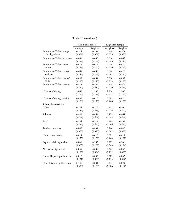|                                      | HSB Public School |                  | Regression Sample |                  |  |
|--------------------------------------|-------------------|------------------|-------------------|------------------|--|
|                                      | Unweighted        | Weighted         | Unweighted        | Weighted         |  |
| Education of father: < high          | 0.174             | 0.152            | 0.174             | 0.148            |  |
| school graduate                      | (0.379)           | (0.359)          | (0.379)           | (0.355)          |  |
| Education of father: vocational      | 0.061             | 0.060            | 0.066             | 0.065            |  |
|                                      | (0.239)           | (0.238)          | (0.249)           | (0.247)          |  |
| Education of father: some<br>college | 0.072<br>(0.258)  | 0.076<br>(0.265) | 0.079<br>(0.270)  | 0.081<br>(0.273) |  |
| Education of father: college         | 0.063             | 0.069            | 0.074             | 0.076            |  |
| graduate                             | (0.243)           | (0.253)          | (0.262)           | (0.265)          |  |
| Education of father: master's,       | 0.053             | 0.054            | 0.060             | 0.058            |  |
| Ph.D.                                | (0.223)           | (0.225)          | (0.238)           | (0.233)          |  |
| Education of father: missing         | 0.378             | 0.386            | 0.328             | 0.347            |  |
|                                      | (0.485)           | (0.487)          | (0.470)           | (0.476)          |  |
| Number of siblings                   | 3.060             | 2.980            | 2.964             | 2.900            |  |
|                                      | (1.792)           | (1.779)          | (1.757)           | (1.766)          |  |
| Number of siblings missing           | 0.032             | 0.016            | 0.011             | 0.011            |  |
| School characteristics               | (0.176)           | (0.125)          | (0.106)           | (0.105)          |  |
| Urban                                | 0.254             | 0.219            | 0.222             | 0.201            |  |
|                                      | (0.436)           | (0.413)          | (0.416)           | (0.400)          |  |
| Suburban                             | 0.452             | 0.464            | 0.459             | 0.464            |  |
|                                      | (0.498)           | (0.499)          | (0.498)           | (0.499)          |  |
| Rural                                | 0.294             | 0.317            | 0.319             | 0.335            |  |
|                                      | (0.456)           | (0.465)          | (0.466)           | (0.472)          |  |
| Teachers unionized                   | 0.842             | 0.834            | 0.846             | 0.840            |  |
|                                      | (0.365)           | (0.372)          | (0.361)           | (0.367)          |  |
| Union status missing                 | 0.024             | 0.020            | 0.021             | 0.018            |  |
|                                      | (0.153)           | (0.138)          | (0.144)           | (0.132)          |  |
| Regular public high school           | 0.841             | 0.955            | 0.859             | 0.961            |  |
|                                      | (0.365)           | (0.207)          | (0.348)           | (0.194)          |  |
| Alternative high school              | 0.035             | 0.009            | 0.024             | 0.007            |  |
|                                      | (0.185)           | (0.094)          | (0.152)           | (0.085)          |  |
| Cuban Hispanic public school         | 0.017             | 0.005            | 0.013             | 0.003            |  |
|                                      | (0.131)           | (0.070)          | (0.115)           | (0.057)          |  |
| Other Hispanic public school         | 0.106             | 0.031            | 0.104             | 0.029            |  |
|                                      | (0.308)           | (0.173)          | (0.306)           | (0.167)          |  |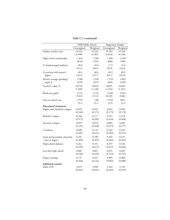|                                                                | HSB Public School |          | Regression Sample |          |  |
|----------------------------------------------------------------|-------------------|----------|-------------------|----------|--|
|                                                                | Unweighted        | Weighted | Unweighted        | Weighted |  |
| Student teacher ratio                                          | 19.432            | 19.242   | 19.392            | 19.243   |  |
|                                                                | (4.598)           | (4.581)  | (4.634)           | (4.536)  |  |
| High school membership                                         | 1,434             | 1,383    | 1,404             | 1,369    |  |
|                                                                | (818)             | (793)    | (800)             | (788)    |  |
| % disadvantaged students                                       | 20.0              | 16.9     | 17.9              | 15.6     |  |
|                                                                | (23.2)            | (20.4)   | (20.9)            | (18.4)   |  |
| % teachers with master's                                       | 48.4              | 48.6     | 48.2              | 48.9     |  |
| degree                                                         | (24.3)            | (23.7)   | (24.1)            | (23.6)   |  |
| District average spending/                                     | 1,588             | 1,598    | 1,578             | 1,602    |  |
| pupil, \$                                                      | (670)             | (655)    | (669)             | (649)    |  |
| Teacher's salary, \$                                           | 10,703            | 10,659   | 10,691            | 10,665   |  |
|                                                                | (1,209)           | (1,128)  | (1,223)           | (1,107)  |  |
| Books per pupil                                                | 13.14             | 13.34    | 13.68             | 13.63    |  |
|                                                                | (9.83)            | (9.52)   | (10.39)           | (9.66)   |  |
| Days in school year                                            | 179.8             | 180      | 179.8             | 180.1    |  |
|                                                                | (3.1)             | (3.1)    | (3.2)             | (3.1)    |  |
| <b>Educational attainment</b><br>Higher than bachelor's degree | 0.029             | 0.031    | 0.032             | 0.030    |  |
|                                                                | (0.168)           | (0.173)  | (0.175)           | (0.170)  |  |
| Bachelor's degree                                              | 0.166             | 0.177    | 0.222             | 0.210    |  |
|                                                                | (0.372)           | (0.382)  | (0.416)           | (0.408)  |  |
| Associate's degree                                             | 0.070             | 0.078    | 0.085             | 0.084    |  |
|                                                                | (0.255)           | (0.268)  | (0.279)           | (0.277)  |  |
| Certificate                                                    | 0.090             | 0.110    | 0.102             | 0.109    |  |
|                                                                | (0.287)           | (0.313)  | (0.303)           | (0.312)  |  |
| Some postsecondary education                                   | 0.187             | 0.190    | 0.202             | 0.191    |  |
| but no degree                                                  | (0.390)           | (0.392)  | (0.402)           | (0.393)  |  |
| High school diploma                                            | 0.261             | 0.337    | 0.297             | 0.320    |  |
|                                                                | (0.439)           | (0.473)  | (0.457)           | (0.466)  |  |
| Less than high school                                          | 0.060             | 0.061    | 0.051             | 0.049    |  |
|                                                                | (0.238)           | (0.239)  | (0.219)           | (0.215)  |  |
| Degree missing                                                 | 0.137             | 0.015    | 0.009             | 0.008    |  |
|                                                                | (0.344)           | (0.122)  | (0.092)           | (0.088)  |  |
| <b>Additional controls</b>                                     |                   |          |                   |          |  |
| Math GPA                                                       | 2.075             | 2.096    | 2.164             | 2.139    |  |
|                                                                | (0.962)           | (0.933)  | (0.934)           | (0.919)  |  |

**Table C.1 (continued)**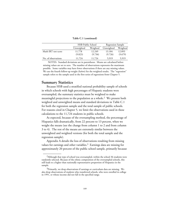**Table C.1 (continued)**

|                     | <b>HSB Public School</b> |                   | Regression Sample |                   |  |
|---------------------|--------------------------|-------------------|-------------------|-------------------|--|
|                     | Unweighted               | Weighted          | Unweighted        | Weighted          |  |
| Math IRT test score | 11.778<br>(9.823)        | 12.249<br>(9.736) | 13.184<br>(9.726) | 12.893<br>(9.679) |  |
| No. of observations | 11,724                   | 11,724            | 5.919             | 5,919             |  |

NOTES: Standard deviations are in parentheses. Means are calculated before missing values are set to zero. The number of observations represents the maximum possible. Some variables may have fewer observations if there are any missing values. We use the fourth follow-up weight (fu4wt) for the weighted results. The "regression" sample refers to the sample used in the first series of regressions from Chapter 5.

## **Summary Statistics**

\_\_\_\_\_\_\_\_\_\_\_\_

Because HSB used a stratified national probability sample of schools in which schools with high percentages of Hispanic students were oversampled, the summary statistics must be weighted to make meaningful projections to the population as a whole.2 We present both weighted and unweighted means and standard deviations in Table C.1 for both the regression sample and the total sample of public schools. For reasons cited in Chapter 5, we limit the observations used in these calculations to the 11,724 students in public schools.

As expected, because of the oversampling method, the percentage of Hispanics falls dramatically, from 22 percent to 13 percent, when we weight the means (see the change from column 1 to 2 and from column 3 to 4). The rest of the means are extremely similar between the unweighted and weighted versions (for both the total sample and the regression sample).

Appendix A details the loss of observations resulting from missing values for earnings and other variables.<sup>3</sup> Earnings data are missing for approximately 20 percent of the public school sample, primarily because

<sup>&</sup>lt;sup>2</sup>Although that type of school was oversampled, within the school 36 students were randomly selected. Because of the ethnic composition of the oversampled schools, this still leads to a higher than nationally representative proportion of Hispanics in the sample.

 $3$ Primarily, we drop observations if earnings or curriculum data are missing. We also drop observations of students who transferred schools, who were enrolled in college in 1991, or whose income did not fall in the specified range.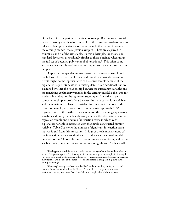of the lack of participation in the final follow-up. Because some crucial data are missing and therefore unusable in the regression analysis, we also calculate descriptive statistics for the subsample that we use to estimate the earnings models (the regression sample). These are displayed in columns 3 and 4 of the same table. In this subsample, the means and standard deviations are strikingly similar to those obtained when using the full set of potential public school observations.<sup>4</sup> This offers some assurance that sample attrition and missing values have not distorted our sample.

Despite the comparable means between the regression sample and the full sample, we were still concerned that the estimated curriculum effects might not be representative of the entire sample because of the high percentage of students with missing data. As an additional test, we examined whether the relationship between the curriculum variables and the remaining explanatory variables in the earnings model is the same for students in and out of the regression subsample. But rather than compare the simple correlations between the math curriculum variables and the remaining explanatory variables for students in and out of the regression sample, we took a more comprehensive approach. 5 We regressed each of the math credit measures on the remaining explanatory variables, a dummy variable indicating whether the observation is in the regression sample and a series of interaction terms in which each explanatory variable is interacted with that newly constructed dummy variable. Table C.2 shows the number of significant interaction terms that we found from this procedure. In four of the six models, none of the interaction terms were significant. In the vocational math model, only four of the 53 possible interaction terms were significant; and in the algebra model, only one interaction term was significant. Such a small

 ${}^{4}$ The biggest mean difference occurs in the percentage of sample members who are male. This percentage is 4.5 points higher in the usable regression sample, indicating that we lose a disproportionate number of females. This is not surprising because, on average, more females will be out of the labor force and therefore missing earnings data in the appropriate range.

 $5$ These explanatory variables include all of the demographic, family, and school characteristics that we described in Chapter 5, as well as the highest educational attainment dummy variables. See Table 5.1 for a complete list of the variables.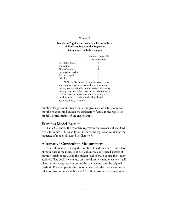### **Table C.2**

### **Number of Significant Interaction Terms in Tests of Similarity Between the Regression Sample and the Entire Sample**

|                      | Number (53 possible) |
|----------------------|----------------------|
|                      | per regression)      |
| Vocational math      |                      |
| Pre-algebra          |                      |
| Algebra/geometry     |                      |
| Intermediate algebra |                      |
| Advanced algebra     |                      |
| Calculus             |                      |

NOTES: We do not include interaction terms where the variable interacted with the in-regression dummy variable is itself a dummy variable indicating missing data. We fail to reject the hypothesis that the coefficients of the interaction terms are jointly zero for all models except the vocational math and algebra/geometry categories.

number of significant interaction terms gives us reasonable assurances that the relationship between the explanatory factors in the regression model is representative of the entire sample.

## **Earnings Model Results**

Table C.3 shows the complete regression coefficients and standard errors for model (1). In addition, it shows the regression results for the sequence of models discussed in Chapter 5.

## **Alternative Curriculum Measurement**

As an alternative to using the number of credits earned in each level of math class as the measure of curriculum, we constructed a series of dummy variables indicating the highest level of math course the student attained. The coefficient values on these dummy variables were virtually identical to the appropriate sum of the coefficients from the original method. For example, in the case of no controls, the coefficient on the calculus class dummy variable was 0.51. If we assume that students who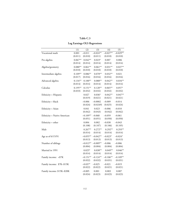## **Table C.3**

**Log Earnings OLS Regressions**

|                             | (1)        | (2)        | (3)        | (4)        | (5)        |
|-----------------------------|------------|------------|------------|------------|------------|
| Vocational math             | 0.001      | $-0.011$   | $-0.024**$ | $-0.027**$ | $-0.029**$ |
|                             | (0.011)    | (0.010)    | (0.011)    | (0.010)    | (0.010)    |
| Pre-algebra                 | $0.067**$  | $0.042**$  | $0.023*$   | 0.007      | 0.006      |
|                             | (0.014)    | (0.014)    | (0.014)    | (0.014)    | (0.014)    |
| Algebra/geometry            | $0.080**$  | $0.061**$  | $0.061**$  | $0.031**$  | $0.027**$  |
|                             | (0.010)    | (0.010)    | (0.010)    | (0.010)    | (0.010)    |
| Intermediate algebra        | $0.109**$  | $0.086**$  | $0.078**$  | $0.032**$  | 0.021      |
|                             | (0.017)    | (0.016)    | (0.016)    | (0.016)    | (0.016)    |
| Advanced algebra            | $0.134**$  | $0.100**$  | $0.088**$  | $0.042**$  | $0.034**$  |
|                             | (0.014)    | (0.014)    | (0.014)    | (0.014)    | (0.014)    |
| Calculus                    | $0.195***$ | $0.151**$  | $0.120**$  | $0.065**$  | $0.057*$   |
|                             | (0.033)    | (0.032)    | (0.032)    | (0.032)    | (0.032)    |
| Ethnicity = Hispanic        |            | 0.027      | $0.036*$   | $0.042**$  | $0.047**$  |
|                             |            | (0.019)    | (0.021)    | (0.021)    | (0.021)    |
| Ethnicity = black           |            | $-0.006$   | $-0.0002$  | $-0.009$   | $-0.014$   |
|                             |            | (0.024)    | (0.0249)   | (0.025)    | (0.024)    |
| Ethnicity = Asian           |            | 0.041      | 0.023      | $-0.006$   | $-0.010$   |
|                             |            | (0.042)    | (0.043)    | (0.042)    | (0.042)    |
| Ethnicity = Native American |            | $-0.109**$ | $-0.068$   | $-0.059$   | $-0.061$   |
|                             |            | (0.051)    | (0.051)    | (0.050)    | (0.050)    |
| Ethnicity = other           |            | 0.004      | 0.002      | $-0.030$   | $-0.043$   |
|                             |            | (0.108)    | (0.107)    | (0.106)    | (0.105)    |
| Male                        |            | $0.267**$  | $0.272**$  | $0.292**$  | $0.293**$  |
|                             |            | (0.014)    | (0.014)    | (0.014)    | (0.014)    |
| Age as of 6/15/91           |            | $-0.055**$ | $-0.042**$ | $-0.023*$  | $-0.024*$  |
|                             |            | (0.013)    | (0.013)    | (0.013)    | (0.013)    |
| Number of siblings          |            | $-0.013**$ | $-0.009**$ | $-0.006$   | $-0.006$   |
|                             |            | (0.004)    | (0.004)    | (0.004)    | (0.004)    |
| Married in 1991             |            | $0.025*$   | $0.038**$  | $0.049**$  | $0.046**$  |
|                             |            | (0.014)    | (0.014)    | (0.014)    | (0.014)    |
| Family income: <\$7K        |            | $-0.151**$ | $-0.124**$ | $-0.106**$ | $-0.109**$ |
|                             |            | (0.032)    | (0.032)    | (0.031)    | (0.031)    |
| Family income: \$7K-\$15K   |            | $-0.037*$  | $-0.025$   | $-0.021$   | $-0.019$   |
|                             |            | (0.022)    | (0.022)    | (0.021)    | (0.021)    |
| Family income: \$15K-\$20K  |            | $-0.005$   | 0.001      | 0.003      | 0.007      |
|                             |            | (0.024)    | (0.023)    | (0.023)    | (0.023)    |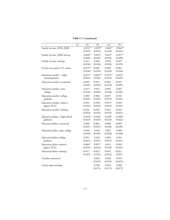**Table C.3 (continued)**

|                                 | (1) | (2)        | (3)        | (4)        | (5)       |
|---------------------------------|-----|------------|------------|------------|-----------|
| Family income: \$25K-\$38K      |     | $0.074**$  | $0.070**$  | $0.064**$  | $0.066**$ |
|                                 |     | (0.025)    | (0.025)    | (0.024)    | (0.024)   |
| Family income: \$38K and up     |     | $0.068**$  | $0.059**$  | $0.052*$   | $0.057**$ |
|                                 |     | (0.029)    | (0.029)    | (0.028)    | (0.028)   |
| Family income: missing          |     | 0.011      | 0.004      | 0.038      | 0.037     |
|                                 |     | (0.036)    | (0.036)    | (0.036)    | (0.035)   |
| At least one parent U.S. native |     | $-0.079**$ | $-0.026$   | $-0.009$   | $-0.004$  |
|                                 |     | (0.026)    | (0.026)    | (0.026)    | (0.026)   |
| Education mother: < high        |     | $-0.071**$ | $-0.062**$ | $-0.055**$ | $-0.054*$ |
| school graduate                 |     | (0.022)    | (0.022)    | (0.022)    | (0.022)   |
| Education mother: vocational    |     | $-0.030$   | $-0.031$   | $-0.040$   | $-0.035$  |
|                                 |     | (0.029)    | (0.029)    | (0.029)    | (0.029)   |
| Education mother: some          |     | 0.015      | 0.015      | $-0.005$   | 0.002     |
| college                         |     | (0.026)    | (0.026)    | (0.026)    | (0.026)   |
| Education mother: college       |     | 0.000      | $-0.004$   | $-0.035$   | $-0.032$  |
| graduate                        |     | (0.032)    | (0.032)    | (0.031)    | (0.031)   |
| Education mother: master's      |     | $-0.051$   | $-0.050$   | $-0.075*$  | $-0.065$  |
| degree, Ph.D.                   |     | (0.043)    | (0.042)    | (0.042)    | (0.041)   |
| Education mother: missing       |     | $-0.026$   | $-0.028$   | $-0.024$   | $-0.024$  |
|                                 |     | (0.023)    | (0.023)    | (0.022)    | (0.022)   |
| Education father: < high school |     | $-0.050**$ | $-0.044*$  | $-0.038*$  | $-0.038*$ |
| graduate                        |     | (0.023)    | (0.023)    | (0.023)    | (0.023)   |
| Education father: vocational    |     | 0.000      | $-0.001$   | $-0.008$   | $-0.005$  |
|                                 |     | (0.031)    | (0.031)    | (0.030)    | (0.030)   |
| Education father: some college  |     | 0.026      | 0.024      | 0.007      | 0.009     |
|                                 |     | (0.029)    | (0.029)    | (0.028)    | (0.028)   |
| Education father: college       |     | 0.051      | 0.039      | 0.005      | 0.001     |
| graduate                        |     | (0.031)    | (0.031)    | (0.031)    | (0.031)   |
| Education father: master's      |     | $0.064*$   | $0.057*$   | 0.015      | 0.018     |
| degree, Ph.D.                   |     | (0.035)    | (0.034)    | (0.034)    | (0.034)   |
| Education father: missing       |     | $-0.017$   | $-0.023$   | $-0.024$   | $-0.021$  |
|                                 |     | (0.022)    | (0.022)    | (0.022)    | (0.021)   |
| Teachers unionized              |     |            | 0.024      | 0.020      | 0.019     |
|                                 |     |            | (0.023)    | (0.023)    | (0.022)   |
| Union status missing            |     |            | 0.038      | 0.018      | 0.008     |
|                                 |     |            | (0.073)    | (0.072)    | (0.072)   |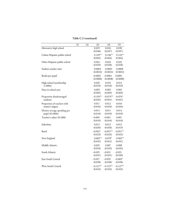**Table C.3 (continued)**

|                                    | (1) | (2) | (3)                   | (4)                   | (5)                   |
|------------------------------------|-----|-----|-----------------------|-----------------------|-----------------------|
| Alternative high school            |     |     | 0.035                 | 0.034                 | 0.030                 |
|                                    |     |     | (0.048)               | (0.047)               | (0.047)               |
| Cuban Hispanic public school       |     |     | $0.149**$             | $0.146**$             | $0.143**$             |
|                                    |     |     | (0.065)               | (0.064)               | (0.064)               |
| Other Hispanic public school       |     |     | 0.042                 | 0.034                 | 0.032                 |
|                                    |     |     | (0.029)               | (0.028)               | (0.028)               |
| Student teacher ratio              |     |     | 0.0003                | 0.0005                | 0.0008                |
|                                    |     |     | (0.0022)              | (0.0022)              | (0.0022)              |
| Books per pupil                    |     |     | $-0.0002$<br>(0.0008) | $-0.0001$<br>(0.0008) | 0.0001<br>(0.0008)    |
|                                    |     |     |                       |                       |                       |
| High school membership<br>(1,000s) |     |     | 0.020<br>(0.010)      | 0.016<br>(0.010)      | 0.014<br>(0.010)      |
| Days in school year                |     |     | 0.003                 | 0.003                 | 0.002                 |
|                                    |     |     | (0.003)               | (0.003)               | (0.003)               |
| Proportion disadvantaged           |     |     | $-0.105**$            | $-0.074**$            | $-0.076*$             |
| students                           |     |     | (0.042)               | (0.041)               | (0.041)               |
| Proportion of teachers with        |     |     | 0.011                 | 0.012                 | 0.010                 |
| master's degree                    |     |     | (0.034)               | (0.034)               | (0.034)               |
| District average spending per      |     |     | 0.013                 | 0.011                 | 0.014                 |
| pupil (\$1,000s)                   |     |     | (0.010)               | (0.010)               | (0.010)               |
| Teacher's salary (\$1,000)         |     |     | $-0.003$              | $-0.001$              | 0.001                 |
|                                    |     |     | (0.010)               | (0.010)               | (0.010)               |
| Suburban                           |     |     | 0.013                 | 0.012                 | 0.012                 |
|                                    |     |     | (0.020)               | (0.020)               | (0.019)               |
| Rural                              |     |     | $-0.043*$             | $-0.051**$            | $-0.051**$            |
|                                    |     |     | (0.023)               | (0.023)               | (0.023)               |
| New England                        |     |     | $0.082**$             | $0.078*$              | $0.082**$             |
|                                    |     |     | (0.042)               | (0.041)               | (0.041)               |
| Middle Atlantic                    |     |     | 0.025                 | 0.007                 | 0.008                 |
|                                    |     |     | (0.034)               | (0.033)               | (0.033)               |
| South Atlantic                     |     |     | $-0.035$              | $-0.031$              | $-0.031$              |
|                                    |     |     | (0.031)               | (0.031)               | (0.030)               |
| East South Central                 |     |     | $-0.057$<br>(0.038)   | $-0.059$<br>(0.038)   | $-0.069*$<br>(0.038)  |
| West South Central                 |     |     | $-0.121**$            | $-0.125**$            |                       |
|                                    |     |     | (0.033)               | (0.033)               | $-0.127**$<br>(0.032) |
|                                    |     |     |                       |                       |                       |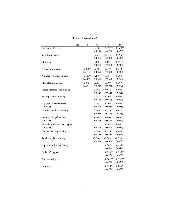**Table C.3 (continued)**

|                                 | (1) | (2)        | (3)        | (4)        | (5)        |
|---------------------------------|-----|------------|------------|------------|------------|
| East North Central              |     |            | $-0.048$   | $-0.059**$ | $-0.062**$ |
|                                 |     |            | (0.029)    | (0.029)    | (0.029)    |
| West North Central              |     |            | $-0.077**$ | $-0.093**$ | $-0.096**$ |
|                                 |     |            | (0.036)    | (0.035)    | (0.035)    |
| Mountain                        |     |            | $-0.150**$ | $-0.153**$ | $-0.151**$ |
|                                 |     |            | (0.038)    | (0.037)    | (0.037)    |
| Native value missing            |     | $-0.086**$ | $-0.058$   | $-0.049$   | $-0.042$   |
|                                 |     | (0.035)    | (0.035)    | (0.035)    | (0.035)    |
| Number of siblings missing      |     | $-0.140**$ | $-0.115*$  | $-0.097$   | $-0.088$   |
|                                 |     | (0.069)    | (0.069)    | (0.068)    | (0.068)    |
| Marital status missing          |     | $-0.078$   | $-0.083$   | $-0.059$   | $-0.059$   |
|                                 |     | (0.095)    | (0.094)    | (0.093)    | (0.092)    |
| Student/teacher ratio missing   |     |            | 0.002      | $-0.011$   | 0.000      |
|                                 |     |            | (0.062)    | (0.061)    | (0.061)    |
| Books per pupil missing         |     |            | $-0.008$   | 0.005      | 0.007      |
|                                 |     |            | (0.036)    | (0.036)    | (0.036)    |
| High school membership          |     |            | 0.003      | 0.008      | 0.003      |
| missing                         |     |            | (0.059)    | (0.058)    | (0.058)    |
| Days in school year missing     |     |            | 0.609      | 0.523      | 0.477      |
|                                 |     |            | (0.494)    | (0.486)    | (0.483)    |
| % disadvantaged students        |     |            | $-0.007$   | $-0.008$   | $-0.009$   |
| missing                         |     |            | (0.027)    | (0.027)    | (0.027)    |
| % teachers with master's degree |     |            | 0.078      | 0.068      | 0.061      |
| missing                         |     |            | (0.050)    | (0.049)    | (0.049)    |
| District spending missing       |     |            | 0.040      | 0.038      | 0.045      |
|                                 |     |            | (0.028)    | (0.028)    | (0.028)    |
| Teacher's salary missing        |     |            | $-0.066$   | $-0.043$   | $-0.024$   |
|                                 |     |            | (0.081)    | (0.080)    | (0.079)    |
| Higher than bachelor's degree   |     |            |            | $0.342**$  | $0.358**$  |
|                                 |     |            |            | (0.044)    | (0.047)    |
| Bachelor's degree               |     |            |            | $0.256**$  | $0.253**$  |
|                                 |     |            |            | (0.023)    | (0.028)    |
| Associate's degree              |     |            |            | $0.181**$  | $0.157**$  |
|                                 |     |            |            | (0.027)    | (0.030)    |
| Certificate                     |     |            |            | $0.048*$   | $0.045*$   |
|                                 |     |            |            | (0.025)    | (0.025)    |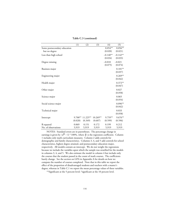**Table C.3 (continued)**

|                              | (1)       | (2)      | (3)        | (4)        | (5)        |
|------------------------------|-----------|----------|------------|------------|------------|
| Some postsecondary education |           |          |            | $0.054**$  | $0.056**$  |
| but no degree                |           |          |            | (0.020)    | (0.021)    |
| Less than high school        |           |          |            | $-0.140**$ | $-0.142**$ |
|                              |           |          |            | (0.034)    | (0.033)    |
| Degree missing               |           |          |            | $-0.018$   | $-0.021$   |
|                              |           |          |            | (0.075)    | (0.074)    |
| Business major               |           |          |            |            | $0.181**$  |
|                              |           |          |            |            | (0.037)    |
| Engineering major            |           |          |            |            | $0.269**$  |
|                              |           |          |            |            | (0.042)    |
| Health major                 |           |          |            |            | $0.372**$  |
|                              |           |          |            |            | (0.047)    |
| Other major                  |           |          |            |            | 0.027      |
|                              |           |          |            |            | (0.058)    |
| Science major                |           |          |            |            | 0.065      |
|                              |           |          |            |            | (0.054)    |
| Social science major         |           |          |            |            | $0.096**$  |
|                              |           |          |            |            | (0.042)    |
| Technical major              |           |          |            |            | 0.033      |
|                              |           |          |            |            | (0.058)    |
| Intercept                    | $9.700**$ | 11.225** | $10.269**$ | $9.759**$  | $9.676**$  |
|                              | (0.020)   | (0.349)  | (0.607)    | (0.599)    | (0.596)    |
| R-squared                    | 0.069     | 0.151    | 0.172      | 0.199      | 0.212      |
| No. of observations          | 5,919     | 5,919    | 5,919      | 5,919      | 5,919      |

NOTES: Standard errors are in parentheses. The percentage change in earnings is given by (e<sup>β</sup> - 1) \* 100%, where β is the regression coefficient. Column 1 includes only math curriculum measures. Column 2 adds controls for demographic and family characteristics. Columns 3, 4, and 5 add controls for school characteristics, highest degree attained, and postsecondary education major, respectively. All models contain an intercept. We do not weight the regressions because we include the variables upon which the sample was stratified for the models in columns 3, 4, and 5. We also estimate the model in column 4 but include only the courses that the student passed in the count of math courses. The coefficients barely change. See the section on GPA in Appendix A for details on how we compute the number of courses completed. Note that in this table we report the effect of the proportion of disadvantaged students and teachers with a master's degree, whereas in Table C.1 we report the mean percentage values of these variables.

\*\*Significant at the 5 percent level; \*significant at the 10 percent level.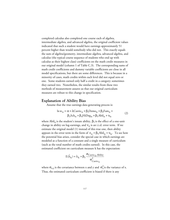completed calculus also completed one course each of algebra, intermediate algebra, and advanced algebra, the original coefficient values indicated that such a student would have earnings approximately 51 percent higher than would somebody who did not. This exactly equals the sum of algebra/geometry, intermediate algebra, advanced algebra, and calculus (the typical course sequence of students who end up with calculus as their highest class) coefficients on the math credit measures in our original model (column 1 of Table C.3). The corresponding sums of math credit coefficients and dummy variable coefficients are close in all model specifications, but there are some differences. This is because in a minority of cases, math credits within each level did not equal zero or one. Some students earned only half a credit in a category; sometimes they earned two. Nonetheless, the similar results from these two methods of measurement assures us that our original curriculum measures are robust to this change in specification.

## **Explanation of Ability Bias**

Assume that the true earnings data generating process is:

$$
\ln w_{is} = \alpha + \lambda Curric_{is} + \beta_1 Demo_{is} + \beta_2 Fam_{is} +
$$
  
\n
$$
\beta_3Sch_{is} + \beta_4 HiDeg_{is} + \beta_5 Abil_{is} + \nu_{is}
$$
 (2)

where Abil<sub>is</sub> is the student's innate ability,  $\beta_5$  is the effect of a one-unit change in ability on log-earnings, and  $v_{is}$  is an i.i.d. error term. If we estimate the original model (1) instead of this true one, then ability appears in the error term in the form of  $\varepsilon_{is} = \beta_5 Abil_{is} + v_{is}$ . To see how the potential bias arises, consider the special case in which earnings are modeled as a function of a constant and a single measure of curriculum (such as the total number of math credits earned). In this case, the estimated coefficient on curriculum measure k has the expectation:

$$
E(\hat{\lambda}_k) = \lambda_k + \beta_5 \frac{\sigma_{Curric_k, Ability}}{\sigma_{Curric_k}^2}
$$

where  $\sigma_{x,y}$  is the covariance between x and y and  $\sigma_x^2$  is the variance of x. Thus, the estimated curriculum coefficient is biased if there is any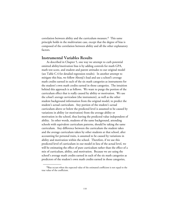correlation between ability and the curriculum measure.6 This same principle holds in the multivariate case, except that the degree of bias is composed of the correlation between ability and all the other explanatory factors.

# **Instrumental Variables Results**

As described in Chapter 5, one way we attempt to curb potential omitted ability/motivation bias is by adding controls for math GPA, math test score, and student and parent attitudes to our original model (see Table C.4 for detailed regression results). In another attempt to mitigate this bias, we follow Altonji's lead and use a school's average math credits earned in each of the six math categories as instruments for the student's own math credits earned in those categories. The intuition behind this approach is as follows. We want to purge the portion of the curriculum effect that is really caused by ability or motivation. We use the *school's average curriculum* (the instrument), as well as the other student background information from the original model, to predict the student's actual curriculum. Any portion of the student's actual curriculum above or below the predicted level is assumed to be caused by variations in ability (or motivation) from the average ability or motivation in the school, thus leaving the predicted value independent of ability. In other words, students of the same background, attending schools with equivalent curriculum patterns, should be taking the same curriculum. Any difference between the curriculum the student takes and the average curriculum taken by other students at that school, after accounting for personal traits, is assumed to be caused by variations in ability and motivation within the school. Therefore, if we use this predicted level of curriculum in our model in lieu of the actual level, we will be estimating the effect of pure curriculum rather than the effect of a mix of curriculum, ability, and motivation. Because we are using the school's average math credits earned in each of the six math categories as predictors of the student's own math credits earned in those categories,

<sup>&</sup>lt;sup>6</sup>Bias occurs when the expected value of the estimated coefficient is not equal to the true value of the coefficient.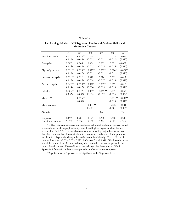### **Table C.4**

#### **Log Earnings Models: OLS Regression Results with Various Ability and Motivation Controls**

|                                  | (1)                   | (2)                  | (3)                   | (4)                   | (5)                   | (6)                  |
|----------------------------------|-----------------------|----------------------|-----------------------|-----------------------|-----------------------|----------------------|
| Vocational math                  | $-0.027**$            | $-0.029**$           | $-0.023**$            | $-0.027**$            | $-0.028**$            | $-0.033**$           |
|                                  | (0.010)               | (0.011)              | (0.012)               | (0.011)               | (0.012)               | (0.012)              |
| Pre-algebra                      | 0.007<br>(0.014)      | 0.005<br>(0.014)     | 0.006<br>(0.015)      | 0.002<br>(0.015)      | 0.005<br>(0.015)      | $-0.002$<br>(0.015)  |
| Algebra/geometry                 | $0.031***$<br>(0.010) | $0.029**$<br>(0.010) | $0.025***$<br>(0.011) | $0.032**$<br>(0.011)  | $0.026**$<br>(0.011)  | $0.024**$<br>(0.011) |
| Intermediate algebra             | $0.032**$<br>(0.016)  | 0.022<br>(0.017)     | 0.018<br>(0.018)      | 0.024<br>(0.017)      | 0.012<br>(0.018)      | 0.012<br>(0.018)     |
| Advanced algebra                 | $0.042**$<br>(0.014)  | $0.029**$<br>(0.015) | $0.027*$<br>(0.016)   | $0.035**$<br>(0.015)  | 0.019<br>(0.016)      | 0.013<br>(0.016)     |
| Calculus                         | $0.065***$<br>(0.032) | 0.047<br>(0.032)     | $0.055*$<br>(0.034)   | $0.065***$<br>(0.032) | 0.045<br>(0.034)      | 0.045<br>(0.034)     |
| Math GPA                         |                       | $0.036**$<br>(0.009) |                       |                       | $0.034$ **<br>(0.010) | $0.037**$<br>(0.010) |
| Math test score                  |                       |                      | $0.003$ **<br>(0.001) |                       | 0.002<br>(0.001)      | 0.001<br>(0.001)     |
| Attitudes                        |                       |                      |                       | Yes                   |                       | Yes                  |
| R-squared<br>No. of observations | 0.199<br>5,919        | 0.201<br>5,896       | 0.199<br>5,138        | 0.208<br>5,344        | 0.200<br>5,119        | 0.208<br>4,944       |
|                                  |                       |                      |                       |                       |                       |                      |

NOTES: Standard errors are in parentheses. All models include an intercept as well as controls for the demographic, family, school, and highest-degree variables that we presented in Table 5.1. The models do not control for college major, because we want that effect to be attributed to curriculum for reasons cited in the text. Adding dummy variables for college major changes the coefficients only minimally. The coefficients in column 5 become: –0.029, 0.003, 0.022, 0.004, 0.013, and 0.041. We also estimate the models in column 1 and 2 but include only the courses that the student passed in the count of math courses. The coefficients barely change. See the section on GPA in Appendix A for details on how we compute the number of courses completed.

\*\* Significant at the 5 percent level; \*significant at the 10 percent level.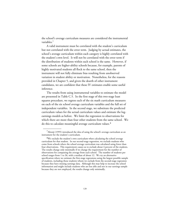the school's average curriculum measures are considered the instrumental variables.7

A valid instrument must be correlated with the student's curriculum but not correlated with the error term. Judging by actual estimates, the school's average curriculum within each category is highly correlated with the student's own level. It will not be correlated with the error term if the distribution of students within each school is the same. However, if some schools are higher-ability schools because, for example, parents of highly motivated students all flock to the same school, then the instrument will not fully eliminate bias resulting from unobserved variation in student ability or motivation. Nonetheless, for the reasons provided in Chapter 5, and given the dearth of other instrument candidates, we are confident that these IV estimates enable some useful inference.

The results from using instrumental variables to estimate the model are presented in Table C.5. In the first stage of this two-stage least squares procedure, we regress each of the six math curriculum measures on each of the six school average curriculum variables and the full set of independent variables. In the second stage, we substitute the predicted curriculum values for the actual curriculum values and estimate the logearnings models as before. We limit the regression to observations for which there are more than four other students from the same school. We do this to calculate meaningful average curriculum values.<sup>8</sup>

<sup>&</sup>lt;sup>7</sup>Altonji (1995) introduced the idea of using the school's average curriculum as an instrument for the student's curriculum.

<sup>&</sup>lt;sup>8</sup>We exclude the student's own curriculum when calculating the school average curriculum for that student. In our second-stage regression, we exclude students who come from schools where the school average curriculum was calculated using fewer than four observations. This requirement causes us to exclude about 4 percent of the students. The results change only minimally if we change the requirement for the number of observations for computing the average from each school. The number of students per school ranges from 1 to 36, with a median of about 12. We try an alternative specification where we estimate the first-stage regressions using the largest possible sample of students, including those students whom we exclude from the second-stage regression because they have missing earnings data. Although this may help to increase the school information and might include students who are less able and not in our earnings sample because they are not employed, the results change only minimally.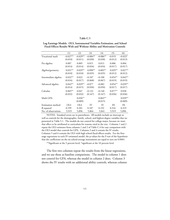### **Table C.5**

**Log Earnings Models: OLS, Instrumental Variables Estimation, and School Fixed-Effects Results With and Without Ability and Motivation Controls**

|                      | (1)        | (2)        | (3)        | (4)        | (5)       | (6)       |
|----------------------|------------|------------|------------|------------|-----------|-----------|
| Vocational math      | $-0.027**$ | $-0.029**$ | $-0.084**$ | $-0.086**$ | $-0.019$  | $-0.023*$ |
|                      | (0.010)    | (0.011)    | (0.030)    | (0.030)    | (0.012)   | (0.013)   |
| Pre-algebra          | 0.007      | 0.005      | 0.015      | 0.013      | 0.006     | 0.004     |
|                      | (0.014)    | (0.014)    | (0.034)    | (0.034)    | (0.017)   | (0.017)   |
| Algebra/geometry     | $0.031**$  | $0.029**$  | $0.090**$  | $0.083**$  | $0.029**$ | $0.027**$ |
|                      | (0.010)    | (0.010)    | (0.035)    | (0.035)    | (0.012)   | (0.012)   |
| Intermediate algebra | $0.032**$  | 0.022      | $-0.107$   | $-0.100$   | $0.054**$ | $0.042**$ |
|                      | (0.016)    | (0.017)    | (0.068)    | (0.067)    | (0.019)   | (0.019)   |
| Advanced algebra     | $0.042**$  | $0.029**$  | $-0.077$   | $-0.082$   | $0.054**$ | $0.039**$ |
|                      | (0.014)    | (0.015)    | (0.050)    | (0.050)    | (0.017)   | (0.017)   |
| Calculus             | $0.065***$ | 0.047      | $-0.132$   | $-0.140$   | $0.077**$ | 0.058     |
|                      | (0.032)    | (0.032)    | (0.167)    | (0.167)    | (0.036)   | (0.036)   |
| Math GPA             |            | $0.036**$  |            | $0.063***$ |           | $0.039**$ |
|                      |            | (0.009)    |            | (0.015)    |           | (0.009)   |
| Estimation method    | <b>OLS</b> | <b>OLS</b> | IV         | IV         | FE        | FE        |
| R-squared            | 0.199      | 0.201      | 0.187      | 0.192      | 0.316     | 0.319     |
| No. of observations  | 5,919      | 5,896      | 5,864      | 5,841      | 5,919     | 5,896     |

NOTES: Standard errors are in parentheses. All models include an intercept as well as controls for the demographic, family, school, and highest-degree variables that we presented in Table 5.1. The models do not control for college major, because we want that effect to be attributed to curriculum for reasons cited in the text. Columns 1 and 2 repeat the OLS estimates from columns 1 and 2 of Table C.4 for easy comparison with the OLS model that controls for GPA. Columns 3 and 4 contain the IV results. Columns 5 and 6 contain the OLS with high school fixed-effects results. For the firststage regressions in each IV-estimated model, the p-values for the F-test of the hypothesis that the coefficients on the six school-average instruments are equal to zero are 0.0001.

\*\*Significant at the 5 percent level; \*significant at the 10 percent level.

The first two columns repeat the results from the linear regressions, and we use these as baseline comparisons. The model in column 1 does not control for GPA, whereas the model in column 2 does. Column 3 shows the IV results with no additional ability controls, whereas column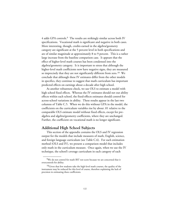4 adds GPA controls.<sup>9</sup> The results are strikingly similar across both IV specifications. Vocational math is significant and negative in both cases. More interesting, though, credits earned in the algebra/geometry category are significant at the 5 percent level in both specifications and are of similar magnitude at approximately 8 to 9 percent. This is a rather large increase from the baseline comparison case. It appears that the effect of higher-level math courses has been condensed into the algebra/geometry category. It is important to stress that although the higher-level math coefficients now have negative signs, they are measured so imprecisely that they are not significantly different from zero.<sup>10</sup> We conclude that although these IV estimates differ from the other models in specifics, they continue to suggest that math curriculum has important predicted effects on earnings about a decade after high school.

As another robustness check, we use OLS to estimate a model with high school fixed effects. Whereas the IV estimates should net out ability effects within each school, the fixed-effects estimates should control for across-school variations in ability. These results appear in the last two columns of Table C.5. When we do this without GPA in the model, the coefficients on the curriculum variables rise by about .01 relative to the comparable OLS estimate model without fixed effects, except for prealgebra and algebra/geometry coefficients, where they are unchanged. Further, the coefficient on vocational math is no longer significant.

# **Additional High School Subjects**

\_\_\_\_\_\_\_\_\_\_\_\_

This section of the appendix contains the OLS and IV regression output for the models that include measures of math, English, science, and foreign language curriculum (see Table C.6). For each estimation method (OLS and IV), we present a comparison model that includes only math in the curriculum measure. Once again, when we use the IV technique, the school's average curriculum in each category of each

<sup>&</sup>lt;sup>9</sup>We do not control for math IRT test score because we are concerned that it overcontrols for ability.

 $10$ Given that few students take the high-level math courses, the quality of the instrument may be reduced for this level of course, therefore explaining the lack of precision in estimating these coefficients.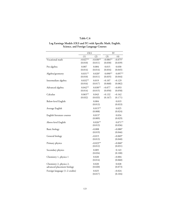# **Table C.6**

# **Log Earnings Models (OLS and IV) with Specific Math, English, Science, and Foreign Language Courses**

|                                | <b>OLS</b> |            | IV         |           |
|--------------------------------|------------|------------|------------|-----------|
|                                | (1)        | (2)        | (3)        | (4)       |
| Vocational math                | $-0.027**$ | $-0.030**$ | $-0.084**$ | $-0.075*$ |
|                                | (0.010)    | (0.011)    | (0.030)    | (0.039)   |
| Pre-algebra                    | 0.007      | 0.004      | 0.015      | 0.030     |
|                                | (0.014)    | (0.014)    | (0.034)    | (0.045)   |
| Algebra/geometry               | $0.031**$  | $0.020*$   | $0.090**$  | $0.097**$ |
|                                | (0.010)    | (0.011)    | (0.035)    | (0.044)   |
| Intermediate algebra           | $0.032**$  | 0.019      | $-0.107$   | $-0.129$  |
|                                | (0.016)    | (0.017)    | (0.068)    | (0.082)   |
| Advanced algebra               | $0.042**$  | $0.030**$  | $-0.077$   | $-0.093$  |
|                                | (0.014)    | (0.015)    | (0.050)    | (0.058)   |
| Calculus                       | $0.065**$  | 0.043      | $-0.132$   | $-0.162$  |
|                                | (0.032)    | (0.033)    | (0.167)    | (0.171)   |
| <b>Below-level English</b>     |            | 0.004      |            | 0.019     |
|                                |            | (0.013)    |            | (0.033)   |
| Average English                |            | $0.015**$  |            | 0.025     |
|                                |            | (0.008)    |            | (0.024)   |
| English literature courses     |            | $0.015*$   |            | 0.034     |
|                                |            | (0.009)    |            | (0.029)   |
| Above-level English            |            | $0.026**$  |            | $0.071**$ |
|                                |            | (0.013)    |            | (0.036)   |
| <b>Basic biology</b>           |            | $-0.008$   |            | $-0.080*$ |
|                                |            | (0.019)    |            | (0.046)   |
| General biology                |            | $-0.015$   |            | $-0.069*$ |
|                                |            | (0.013)    |            | (0.040)   |
| Primary physics                |            | $-0.023**$ |            | $-0.060*$ |
|                                |            | (0.012)    |            | (0.031)   |
| Secondary physics              |            | 0.005      |            | 0.143     |
|                                |            | (0.034)    |            | (0.100)   |
| Chemistry 1, physics 1         |            | 0.020      |            | $-0.004$  |
|                                |            | (0.014)    |            | (0.060)   |
| Chemistry 2, physics 2,        |            | 0.020      |            | 0.028     |
| advanced placement biology     |            | (0.020)    |            | (0.073)   |
| Foreign language (1-2 credits) |            | 0.025      |            | $-0.024$  |
|                                |            | (0.017)    |            | (0.104)   |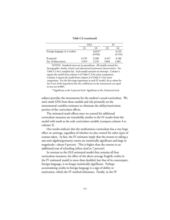**Table C.6 (continued)**

|                                | OLS              |           |       | IV      |
|--------------------------------|------------------|-----------|-------|---------|
|                                | $\left(1\right)$ | (2)       | 3)    | (4)     |
| Foreign language (3-4 credits) |                  | $0.054**$ |       | 0.129   |
|                                |                  | (0.026)   |       | (0.143) |
| R-squared                      | 0.199            | 0.200     | 0.187 | 0.186   |
| No. of observations            | 5,919            | 5,735     | 5,864 | 5,681   |

NOTES: Standard errors are in parentheses. All models control for demographic, family, school, and educational attainment characteristics. See Table 5.1 for a complete list. Each model contains an intercept. Column 1 repeats the model from column 4 of Table C.3 for easier comparison. Column 3 repeats the model from column 3 of Table C.5 for easier comparison. For the first-stage regressions in each IV model, the p-values for the F-test of the hypothesis that the coefficients on the instruments are equal to zero are 0.0001.

\*\*Significant at the 5 percent level; \*significant at the 10 percent level.

subject provides the instruments for the student's actual curriculum. We omit math GPA from these models and rely primarily on the instrumental variables estimator to eliminate the ability/motivation portion of the curriculum effects.

The estimated math effects once we control for additional curriculum measures are remarkably similar to the IV results from the model with math as the only curriculum variable (compare column 4 to column 3).

Our results indicate that the mathematics curriculum has a very large effect on earnings, regardless of whether we also control for other types of courses taken. In fact, the IV estimates imply that the returns to taking a one-unit algebra/geometry course are statistically significant and large in magnitude—about 9 percent. This is higher than the returns to an additional year of schooling (often cited as 7 percent).

In contrast to the OLS estimated model that contains all four curriculum measures, the effect of the above-average English credits in the IV estimated model is more than doubled, but that of its counterpart, foreign language, is no longer statistically significant. Perhaps accumulating credits in foreign language is a sign of ability or motivation, which the IV method eliminates. Finally, in the IV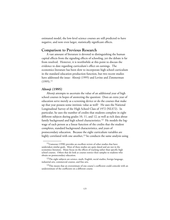estimated model, the low-level science courses are still predicted to have negative, and now even larger, statistically significant effects.

# **Comparison to Previous Research**

A vast amount of literature is devoted to distinguishing the human capital effects from the signaling effects of schooling, yet the debate is far from resolved. However, it is worthwhile at this point to discuss the evidence to date regarding curriculum's effect on earnings. The economics literature has been slow to incorporate high school curriculum in the standard education production function, but two recent studies have addressed the issue: Altonji (1995) and Levine and Zimmerman  $(1995).$ <sup>11</sup>

#### *Altonji (1995)*

\_\_\_\_\_\_\_\_\_\_\_\_

Altonji attempts to ascertain the value of an additional year of high school courses in hopes of answering the question: Does an extra year of education serve merely as a screening device or do the courses that make up that year possess some intrinsic value as well? He uses the National Longitudinal Survey of the High School Class of 1972 (NLS72). In particular, he uses the number of credits that students complete in eight different subjects during grades 10, 11, and 12, as well as rich data about family background and high school characteristics.<sup>12</sup> He models the logwage of each person as a linear function of the credits that the student completes, standard background characteristics, and years of postsecondary education. Because the eight curriculum variables are highly correlated with one another,<sup>13</sup> he conducts the same analysis using

<sup>&</sup>lt;sup>11</sup>Gamoran (1998) provides an excellent review of other studies that have undertaken similar goals. Most of these studies are quite dated and are not in the economics literature. Many focus on the effects of tracking rather than specific high school courses. Others that do look at courses restrict their samples to students who obtain no postsecondary education.

 $12$ The eight subjects are science, math, English, social studies, foreign language, industrial arts, commercial courses, and fine arts.

 $13$ This means that an overestimate of one course's coefficient could coincide with an underestimate of the coefficient on a different course.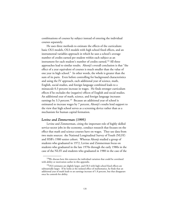combinations of courses by subject instead of entering the individual courses separately.

He uses three methods to estimate the effects of the curriculum: basic OLS models, OLS models with high school fixed effects, and an instrumental variables approach in which he uses a school's average number of credits earned per student within each subject as an instrument for each student's number of credits earned.<sup>14</sup> All three approaches lead to similar results. Altonji's overall conclusion is that "the effect of a year equivalent of courses is much smaller than the value of one year in high school." In other words, the whole is greater than the sum of its parts. Even before controlling for background characteristics and using the IV approach, each additional year of science, math, English, social studies, and foreign language combined leads to a minuscule 0.3 percent increase in wages. He finds stronger curriculum effects if he excludes the (negative) effects of English and social studies. An additional year of math, science, and foreign language increases earnings by 3.3 percent.<sup>15</sup> Because an additional year of school is estimated to increase wages by 7 percent, Altonji's results lend support to the view that high school serves as a screening device rather than as a mechanism for human capital formation.

### *Levine and Zimmerman (1995)*

\_\_\_\_\_\_\_\_\_\_\_\_

Levine and Zimmerman, citing the important role of highly skilled service-sector jobs in the economy, conduct research that focuses on the effect that math and science courses have on wages. They use data from two main sources: the National Longitudinal Survey of Youth (NLSY) and HSB's 1980 senior cohort. Whereas Altonji studied a group of students who graduated in 1972, Levine and Zimmerman focus on students who graduated in the late 1970s through the early 1980s in the case of the NLSY and students who graduated in 1980 in the case of the

<sup>&</sup>lt;sup>14</sup>We discuss how this removes the individual variation that could be correlated with ability or motivation earlier in this appendix.

<sup>&</sup>lt;sup>15</sup>OLS estimates are slightly larger, and OLS with high school fixed effects are substantially larger. If he looks at the isolated effect of mathematics, he finds that an additional year of math leads to an earnings increase of 1.8 percent, but that disappears once he controls for ability.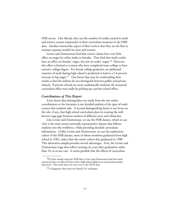HSB survey. Like Altonji, they use the number of credits earned in math and science courses (separately) as their curriculum measures in the HSB data. Another noteworthy aspect of their work is that they are the first to estimate separate models for men and women.

Levine and Zimmerman find that science classes have very little effect on wages for either males or females. They find that math credits have an effect on females' wages, but not on males' wages.<sup>16</sup> However, this effect is limited to women who have completed some college or have earned a college degree. For female college graduates, an additional semester of math during high school is predicted to lead to a 5.4 percent increase in  $log$  wages.<sup>17</sup> One factor that may be confounding their results is that the authors do not distinguish between public and private schools. If private schools are more academically inclined, the measured curriculum effect may really be picking up a private school effect.

#### *Contributions of This Report*

\_\_\_\_\_\_\_\_\_\_\_\_

A key factor that distinguishes our study from the two earlier contributions to the literature is our detailed analysis of the *types* of math courses that students take. A second distinguishing factor is our focus on the role, if any, that high school curriculum plays in creating the wellknown wage gaps between workers of different races and ethnicities.

Like Levine and Zimmerman, we use the HSB dataset, which in our view is the most recent nationally representative dataset that follows students into the workforce, while providing detailed curriculum information. Unlike Levine and Zimmerman, we use the sophomore cohort of the HSB dataset, most of whose members graduated from high school in 1982, rather than the senior cohort that graduated in 1980. This alternative sample provides several advantages. First, the Levine and Zimmerman wage data reflect earnings six years after graduation rather than 10, as in our case. It seems possible that the effects of curriculum

<sup>&</sup>lt;sup>16</sup>In their models using the HSB data, Levine and Zimmerman find that math courses do have an effect for men with a high school diploma or some postsecondary education. This result does not carry over to the NLSY data.

 $17$ It disappears when they use Altonii's IV technique.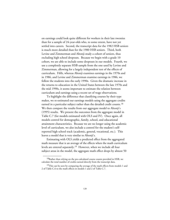on earnings could look quite different for workers in their late twenties than for a sample of 24-year-olds who, to some extent, have not yet settled into careers. Second, the transcript data for the 1982 HSB seniors is much more detailed than for the 1980 HSB seniors. Third, both Levine and Zimmerman and Altonji study a cohort of seniors, thus excluding high school dropouts. Because we begin with a grade 10 cohort, we are able to include some dropouts in our models. Fourth, we use a completely separate HSB sample from the one used by Levine and Zimmerman, allowing for a largely independent test of the effects of curriculum. Fifth, whereas Altonji examines earnings in the 1970s and in 1986, and Levine and Zimmerman examine earnings in 1986, we follow the students into the early 1990s. Given the dramatic increase in the returns to education in the United States between the late 1970s and the mid 1990s, it seems important to estimate the relation between curriculum and earnings using a recent set of wage observations.

To highlight the difference that classifying courses by their type makes, we re-estimated our earnings models using the aggregate credits earned in a particular subject rather than the detailed credit counts.<sup>18</sup> We then compare the results from our aggregate model to Altonji's (1995) results. We present the outcomes from the aggregate model in Table C.7 (for models estimated with OLS and IV). Once again, all models control for demographic, family, school, and educational attainment characteristics. Because we are no longer using the academic level of curriculum, we also include a control for the student's selfreported high school track (academic, general, vocational, etc.). This leaves a model that is very similar to Altonji's.

Estimating with OLS yields a predicted effect from the aggregated math measure that is an average of the effects when the math curriculum levels are entered separately.19 However, when we include all four subject areas in the model, the aggregate math effect drops by almost 50

<sup>&</sup>lt;sup>18</sup>Rather than relying on the pre-calculated course counts provided in HSB, we calculate the total number of credits earned directly from the transcript data.

 $19$ This can be seen by comparing the average of the math effects from models 1 and 2 of Table C.6 to the math effects in models 1 and 2 of Table C.7.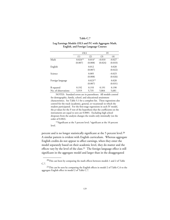### **Table C.7**

#### **Log Earnings Models (OLS and IV) with Aggregate Math, English, and Foreign Language Courses**

|                     | <b>OLS</b> |           | IV       |          |
|---------------------|------------|-----------|----------|----------|
|                     | (1)        | (2)       | (3)      | (4)      |
| Math                | $0.024**$  | $0.014*$  | $-0.010$ | $-0.027$ |
|                     | (0.007)    | (0.008)   | (0.024)  | (0.033)  |
| English             |            | 0.012     |          | 0.028    |
|                     |            | (0.007)   |          | (0.022)  |
| Science             |            | 0.005     |          | $-0.025$ |
|                     |            | (0.008)   |          | (0.026)  |
| Foreign language    |            | $0.023**$ |          | 0.028    |
|                     |            | (0.007)   |          | (0.031)  |
| R-squared           | 0.192      | 0.193     | 0.191    | 0.190    |
| No. of observations | 5,919      | 5,735     | 5,864    | 5,681    |

NOTES: Standard errors are in parentheses. All models control for demographic, family, school, and educational attainment characteristics. See Table 5.1 for a complete list. These regressions also control for the track (academic, general, or vocational) in which the student participated. For the first-stage regressions in each IV model, the p-values for the F-test of the hypothesis that the coefficients on the instruments are equal to zero are 0.0001. Excluding high school dropouts from the analysis changes the results only minimally (on the order of 0.002).

\*\*Significant at the 5 percent level; \*significant at the 10 percent level.

percent and is no longer statistically significant at the 5 percent level.20 A similar pattern is evident with English curriculum. Whereas aggregate English credits do not appear to affect earnings, when they enter the model separately based on their academic level, they do matter and the effects vary by the level of the class.<sup>21</sup> The foreign language effect is still significant in the aggregate model and larger than in the disaggregated

<sup>20</sup>This can been by comparing the math effects between models 1 and 2 of Table C.7.

<sup>&</sup>lt;sup>21</sup>This can be seen by comparing the English effects in model 2 of Table C.6 to the aggregate English effect in model 2 of Table C.7.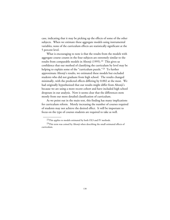case, indicating that it may be picking up the effects of some of the other subjects. When we estimate these aggregate models using instrumental variables, none of the curriculum effects are statistically significant at the 5 percent level.

What is encouraging to note is that the results from the models with aggregate course counts in the four subjects are extremely similar to the results from comparable models in Altonji (1995).<sup>22</sup> This gives us confidence that our method of classifying the curriculum by level may be helping to explain some of the "curriculum puzzle."<sup>23</sup> To further approximate Altonji's results, we estimated these models but excluded students who did not graduate from high school. The results changed minimally, with the predicted effects differing by 0.002 at the most. We had originally hypothesized that our results might differ from Altonji's because we are using a more recent cohort and have included high school dropouts in our analysis. Now it seems clear that the differences stem mostly from our more detailed classification of curriculum.

As we point out in the main text, this finding has many implications for curriculum reform. Merely increasing the number of courses required of students may not achieve the desired effect. It will be important to focus on the type of courses students are required to take as well.

<sup>&</sup>lt;sup>22</sup>This applies to models estimated by both OLS and IV methods.

<sup>&</sup>lt;sup>23</sup>This term was coined by Altonji when describing the small estimated effects of curriculum.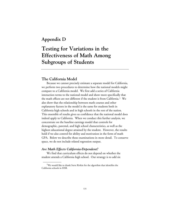# **Appendix D**

# **Testing for Variations in the Effectiveness of Math Among Subgroups of Students**

## **The California Model**

Because we cannot precisely estimate a separate model for California, we perform two procedures to determine how the national models might compare to a California model. We first add a series of California interaction terms to the national model and show more specifically that the math effects are not different if the student is from California.<sup>1</sup> We also show that the relationship between math courses and other explanatory factors in the model is the same for students both in California high schools and in high schools in the rest of the nation. This ensemble of results gives us confidence that the national model does indeed apply to California. When we conduct this further analysis, we concentrate on the baseline earnings model that controls for demographic, parental, and high school characteristics, as well as the highest educational degree attained by the student. However, the results hold if we also control for ability and motivation in the form of math GPA. Below we describe these examinations in more detail. To conserve space, we do not include related regression output.

### *Are Math Effects California-Dependent?*

\_\_\_\_\_\_\_\_\_\_\_\_

We find that curriculum effects do not depend on whether the student attends a California high school. Our strategy is to add six

<sup>&</sup>lt;sup>1</sup>We would like to thank Steve Rivkin for the algorithm that identifies the California schools in HSB.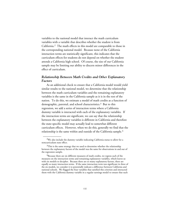variables to the national model that interact the math curriculum variables with a variable that describes whether the student is from California.2 The math effects in this model are comparable to those in the corresponding national model. Because none of the California interaction terms are statistically significant, this indicates that the curriculum effects for students do not depend on whether the student attends a California high school. Of course, the size of our California sample may be limiting our ability to discern minor differences in the effect of curriculum.

## *Relationship Between Math Credits and Other Explanatory Factors*

As an additional check to ensure that a California model would yield similar results to the national model, we determine that the relationship between the math curriculum variables and the remaining explanatory variables is the same in the California sample as it is in the rest of the nation. To do this, we estimate a model of math credits as a function of demographic, parental, and school characteristics.3 But to this regression, we add a series of interaction terms where a California dummy variable is interacted with each of the explanatory variables. If the interaction terms are significant, we can say that the relationship between the explanatory variables is different in California and therefore the state-specific model may actually lead to somewhat different curriculum effects. However, when we do this, generally we find that the relationship is the same within and outside of the California sample.<sup>4</sup>

<sup>&</sup>lt;sup>2</sup>We also include the dummy variable indicating California status to allow for a noncurriculum state effect.

 $3$ This is the same strategy that we used to determine whether the relationship between the explanatory factors of the model was the same for observations in and out of the regression sample.

 $4B$ ecause there are six different measures of math credits, we regress each of the measures on the interaction terms and remaining explanatory variables, which leaves us with six models to decipher. Because there are so many explanatory factors, there are equally as many interaction terms. If the same interaction term was significant in three of the six models, we consider it to potentially indicate a difference between California and national schools. We flagged the four variables that satisfied this criterion and interacted them with the California dummy variable in a regular earnings model to ensure that such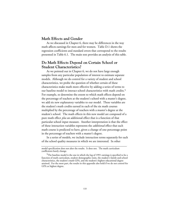# **Math Effects and Gender**

As we discussed in Chapter 6, there may be differences in the way math affects earnings for men and for women. Table D.1 shows the regression coefficients and standard errors that correspond to the results presented in Table 6.1. The main text provides an analysis of this table.

# **Do Math Effects Depend on Certain School or Student Characteristics?**

As we pointed out in Chapter 6, we do not have large enough samples from any particular population of interest to estimate separate models. Although we do control for a variety of student and school characteristics, we probe the question of whether certain of these characteristics make math more effective by adding a series of terms to our baseline model to interact school characteristics with math credits.<sup>5</sup> For example, to determine the extent to which math effects depend on the percentage of teachers at the student's school with a master's degree, we add six new explanatory variables to our model. These variables are the student's math credits earned in each of the six math courses multiplied by the percentage of teachers with a master's degree at the student's school. The math effects in this new model are composed of a pure math effect *plus* an additional effect that is a function of that particular school input measure. Another interpretation is that the effect of these interaction variables represents the *additional* effect that each math course is predicted to have, given a change of one percentage point in the percentage of teachers with a master's degree.

In a series of models, we include interaction terms separately for each of the school quality measures in which we are interested. In other

**\_\_\_\_\_\_\_\_\_\_\_\_\_\_\_\_\_\_\_\_\_\_\_\_\_\_\_\_\_\_\_\_\_\_\_\_\_\_\_\_\_\_\_\_\_\_\_\_\_\_\_\_\_\_\_\_**

model specification does not alter the results. It does not. The math curriculum coefficients barely change.

<sup>5</sup>The baseline model is the one in which the log of 1991 earnings is specified to be a function of math curriculum, student demographic traits, the student's family and school characteristics, the student's math GPA, and the student's highest educational degree attained. For the most part, the results in this appendix also hold if we do not control for GPA or highest degree.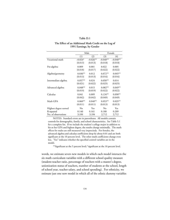#### **Table D.1**

#### **The Effect of an Additional Math Credit on the Log of 1991 Earnings, by Gender**

|                       |           | Male       |            | Female     |
|-----------------------|-----------|------------|------------|------------|
|                       | (1)       | (2)        | (3)        | (4)        |
| Vocational math       | $-0.024*$ | $-0.026**$ | $-0.040**$ | $-0.040**$ |
|                       | (0.013)   | (0.013)    | (0.018)    | (0.018)    |
| Pre-algebra           | 0.009     | 0.001      | 0.022      | 0.005      |
|                       | (0.018)   | (0.017)    | (0.022)    | (0.022)    |
| Algebra/geometry      | $0.036**$ | 0.012      | $0.072**$  | $0.045**$  |
|                       | (0.013)   | (0.013)    | (0.016)    | (0.016)    |
| Intermediate algebra  | $0.057**$ | 0.024      | $0.050**$  | 0.014      |
|                       | (0.021)   | (0.022)    | (0.025)    | (0.025)    |
| Advanced algebra      | $0.048**$ | 0.015      | $0.082**$  | $0.049**$  |
|                       | (0.019)   | (0.019)    | (0.022)    | (0.022)    |
| Calculus              | 0.041     | 0.009      | $0.134**$  | $0.090**$  |
|                       | (0.042)   | (0.042)    | (0.049)    | (0.049)    |
| Math GPA              | $0.060**$ | $0.040**$  | $0.053**$  | $0.035**$  |
|                       | (0.011)   | (0.011)    | (0.013)    | (0.013)    |
| Highest degree earned | $\rm No$  | Yes        | $\rm No$   | Yes        |
| R-squared             | 0.140     | 0.161      | 0.180      | 0.209      |
| No. of observations   | 3,184     | 3,184      | 2,712      | 2,712      |

NOTES: Standard errors are in parentheses. All models contain controls for demographic, family, and school characteristics. See Table 5.1 for a complete list. If we include the student's college major in addition to his or her GPA and highest degree, the results change minimally. The math effects for males are still measured very imprecisely. For females, the advanced algebra and calculus coefficients drop by about 0.01 and are both significant at the 10 percent level. The other math coefficients change even less. "Yes" indicates whether the specified control variables are in the model.

\*\*Significant at the 5 percent level; \*significant at the 10 percent level.

words, we estimate seven new models in which each model interacts the six math curriculum variables with a different school quality measure (student-teacher ratio, percentage of teachers with a master's degree, unionization status of teachers, number of students at the school, length of school year, teacher salary, and school spending). For ethnicity, we estimate just one new model in which all of the ethnic dummy variables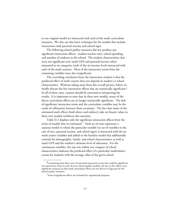in our original model are interacted with each of the math curriculum measures. We also use this latter technique for the models that include interactions with parental income and school rigor.

The following school quality measures did not produce any significant interaction effects: student-teacher ratio, school spending, and number of students in the school. The student characteristics that were not significant were math GPA and parental income when measured in six categories (each of the six income levels interacted with each of the math courses). Most of the interaction terms from the remaining variables were also insignificant.

The overriding conclusion from the interaction analysis is that the predicted effect of math courses does not depend on student or school characteristics. Without taking away from this overall picture, below we briefly discuss the few interaction effects that are statistically significant.<sup>6</sup> In all of these cases, caution should be exercised in interpreting the results. It is important to note that in these new models, many of the direct curriculum effects are no longer statistically significant. The lack of significant interaction terms and the curriculum variables may be the result of collinearity between these covariates. The fact that many of the estimated math effects (both direct and indirect) take on bizarre values in these new models reinforces this assertion.

Table D.2 displays only the significant interaction effects from the series of models that we estimated.7 Each set of rows represents a separate model in which the particular variable (or set of variables in the case of race, parental income, and school rigor) is interacted with the six math course variables and added to the baseline model that additionally controls for demographic, family, and school characteristics, as well as math GPA and the student's ultimate level of education. For the continuous variables, the top row within any category of school characteristics indicates the predicted effect of a particular mathematics course for students with the average value of the given school

<sup>&</sup>lt;sup>6</sup>Considering that there were 42 potential interaction terms that could be significant (six interaction terms in each of seven school quality models), the fact so few effects were significant reassures us that math curriculum effects are not driven in large part by the school quality measures.

<sup>7</sup>Some insignificant effects are included for expositional purposes.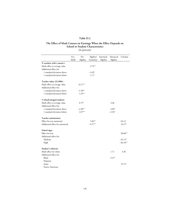# **Table D.2**

### **The Effect of Math Courses on Earnings When the Effect Depends on School or Student Characteristics**

(in percent)

|                                 | Voc.<br>Math | Pre-      | Algebra/   | Intermed. | Advanced | Calculus   |
|---------------------------------|--------------|-----------|------------|-----------|----------|------------|
|                                 |              | Algebra   | Geometry   | Algebra   | Algebra  |            |
| % teachers with a master's      |              |           |            |           |          |            |
| Math effect at average value    |              |           | $2.74***$  |           |          |            |
| Additional effect for:          |              |           |            |           |          |            |
| 1 standard deviation above      |              |           | $-1.69*$   |           |          |            |
| 1 standard deviation below      |              |           | $1.71*$    |           |          |            |
| Teacher salary (\$1,000s)       |              |           |            |           |          |            |
| Math effect at average value    |              | $-0.17**$ |            |           |          |            |
| Additional effect for:          |              |           |            |           |          |            |
| 1 standard deviation above      |              | $-1.58**$ |            |           |          |            |
| 1 standard deviation below      |              | $1.45***$ |            |           |          |            |
| % disadvantaged students        |              |           |            |           |          |            |
| Math effect at average value    |              | $0.75*$   |            |           | 3.46     |            |
| Additional effect for:          |              |           |            |           |          |            |
| 1 standard deviation above      |              | $-2.38**$ |            |           | $3.09*$  |            |
| 1 standard deviation below      |              | $2.07**$  |            |           | $-2.56*$ |            |
| Teacher unionization            |              |           |            |           |          |            |
| Effect for not unionized        |              |           | $7.66***$  |           |          | $-10.13$   |
| Additional effect for unionized |              |           | $-5.57***$ |           |          | $16.57*$   |
| School rigor                    |              |           |            |           |          |            |
| Effect for low                  |              |           |            |           |          | 38.06**    |
| Additional effect for:          |              |           |            |           |          |            |
| Medium                          |              |           |            |           |          | $-33.13*$  |
| High                            |              |           |            |           |          | $-36.18**$ |
| Student's ethnicity             |              |           |            |           |          |            |
| Math effect for white           |              |           |            |           | 1.71     | 3.36       |
| Additional effect for:          |              |           |            |           |          |            |
| Black                           |              |           |            |           | $9.37*$  |            |
| Hispanic                        |              |           |            |           |          |            |
| Asian                           |              |           |            |           |          | $19.15*$   |
| Native American                 |              |           |            |           |          |            |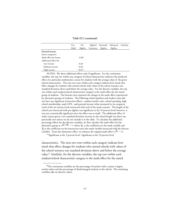|                        | Voc. | Pre-     | Algebra/ |         | Intermed. Advanced | Calculus |
|------------------------|------|----------|----------|---------|--------------------|----------|
|                        | Math | Algebra  | Geometry | Algebra | Algebra            |          |
| Parental income        |      |          |          |         |                    |          |
| (fewer categories)     |      |          |          |         |                    |          |
| Math effect for lowest |      | $6.88*$  |          |         |                    |          |
| Additional effect for: |      |          |          |         |                    |          |
| Low income             |      | $-6.63$  |          |         |                    |          |
| Medium income          |      | $-6.84$  |          |         |                    |          |
| High income            |      | $-8.67*$ |          |         |                    |          |
|                        |      |          |          |         |                    |          |

**Table D.2 (continued)**

NOTES: We show additional effects only if significant. For the continuous variables, the top row within any category of school characteristic indicates the predicted effect of a particular mathematics course for students with the average value of the given school characteristic. The next two rows within each category indicate how much that effect changes for students who attend schools with values of the school resource one standard deviation above and below the average value. For the discrete variables, the top row within each student/school characteristic category is the math effect for the stated group of students. The bottom rows represent the change in the math effect experienced by alternative groups of students. The following school qualities and student traits did not have any significant interaction effects: student-teacher ratio, school spending, high school membership, math GPA, and parental income when measured in six categories (each of the six income levels interacted with each of the math courses). The length of the school year interacted with pre-algebra was significant at the 10 percent level; however, it was not economically significant since the effect was so small. The additional effect of math courses given a two standard deviation increase in the school length (six days) was practically zero and so we do not include it in the table. To calculate the additional percentage effects for the discrete variables, we first calculate the math effect for the alternative group as  $e^{\beta_1 + \beta_2} - 1$  where  $\beta_1$  is the coefficient on the math variable and  $\beta_2$  is the coefficient on the interaction term (the math variable interacted with the discrete variable). From this alternative effect, we subtract the original math effect ( $e^{\beta_1} - 1$ ).

\*\*Significant at the 5 percent level; \*significant at the 10 percent level.

\_\_\_\_\_\_\_\_\_\_\_\_

characteristics. The next two rows within each category indicate how much that effect changes for students who attend schools with values of the school resource one standard deviation above and below the average value.8 Similarly, for the discrete variables, the top row within each student/school characteristic category is the math effect for the stated

 ${}^{8}$ The continuous variables are the percentage of teachers with a master's degree, teacher salary and the percentage of disadvantaged students at the school. The remaining variables take on discrete values.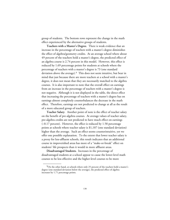group of students. The bottom rows represent the change in the math effect experienced by the alternative groups of students.

**Teachers with a Master's Degree.** There is weak evidence that an increase in the percentage of teachers with a master's degree diminishes the effect of algebra/geometry credits. At an average school where about 49 percent of the teachers hold a master's degree, the predicted effect of an algebra course is 2.74 percent in this model. However, this effect is reduced by 1.69 percentage points for students at schools where the percentage of teachers with a master's degree is 73 (one standard deviation above the average).9 This does not seem intuitive, but bear in mind that just because there are more teachers at a school with a master's degree, it does not mean that they are necessarily matched to the algebra courses. It is also important to note that the overall effect on earnings from an increase in the percentage of teachers with a master's degree is not negative. Although it is not displayed in the table, the direct effect that increasing the percentage of teachers with a master's degree has on earnings almost completely counterbalances the decrease in the math effect. Therefore, earnings are not predicted to change at all as the result of a more educated group of teachers.

**Teacher Salary.** Another point of note is the effect of teacher salary on the benefit of pre-algebra courses. At average values of teacher salary, pre-algebra credits are not predicted to have much effect on earnings (–0.17 percent). However, the effect is reduced by 1.58 percentage points at schools where teacher salary is \$1,107 (one standard deviation) higher than the average. Such an effect seems counterintuitive, yet we offer one possible explanation. To the extent that lower teacher salary is a proxy for less-affluent schools, this result indicates that an additional course in impoverished areas has more of a "make-or-break" effect on students' life prospects than it would in more affluent areas.

**Disadvantaged Students.** Increases in the percentage of disadvantaged students at a school appear to cause the lower-level math courses to be less effective and the higher-level courses to be more

 $9$ On the other hand, at schools where only 25 percent of the teachers hold a master's degree (one standard deviation below the average), the predicted effect of algebra increases by 1.71 percentage points.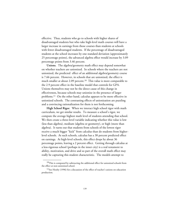effective. Thus, students who go to schools with higher shares of disadvantaged students but who take high-level math courses will have a larger increase in earnings from those courses than students at schools with fewer disadvantaged students. If the percentage of disadvantaged students at the school increases by one standard deviation (approximately 25 percentage points), the advanced algebra effect would increase by 3.09 percentage points from 3.46 percent.

**Unions.** The algebra/geometry math effect may depend somewhat on whether teachers are unionized. In schools where the teachers are not unionized, the predicted effect of an additional algebra/geometry course is 7.66 percent. However, in schools that are unionized, the effect is much smaller at about 2.09 percent.<sup>10</sup> This value is more comparable to the 2.9 percent effect in the baseline model that controls for GPA. Unions themselves may not be the direct cause of this change in effectiveness, because schools may unionize in the presence of larger problems.11 On the other hand, calculus appears to be more effective in unionized schools. The contrasting effects of unionization are puzzling and a convincing rationalization for them is not forthcoming.

**High School Rigor.** When we interact high school rigor with math curriculum, we get similar results. To measure a school's rigor, we compute the average highest math level of students attending that school. We then create a three-level variable indicating whether this value is low (less than algebra), medium (algebra or geometry), or high (more than algebra). It turns out that students from schools of the lowest rigor receive a much bigger "kick" from calculus than do students from higherlevel schools. At such schools, calculus has a 38 percent predicted effect on earnings. At high-level schools, this effect drops by about 36 percentage points, leaving a 2 percent effect. Getting through calculus at a less-rigorous school (perhaps in the inner city) is a real testament to ability, motivation, and drive and so part of the overall math effect may really be capturing this student characteristic. The models attempt to

 $10$ This is computed by subtracting the additional effect for unionized schools from the effect at non-unionized school.

<sup>&</sup>lt;sup>11</sup>See Hoxby (1996) for a discussion of the effect of teacher's unions on education production.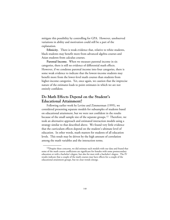mitigate this possibility by controlling for GPA. However, unobserved variations in ability and motivation could still be a part of the explanation.

**Ethnicity.** There is weak evidence that, relative to white students, black students may benefit more from advanced algebra courses and Asian students from calculus courses.

**Parental Income.** When we measure parental income in six categories, there is still no evidence of differential math effects. However, if we condense parental income into four categories, there is some weak evidence to indicate that the lowest-income students may benefit more from the lower-level math courses than students from higher-income categories. Yet, once again, we caution that the imprecise nature of the estimates leads to point estimates in which we are not entirely confident.

# **Do Math Effects Depend on the Student's Educational Attainment?**

\_\_\_\_\_\_\_\_\_\_\_\_

Following earlier work by Levine and Zimmerman (1995), we considered presenting separate models for subsamples of students based on educational attainment, but we were not confident in the results because of the small sample size of the separate groups.12 Therefore, we took an alternative approach and estimated interaction models using a strategy similar to that described above. We found very little evidence that the curriculum effects depend on the student's ultimate level of education. In other words, math matters for students of all education levels. This result may be driven by the high amount of correlation among the math variables and the interaction terms.

 $12$ Despite these concerns, we did estimate such models with our data and found that some of the math course coefficients are significant for females with some postsecondary education or with a bachelor's degree, but also for men with a bachelor's degree. The IV results indicate that a couple of the math courses may have effects for a couple of the educational attainment groups, but no clear trends emerge.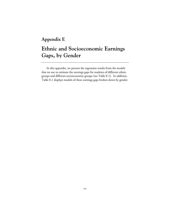# **Appendix E**

# **Ethnic and Socioeconomic Earnings Gaps, by Gender**

In this appendix, we present the regression results from the models that we use to estimate the earnings gaps for students of different ethnic groups and different socioeconomic groups (see Table E.1). In addition, Table E.1 displays models of these earnings gaps broken down by gender.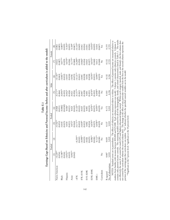|                                                                                                                                                                                | Pooled                                                                         |                                                                                                           |                                                                                                                   | Pooled                                                                                                                                                                                                                                                                                                                       | Male                                                                                                                                                                                                                                                                                          |                                                                                                                                                                    |                                                                                                                                                                                                                                                                                                                                             | Female                                                                                                                                                                                                                                                                                       |
|--------------------------------------------------------------------------------------------------------------------------------------------------------------------------------|--------------------------------------------------------------------------------|-----------------------------------------------------------------------------------------------------------|-------------------------------------------------------------------------------------------------------------------|------------------------------------------------------------------------------------------------------------------------------------------------------------------------------------------------------------------------------------------------------------------------------------------------------------------------------|-----------------------------------------------------------------------------------------------------------------------------------------------------------------------------------------------------------------------------------------------------------------------------------------------|--------------------------------------------------------------------------------------------------------------------------------------------------------------------|---------------------------------------------------------------------------------------------------------------------------------------------------------------------------------------------------------------------------------------------------------------------------------------------------------------------------------------------|----------------------------------------------------------------------------------------------------------------------------------------------------------------------------------------------------------------------------------------------------------------------------------------------|
|                                                                                                                                                                                | $\widehat{\Xi}$                                                                | $\widehat{\omega}$                                                                                        | $\widehat{\mathcal{E}}$                                                                                           | $\bigoplus$                                                                                                                                                                                                                                                                                                                  | $\widehat{\circ}$                                                                                                                                                                                                                                                                             | $\circledcirc$                                                                                                                                                     | $\widehat{\triangleright}$                                                                                                                                                                                                                                                                                                                  | $\circledS$                                                                                                                                                                                                                                                                                  |
| Native American                                                                                                                                                                | $-0.229*$                                                                      |                                                                                                           | $-0.102*$                                                                                                         | 0.068                                                                                                                                                                                                                                                                                                                        | 0.171                                                                                                                                                                                                                                                                                         | $0.134***$                                                                                                                                                         | 0.022                                                                                                                                                                                                                                                                                                                                       | 0.002                                                                                                                                                                                                                                                                                        |
|                                                                                                                                                                                |                                                                                |                                                                                                           |                                                                                                                   |                                                                                                                                                                                                                                                                                                                              | $0.064$ )<br>$0.094**$                                                                                                                                                                                                                                                                        | $0.063$<br>$0.081***$                                                                                                                                              |                                                                                                                                                                                                                                                                                                                                             | 0.085)                                                                                                                                                                                                                                                                                       |
| Black                                                                                                                                                                          | $(0.054)$<br>-0.100**                                                          |                                                                                                           |                                                                                                                   |                                                                                                                                                                                                                                                                                                                              |                                                                                                                                                                                                                                                                                               |                                                                                                                                                                    | $0.087$<br>$0.077**$                                                                                                                                                                                                                                                                                                                        | $0.085***$                                                                                                                                                                                                                                                                                   |
|                                                                                                                                                                                |                                                                                |                                                                                                           |                                                                                                                   | $\begin{array}{c} (0.051) \\ 0.0002 \\ 0.0249) \end{array}$                                                                                                                                                                                                                                                                  |                                                                                                                                                                                                                                                                                               | $0.032$ )<br>$0.019$                                                                                                                                               |                                                                                                                                                                                                                                                                                                                                             |                                                                                                                                                                                                                                                                                              |
| Hispanic                                                                                                                                                                       |                                                                                |                                                                                                           |                                                                                                                   | $0.036*$                                                                                                                                                                                                                                                                                                                     |                                                                                                                                                                                                                                                                                               |                                                                                                                                                                    |                                                                                                                                                                                                                                                                                                                                             |                                                                                                                                                                                                                                                                                              |
|                                                                                                                                                                                | $\begin{array}{l} (0.024) \\ -0.052^{**} \\ (0.019) \\ 0.092^{**} \end{array}$ |                                                                                                           | $(0.052)$<br>$-0.010$<br>$(0.025)$<br>$(0.010)$<br>$(0.011)$<br>$(0.072*)$<br>$-0.0744$<br>$-0.032)$<br>$-0.039*$ | $\begin{smallmatrix} (0.021)\\ 0.023\\ 0.043)\\ (0.043)\\ (0.041)\\ (0.0124^{**}\\ (0.032)\\ (0.021)\\ (0.001)\\ (0.002)\\ (0.0023)\\ (0.0025)\\ (0.003)^{**}\\ (0.003)^{**}\\ (0.003)^{**}\\ (0.003)^{**}\\ (0.003)^{**}\\ (0.003)^{**}\\ (0.003)^{**}\\ (0.003)^{**}\\ (0.003)^{**}\\ (0.003)^{**}\\ (0.003)^{**}\\ (0.00$ | $\begin{array}{l} (0.033)\\ -0.042^*\\ 0.020\\ (0.020\\ -0.05)\\ (0.05)\\ (0.05)\\ (0.041)\\ (0.000\\ (0.001)\\ (0.001)\\ (0.001)\\ (0.001)\\ (0.001)\\ (0.001)\\ (0.001)\\ (0.002)\\ (0.003)\\ (0.001)\\ (0.002)\\ (0.003)\\ (0.003)\\ (0.004)\\ (0.005)\\ (0.005)\\ (0.007)\\ (0.008)\\ (0$ | $\begin{array}{l} (0.026)\\ -0.056\\ -0.055\\ (0.055)\\ (0.041)\\ (0.041)\\ (0.034)\\ (0.034)\\ (0.036)\\ (0.037)\\ (0.037)\\ (0.030)\\ (0.070^{**}\\ \end{array}$ | $\begin{smallmatrix} (0.039) \\ (0.070^{**} \\ (0.076) \\ (0.036) \\ (0.0175^{**} \\ (0.036) \\ (0.000^{**} \\ (0.000^{*}) \\ (0.000^{*}) \\ (0.000^{*}) \\ (0.000^{*}) \\ (0.000^{*}) \\ (0.000^{*}) \\ (0.000^{*}) \\ (0.000^{*}) \\ (0.000^{*}) \\ (0.000^{*}) \\ (0.000^{*}) \\ (0.000^{*}) \\ (0.000^{*}) \\ (0.000^{*}) \\ (0.000^{*$ | $\begin{array}{l} (0.039)\\ (0.039)\\ (1.035)\\ (0.035)\\ (0.037)\\ (0.039)\\ (0.030)\\ (0.031)\\ (0.031)\\ (0.034)\\ (0.035)\\ (0.031)\\ (0.032)\\ (0.033)\\ (0.034)\\ (0.035)\\ (0.037)\\ (0.038)\\ (0.039)\\ (0.037)\\ (0.038)\\ (0.039)\\ (0.039)\\ (0.039)\\ (0.039)\\ (0.039)\\ (0.03$ |
| Asian                                                                                                                                                                          |                                                                                |                                                                                                           |                                                                                                                   |                                                                                                                                                                                                                                                                                                                              |                                                                                                                                                                                                                                                                                               |                                                                                                                                                                    |                                                                                                                                                                                                                                                                                                                                             |                                                                                                                                                                                                                                                                                              |
|                                                                                                                                                                                | (0.043)                                                                        |                                                                                                           |                                                                                                                   |                                                                                                                                                                                                                                                                                                                              |                                                                                                                                                                                                                                                                                               |                                                                                                                                                                    |                                                                                                                                                                                                                                                                                                                                             |                                                                                                                                                                                                                                                                                              |
| <\$7K                                                                                                                                                                          |                                                                                | $-0.293***$                                                                                               |                                                                                                                   |                                                                                                                                                                                                                                                                                                                              |                                                                                                                                                                                                                                                                                               |                                                                                                                                                                    |                                                                                                                                                                                                                                                                                                                                             |                                                                                                                                                                                                                                                                                              |
|                                                                                                                                                                                |                                                                                | $(0.032)$<br>-0.098**                                                                                     |                                                                                                                   |                                                                                                                                                                                                                                                                                                                              |                                                                                                                                                                                                                                                                                               |                                                                                                                                                                    |                                                                                                                                                                                                                                                                                                                                             |                                                                                                                                                                                                                                                                                              |
| \$7K-\$15K                                                                                                                                                                     |                                                                                |                                                                                                           |                                                                                                                   |                                                                                                                                                                                                                                                                                                                              |                                                                                                                                                                                                                                                                                               |                                                                                                                                                                    |                                                                                                                                                                                                                                                                                                                                             |                                                                                                                                                                                                                                                                                              |
|                                                                                                                                                                                |                                                                                |                                                                                                           |                                                                                                                   |                                                                                                                                                                                                                                                                                                                              |                                                                                                                                                                                                                                                                                               |                                                                                                                                                                    |                                                                                                                                                                                                                                                                                                                                             |                                                                                                                                                                                                                                                                                              |
| $$151 - $20K$                                                                                                                                                                  |                                                                                |                                                                                                           |                                                                                                                   |                                                                                                                                                                                                                                                                                                                              |                                                                                                                                                                                                                                                                                               |                                                                                                                                                                    |                                                                                                                                                                                                                                                                                                                                             |                                                                                                                                                                                                                                                                                              |
|                                                                                                                                                                                |                                                                                | $\begin{array}{l} (0.023) \\ (0.026) \\ (0.025) \\ (0.030) \\ (0.012) \\ (0.012) \\ (0.112** \end{array}$ | $\begin{array}{c} (0.022) \\ 0.002 \\ (0.024) \\ 0.070^{**} \end{array}$                                          |                                                                                                                                                                                                                                                                                                                              |                                                                                                                                                                                                                                                                                               |                                                                                                                                                                    |                                                                                                                                                                                                                                                                                                                                             |                                                                                                                                                                                                                                                                                              |
| \$25K-\$38K                                                                                                                                                                    |                                                                                |                                                                                                           |                                                                                                                   |                                                                                                                                                                                                                                                                                                                              |                                                                                                                                                                                                                                                                                               |                                                                                                                                                                    |                                                                                                                                                                                                                                                                                                                                             |                                                                                                                                                                                                                                                                                              |
|                                                                                                                                                                                |                                                                                |                                                                                                           | (0.025)                                                                                                           |                                                                                                                                                                                                                                                                                                                              | $(0.032)$<br>0.098**                                                                                                                                                                                                                                                                          | $0.031$ )<br>$0.099**$                                                                                                                                             | 0.040)                                                                                                                                                                                                                                                                                                                                      |                                                                                                                                                                                                                                                                                              |
| $$38K +$                                                                                                                                                                       |                                                                                |                                                                                                           | $0.058**$                                                                                                         |                                                                                                                                                                                                                                                                                                                              |                                                                                                                                                                                                                                                                                               |                                                                                                                                                                    | 0.013                                                                                                                                                                                                                                                                                                                                       |                                                                                                                                                                                                                                                                                              |
|                                                                                                                                                                                |                                                                                | 0.030)                                                                                                    | 0.029)                                                                                                            | 0.029)                                                                                                                                                                                                                                                                                                                       | 0.036                                                                                                                                                                                                                                                                                         | 0.035)                                                                                                                                                             | 0.048)                                                                                                                                                                                                                                                                                                                                      |                                                                                                                                                                                                                                                                                              |
| Curriculum                                                                                                                                                                     | $\frac{1}{2}$                                                                  | $\tilde{z}$                                                                                               | $\tilde{z}$                                                                                                       | Yes                                                                                                                                                                                                                                                                                                                          |                                                                                                                                                                                                                                                                                               | Yes                                                                                                                                                                | ż                                                                                                                                                                                                                                                                                                                                           |                                                                                                                                                                                                                                                                                              |
| R-squared                                                                                                                                                                      | 0.007                                                                          | 0.035                                                                                                     | 0.137                                                                                                             | 0.172                                                                                                                                                                                                                                                                                                                        | 0.103                                                                                                                                                                                                                                                                                         | 0.132                                                                                                                                                              | 0.132                                                                                                                                                                                                                                                                                                                                       | 0.155                                                                                                                                                                                                                                                                                        |
| No. of observations                                                                                                                                                            | ,919                                                                           | 5,919                                                                                                     | 5,919                                                                                                             | 5,919                                                                                                                                                                                                                                                                                                                        | 3,194                                                                                                                                                                                                                                                                                         | 3,194                                                                                                                                                              | 2,725                                                                                                                                                                                                                                                                                                                                       | 2,725                                                                                                                                                                                                                                                                                        |
| students from families with incomes between \$20,000 and \$25,000. Each column represents one model.                                                                           | NOTES: Standard errors are in parentheses.                                     |                                                                                                           | The effects of ethnicity are measured relative to whites.                                                         |                                                                                                                                                                                                                                                                                                                              |                                                                                                                                                                                                                                                                                               | The effects of parental income are measured relative to<br>Column 1 contains only ethnicity controls. Column 2                                                     |                                                                                                                                                                                                                                                                                                                                             |                                                                                                                                                                                                                                                                                              |
| contains only parental income controls. The remaining models control for all of the demographic, family, and school characteristics listed in Table 5.1. The results<br>$\sim$ |                                                                                | $\overline{C}$                                                                                            |                                                                                                                   |                                                                                                                                                                                                                                                                                                                              |                                                                                                                                                                                                                                                                                               | $\frac{1}{2}$                                                                                                                                                      |                                                                                                                                                                                                                                                                                                                                             |                                                                                                                                                                                                                                                                                              |

Earnings Gaps Based on Ethnicity and Parental Income (before and after curriculum is added to the model) **Earnings Gaps Based on Ethnicity and Parental Income (before and after curriculum is added to the model) Table E.1**

are effectively the same if we control for math GPA and highest educational degree earned. Within each category (pooled, male, and female), the first column does<br>not control for curriculum whereas the second column does. T are effectively the same if we control for math GPA and highest educational degree earned. Within each category (pooled, male, and female), the first column does not control for curriculum whereas the second column does. The change in the effect of any particular variable from the first to the second column represents the portion of the earnings gap that curriculum can explain. "Yes" indicates whether the specified control variables are in the model.

\*\*Significant at the 5 percent level; \*significant at the 10 percent level.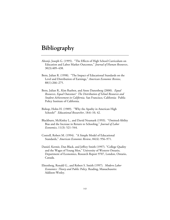# **Bibliography**

- Altonji, Joseph G. (1995). "The Effects of High School Curriculum on Education and Labor Market Outcomes," *Journal of Human Resources*, 30(3):409–438.
- Betts, Julian R. (1998). "The Impact of Educational Standards on the Level and Distribution of Earnings," *American Economic Review*, 88(1):266–275.
- Betts, Julian R., Kim Rueben, and Anne Danenberg (2000). *Equal Resources, Equal Outcomes? The Distribution of School Resources and Student Achievement in California,* San Francisco, California: Public Policy Institute of California.
- Bishop, Hohn H. (1989). "Why the Apathy in American High Schools?" *Educational Researcher*, 18:6–10, 42.
- Blackburn, McKinley L., and David Neumark (1993). "Omitted-Ability Bias and the Increase in Return to Schooling," *Journal of Labor Economics*, 11(3): 521–544.
- Costrell, Robert M. (1994). "A Simple Model of Educational Standards," *American Economic Review*, 84(4): 956–971.
- Daniel, Kermit, Dan Black, and Jeffrey Smith (1997). "College Quality and the Wages of Young Men," University of Western Ontario, Department of Economics, Research Report 9707, London, Ontario, Canada.
- Ehrenberg, Ronald G., and Robert S. Smith (1997). *Modern Labor Economics: Theory and Public Policy,* Reading, Massachusetts: Addison-Wesley.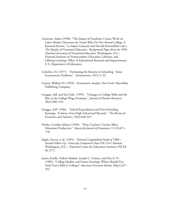- Gamoran, Adam (1998). "The Impact of Academic Course Work on Labor Market Outcomes for Youth Who Do Not Attend College: A Research Review," in Adam Gamoran and Harold Himmelfarb (eds.), *The Quality of Vocational Education: Background Paper from the 1994 National Assessment of Vocational Education,* Washington, D.C.: National Institute on Postsecondary Education, Libraries, and Lifelong Learning, Office of Educational Research and Improvement, U.S. Department of Education.
- Griliches, Zvi (1977). "Estimating the Returns to Schooling: Some Econometric Problems," *Econometrica*, 45(1):1–22.
- Greene, William H. (1993). *Econometric Analysis*, New York: Macmillan Publishing Company.
- Grogger, Jeff, and Eric Eide (1995). "Changes in College Skills and the Rise in the College Wage Premium," *Journal of Human Resources*, 30(2):280–310.
- Grogger, Jeff (1996). "School Expenditures and Post-Schooling Earnings: Evidence from High School and Beyond," *The Review of Economics and Statistics*, 78(4):628–637.
- Hoxby, Caroline Minter (1996). "How Teacher's Unions Affect Education Production," *Quarterly Journal of Economics,* 111(3):671– 718.
- Ingels, Steven, et al. (1995). *National Longitudinal Study of 1988— Second Follow-Up: Transcript Component Data File User's Manual,* Washington, D.C.: National Center for Education Statistics (NCES 94-377).
- James, Estelle, Nabeel Alsalam, Joseph C. Conaty, and Duc-le To (1989). "College Quality and Future Earnings: Where Should You Send Your Child to College?" *American Economic Review* (May):247– 252.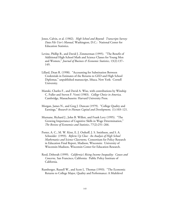- Jones, Calvin, et al. (1982). *High School and Beyond: Transcripts Survey: Data File User's Manual,* Washington, D.C.: National Center for Education Statistics.
- Levine, Phillip B., and David J. Zimmerman (1995). "The Benefit of Additional High-School Math and Science Classes for Young Men and Women," *Journal of Business & Economic Statistics,* 13(2):137– 149.
- Lillard, Dean R. (1998). "Accounting for Substitution Between Credentials in Estimates of the Returns to GED and High School Diplomas," unpublished manuscript, Ithaca, New York: Cornell University.
- Manski, Charles F., and David A. Wise, with contributions by Winship C. Fuller and Steven F. Venti (1983). *College Choice in America,* Cambridge, Massachusetts: Harvard University Press.
- Morgan, James N., and Greg J. Duncan (1979). "College Quality and Earnings," *Research in Human Capital and Development,* (1):103–121.
- Murnane, Richard J., John B. Willett, and Frank Levy (1995). "The Growing Importance of Cognitive Skills in Wage Determination," *The Review of Economics and Statistics*, 77(2):251–266.
- Porter, A. C., M. W. Kirst, E. J. Osthoff, J. S. Smithson, and S. A. Schneider (1993). *Reform Up Close: An Analysis of High School Mathematics and Science Classrooms,* Consortium for Policy Research in Education Final Report, Madison, Wisconsin: University of Wisconsin-Madison, Wisconsin Center for Education Research.
- Reed, Deborah (1999). *California's Rising Income Inequality: Causes and Concerns,* San Francisco, California: Public Policy Institute of California.
- Rumberger, Russell W., and Scott L. Thomas (1993). "The Economic Returns to College Major, Quality and Performance: A Multilevel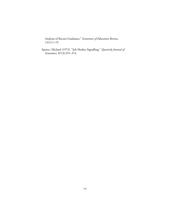Analysis of Recent Graduates," *Economics of Education Review*, 12(1):1–19.

Spence, Michael (1973). "Job Market Signalling," *Quarterly Journal of Economics*, 87(3):355–374.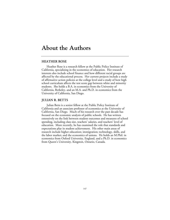# **About the Authors**

#### **HEATHER ROSE**

Heather Rose is a research fellow at the Public Policy Institute of California, specializing in the economics of education. Her research interests also include school finance and how different racial groups are affected by the educational process. Her current projects include a study of affirmative action policies at the college level and a study of how high school curriculum affects the test score gap between white and minority students. She holds a B.A. in economics from the University of California, Berkeley, and an M.A. and Ph.D. in economics from the University of California, San Diego.

#### **JULIAN R. BETTS**

Julian Betts is a senior fellow at the Public Policy Institute of California and an associate professor of economics at the University of California, San Diego. Much of his research over the past decade has focused on the economic analysis of public schools. He has written extensively on the link between student outcomes and measures of school spending, including class size, teachers' salaries, and teachers' level of education. More recently, he has examined the role that standards and expectations play in student achievement. His other main areas of research include higher education; immigration; technology, skills, and the labor market; and the economics of unions. He holds an M.Phil. in economics from Oxford University, England, and a Ph.D. in economics from Queen's University, Kingston, Ontario, Canada.